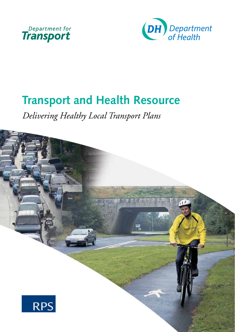



# **Transport and Health Resource**

*Delivering Healthy Local Transport Plans* 

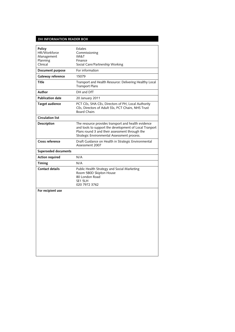#### **DH InfoRmaTIon ReaDeR BoX**

| Policy<br>HR/Workforce<br>Management<br>Planning<br>Clinical | Estates<br>Commissioning<br><b>IM&amp;T</b><br>Finance<br>Social Care/Partnership Working                                                                                                                      |
|--------------------------------------------------------------|----------------------------------------------------------------------------------------------------------------------------------------------------------------------------------------------------------------|
| Document purpose                                             | For information                                                                                                                                                                                                |
| Gateway reference                                            | 15079                                                                                                                                                                                                          |
| <b>Title</b>                                                 | Transport and Health Resource: Delivering Healthy Local<br><b>Transport Plans</b>                                                                                                                              |
| Author                                                       | DH and DfT                                                                                                                                                                                                     |
| <b>Publication date</b>                                      | 20 January 2011                                                                                                                                                                                                |
| <b>Target audience</b>                                       | PCT CEs, SHA CEs, Directors of PH, Local Authority<br>CEs, Directors of Adult SSs, PCT Chairs, NHS Trust<br><b>Board Chairs</b>                                                                                |
| <b>Circulation list</b>                                      |                                                                                                                                                                                                                |
| Description                                                  | The resource provides transport and health evidence<br>and tools to support the development of Local Tranport<br>Plans round 3 and their assessment through the<br>Strategic Environmental Assessment process. |
| Cross reference                                              | Draft Guidance on Health in Strategic Environmental<br>Assessment 2007                                                                                                                                         |
| <b>Superseded documents</b>                                  |                                                                                                                                                                                                                |
| <b>Action required</b>                                       | N/A                                                                                                                                                                                                            |
| Timing                                                       | N/A                                                                                                                                                                                                            |
| <b>Contact details</b>                                       | Public Health Strategy and Social Marketing<br>Room 580D Skipton House<br>80 London Road<br>SE1 5LH<br>020 7972 3762                                                                                           |
| For recipient use                                            |                                                                                                                                                                                                                |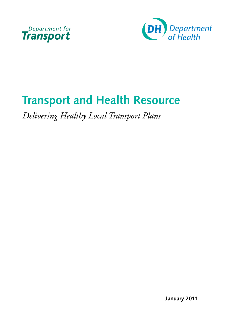



# **Transport and Health Resource**

*Delivering Healthy Local Transport Plans* 

**January 2011**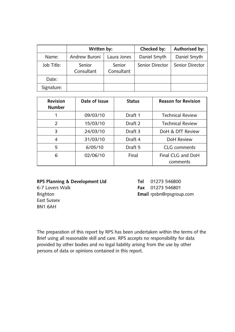|            | Written by:          |                      | Checked by:     | Authorised by:  |
|------------|----------------------|----------------------|-----------------|-----------------|
| Name:      | Andrew Buroni        | Laura Jones          | Daniel Smyth    | Daniel Smyth    |
| Job Title: | Senior<br>Consultant | Senior<br>Consultant | Senior Director | Senior Director |
| Date:      |                      |                      |                 |                 |
| Signature: |                      |                      |                 |                 |

| <b>Revision</b><br><b>Number</b> | Date of Issue | <b>Status</b> | <b>Reason for Revision</b>    |
|----------------------------------|---------------|---------------|-------------------------------|
|                                  | 09/03/10      | Draft 1       | <b>Technical Review</b>       |
| 2                                | 15/03/10      | Draft 2       | <b>Technical Review</b>       |
| 3                                | 24/03/10      | Draft 3       | DoH & DfT Review              |
| 4                                | 31/03/10      | Draft 4       | DoH Review                    |
| 5                                | 6/05/10       | Draft 5       | CLG comments                  |
| 6                                | 02/06/10      | Final         | Final CLG and DoH<br>comments |

### **RPS Planning & Development Ltd**

6-7 Lovers Walk Brighton East Sussex BN1 6AH

**Tel** 01273 546800 **fax** 01273 546801 **email** [rpsbn@rpsgroup.com](mailto:rpsbn@rpsgroup.com) 

The preparation of this report by RPS has been undertaken within the terms of the Brief using all reasonable skill and care. RPS accepts no responsibility for data provided by other bodies and no legal liability arising from the use by other persons of data or opinions contained in this report.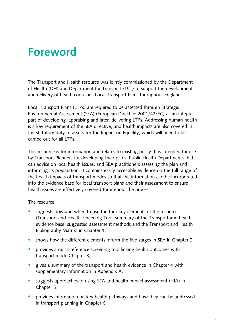# **foreword**

The Transport and Health resource was jointly commissioned by the Department of Health (DH) and Department for Transport (DfT) to support the development and delivery of health conscious Local Transport Plans throughout England.

Local Transport Plans (LTPs) are required to be assessed through Strategic Environmental Assessment (SEA) (European Directive 2001/42/EC) as an integral part of developing, appraising and later, delivering LTPs. Addressing human health is a key requirement of the SEA directive, and health impacts are also covered in the statutory duty to assess for the Impact on Equality, which will need to be carried out for all LTPs.

This resource is for information and relates to existing policy. It is intended for use by Transport Planners for developing their plans, Public Health Departments that can advise on local health issues, and SEA practitioners assessing the plan and informing its preparation. It contains easily accessible evidence on the full range of the health impacts of transport modes so that the information can be incorporated into the evidence base for local transport plans and their assessment to ensure health issues are effectively covered throughout the process.

The resource:

- suggests how and when to use the four key elements of the resource (Transport and Health Screening Tool, summary of the Transport and health evidence base, suggested assessment methods and the Transport and Health Bibliography Matrix) in Chapter 1;
- shows how the different elements inform the five stages in SEA in Chapter 2;
- provides a quick reference screening tool linking health outcomes with transport mode Chapter 3;
- gives a summary of the transport and health evidence in Chapter 4 with supplementary information in Appendix A;
- suggests approaches to using SEA and health impact assessment (HIA) in Chapter 5;
- provides information on key health pathways and how they can be addressed in transport planning in Chapter 6;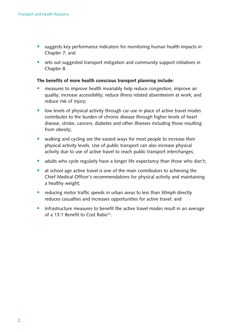- suggests key performance indicators for monitoring human health impacts in Chapter 7; and
- sets out suggested transport mitigation and community support initiatives in Chapter 8.

#### **The benefits of more health conscious transport planning include:**

- measures to improve health invariably help reduce congestion, improve air quality; increase accessibility; reduce illness related absenteeism at work; and reduce risk of injury;
- low levels of physical activity through car use in place of active travel modes contributes to the burden of chronic disease through higher levels of heart disease, stroke, cancers, diabetes and other illnesses including those resulting from obesity;
- walking and cycling are the easiest ways for most people to increase their physical activity levels. Use of public transport can also increase physical activity due to use of active travel to reach public transport interchanges;
- adults who cycle regularly have a longer life expectancy than those who don't;
- at school age active travel is one of the main contributors to achieving the Chief Medical Officer's recommendations for physical activity and maintaining a healthy weight;
- reducing motor traffic speeds in urban areas to less than 30mph directly reduces casualties and increases opportunities for active travel; and
- Infrastructure measures to benefit the active travel modes result in an average of a 13:1 Benefit to Cost Ratio<sup>(1)</sup>.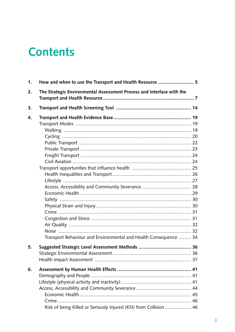## **Contents**

| 1. | How and when to use the Transport and Health Resource  5              |  |
|----|-----------------------------------------------------------------------|--|
| 2. | The Strategic Environmental Assessment Process and Interface with the |  |
| 3. |                                                                       |  |
| 4. | Transport Behaviour and Environmental and Health Consequence  34      |  |
| 5. |                                                                       |  |
| 6. | Risk of being Killed or Seriously Injured (KSI) from Collision  46    |  |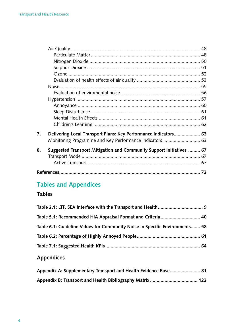| 7. | Delivering Local Transport Plans: Key Performance Indicators 63      |    |
|----|----------------------------------------------------------------------|----|
|    | Monitoring Programme and Key Performance Indicators  63              |    |
| 8. | Suggested Transport Mitigation and Community Support Initiatives  67 |    |
|    |                                                                      |    |
|    |                                                                      |    |
|    |                                                                      | 72 |

## **Tables and appendices**

### **Tables**

| Table 5.1: Recommended HIA Appraisal Format and Criteria 40                 |  |
|-----------------------------------------------------------------------------|--|
| Table 6.1: Guideline Values for Community Noise in Specific Environments 58 |  |
|                                                                             |  |
|                                                                             |  |

## **appendices**

| Appendix A: Supplementary Transport and Health Evidence Base 81 |  |
|-----------------------------------------------------------------|--|
|                                                                 |  |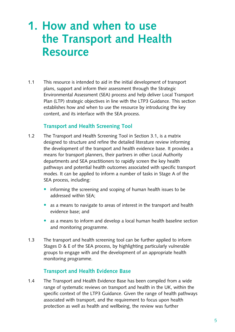# **1. How and when to use the Transport and Health Resource**

1.1 This resource is intended to aid in the initial development of transport plans, support and inform their assessment through the Strategic Environmental Assessment (SEA) process and help deliver Local Transport Plan (LTP) strategic objectives in line with the LTP3 Guidance. This section establishes how and when to use the resource by introducing the key content, and its interface with the SEA process.

#### **Transport and Health Screening Tool**

- 1.2 The Transport and Health Screening Tool in Section 3.1, is a matrix designed to structure and refine the detailed literature review informing the development of the transport and health evidence base. It provides a means for transport planners, their partners in other Local Authority departments and SEA practitioners to rapidly screen the key health pathways and potential health outcomes associated with specific transport modes. It can be applied to inform a number of tasks in Stage A of the SEA process, including:
	- informing the screening and scoping of human health issues to be addressed within SEA;
	- as a means to navigate to areas of interest in the transport and health evidence base; and
	- as a means to inform and develop a local human health baseline section and monitoring programme.
- 1.3 The transport and health screening tool can be further applied to inform Stages  $D \& E$  of the SEA process, by highlighting particularly vulnerable groups to engage with and the development of an appropriate health monitoring programme.

### **Transport and Health evidence Base**

1.4 The Transport and Health Evidence Base has been compiled from a wide range of systematic reviews on transport and health in the UK, within the specific context of the LTP3 Guidance. Given the range of health pathways associated with transport, and the requirement to focus upon health protection as well as health and wellbeing, the review was further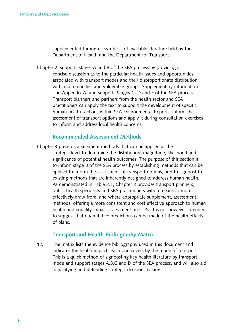supplemented through a synthesis of available literature held by the Department of Health and the Department for Transport.

Chapter 2, supports stages A and B of the SEA process by providing a concise discussion as to the particular health issues and opportunities associated with transport modes and their disproportionate distribution within communities and vulnerable groups. Supplementary information is in Appendix A, and supports Stages C, D and E of the SEA process. Transport planners and partners from the health sector and SEA practitioners can apply the text to support the development of specific human health sections within SEA Environmental Reports, inform the assessment of transport options and apply it during consultation exercises to inform and address local health concerns.

#### **Recommended assessment methods**

Chapter 3 presents assessment methods that can be applied at the strategic level to determine the distribution, magnitude, likelihood and significance of potential health outcomes. The purpose of this section is to inform stage B of the SEA process by establishing methods that can be applied to inform the assessment of transport options, and to signpost to existing methods that are inherently designed to address human health. As demonstrated in Table 3.1, Chapter 3 provides transport planners, public health specialists and SEA practitioners with a means to more effectively draw from, and where appropriate supplement, assessment methods, offering a more consistent and cost effective approach to human health and equality impact assessment on LTPs. It is not however intended to suggest that quantitative predictions can be made of the health effects of plans.

#### **Transport and Health Bibliography matrix**

1.5 The matrix lists the evidence bibliography used in this document and indicates the health impacts each one covers by the mode of transport. This is a quick method of signposting key health literature by transport mode and support stages A,B,C and D of the SEA process. and will also aid in justifying and defending strategic decision-making.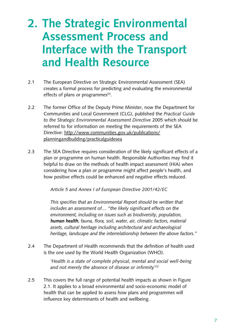# **2. The Strategic Environmental assessment Process and Interface with the Transport and Health Resource**

- 2.1 The European Directive on Strategic Environmental Assessment (SEA) creates a formal process for predicting and evaluating the environmental effects of plans or programmes $(2)$ .
- 2.2 The former Office of the Deputy Prime Minister, now the Department for Communities and Local Government (CLG), published the *Practical Guide to the Strategic Environmental Assessment Directive* 2005 which should be referred to for information on meeting the requirements of the SEA Directive: http://www.communities.gov.uk/publications/ planningandbuilding/practicalguidesea
- 2.3 The SEA Directive requires consideration of the likely significant effects of a plan or programme on human health. Responsible Authorities may find it helpful to draw on the methods of health impact assessment (HIA) when considering how a plan or programme might affect people's health, and how positive effects could be enhanced and negative effects reduced.

*Article 5 and Annex I of European Directive 2001/42/EC* 

*This specifies that an Environmental Report should be written that includes an assessment of… "the likely significant effects on the environment, including on issues such as biodiversity, population, human health*, *fauna, flora, soil, water, air, climatic factors, material assets, cultural heritage including architectural and archaeological heritage, landscape and the interrelationship between the above factors."* 

2.4 The Department of Health recommends that the definition of health used is the one used by the World Health Organization (WHO).

> *'Health is a state of complete physical, mental and social well-being and not merely the absence of disease or infirmity'(3)*

2.5 This covers the full range of potential health impacts as shown in Figure 2.1. It applies to a broad environmental and socio-economic model of health that can be applied to assess how plans and programmes will influence key determinants of health and wellbeing.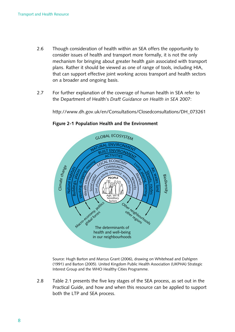- 2.6 Though consideration of health within an SEA offers the opportunity to consider issues of health and transport more formally, it is not the only mechanism for bringing about greater health gain associated with transport plans. Rather it should be viewed as one of range of tools, including HIA, that can support effective joint working across transport and health sectors on a broader and ongoing basis.
- 2.7 For further explanation of the coverage of human health in SEA refer to the Department of Health's *Draft Guidance on Health in SEA* 2007:

[http://www.dh.gov.uk/en/Consultations/Closedconsultations/DH\\_073261](http://www.dh.gov.uk/en/Consultations/Closedconsultations/DH_073261) 



**figure 2‑1 Population Health and the environment** 

Source: Hugh Barton and Marcus Grant (2006), drawing on Whitehead and Dahlgren (1991) and Barton (2005). United Kingdom Public Health Association (UKPHA) Strategic Interest Group and the WHO Healthy Cities Programme.

2.8 Table 2.1 presents the five key stages of the SEA process, as set out in the Practical Guide, and how and when this resource can be applied to support both the LTP and SEA process.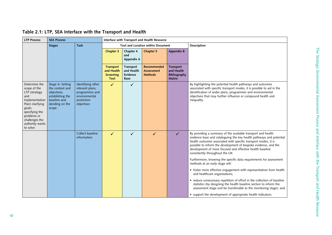| <b>LTP Process</b>                                                                                                                                                                      | <b>SEA Process</b>                                                                                                 |                                                                                                     |                                                            |                                                    | Interface with Transport and Health Resource       |                                                                        |                                                                                                                                                                                                                                                                                                                                                                                                                                                                                                                                                                                                                                                                                                                                                                                                                                                                                  |
|-----------------------------------------------------------------------------------------------------------------------------------------------------------------------------------------|--------------------------------------------------------------------------------------------------------------------|-----------------------------------------------------------------------------------------------------|------------------------------------------------------------|----------------------------------------------------|----------------------------------------------------|------------------------------------------------------------------------|----------------------------------------------------------------------------------------------------------------------------------------------------------------------------------------------------------------------------------------------------------------------------------------------------------------------------------------------------------------------------------------------------------------------------------------------------------------------------------------------------------------------------------------------------------------------------------------------------------------------------------------------------------------------------------------------------------------------------------------------------------------------------------------------------------------------------------------------------------------------------------|
|                                                                                                                                                                                         | <b>Stages</b>                                                                                                      | <b>Task</b>                                                                                         |                                                            | Tool and Location within Document                  |                                                    |                                                                        | Description                                                                                                                                                                                                                                                                                                                                                                                                                                                                                                                                                                                                                                                                                                                                                                                                                                                                      |
|                                                                                                                                                                                         |                                                                                                                    |                                                                                                     | Chapter 3                                                  | Chapter 4<br>and<br>Appendix A                     | Chapter 5                                          | <b>Appendix B</b>                                                      |                                                                                                                                                                                                                                                                                                                                                                                                                                                                                                                                                                                                                                                                                                                                                                                                                                                                                  |
|                                                                                                                                                                                         |                                                                                                                    |                                                                                                     | <b>Transport</b><br>and Health<br><b>Screening</b><br>Tool | Transport<br>and Health<br>Evidence<br><b>Base</b> | Recommended<br><b>Assessment</b><br><b>Methods</b> | <b>Transport</b><br>and Health<br><b>Bibliography</b><br><b>Matrix</b> |                                                                                                                                                                                                                                                                                                                                                                                                                                                                                                                                                                                                                                                                                                                                                                                                                                                                                  |
| Determine the<br>scope of the<br>LTP (strategy<br>and<br>Implementation<br>Plan) clarifying<br>goals;<br>specifying the<br>problems or<br>challenges the<br>authority wants<br>to solve | Stage A: Setting<br>the context and<br>objectives,<br>establishing the<br>baseline and<br>deciding on the<br>scope | Identifying other<br>relevant plans,<br>programmes and<br>environmental<br>protection<br>objectives | $\checkmark$                                               | $\checkmark$                                       |                                                    |                                                                        | By highlighting the potential health pathways and outcomes<br>associated with specific transport modes, it is possible to aid in the<br>identification of wider plans, programmes and environmental<br>objectives that may further influence or compound health and<br>inequality.                                                                                                                                                                                                                                                                                                                                                                                                                                                                                                                                                                                               |
|                                                                                                                                                                                         |                                                                                                                    | Collect baseline<br>information                                                                     | $\checkmark$                                               | $\checkmark$                                       | $\checkmark$                                       | $\checkmark$                                                           | By providing a summary of the available transport and health<br>evidence base and cataloguing the key health pathways and potential<br>health outcomes associated with specific transport modes, it is<br>possible to inform the development of bespoke evidence, and the<br>development of more focused and effective health baseline<br>consistently throughout the UK.<br>Furthermore, knowing the specific data requirements for assessment<br>methods at an early stage will:<br>• foster more effective engagement with representatives from health<br>and healthcare organisations;<br>• reduce unnecessary repetition of effort in the collection of baseline<br>statistics (by designing the health baseline section to inform the<br>assessment stage and be transferable to the monitoring stage); and<br>• support the development of appropriate health indicators. |

### **Table 2.1: LTP, Sea Interface with the Transport and Health**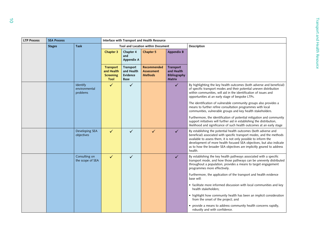| <b>LTP Process</b> | <b>SEA Process</b>           |                                       |                                                            |                                             | Interface with Transport and Health Resource              |                                                                        |                                                                                                                                                                                                                                                                                                                                                                         |
|--------------------|------------------------------|---------------------------------------|------------------------------------------------------------|---------------------------------------------|-----------------------------------------------------------|------------------------------------------------------------------------|-------------------------------------------------------------------------------------------------------------------------------------------------------------------------------------------------------------------------------------------------------------------------------------------------------------------------------------------------------------------------|
|                    | <b>Stages</b><br><b>Task</b> |                                       |                                                            |                                             | Tool and Location within Document                         |                                                                        | Description                                                                                                                                                                                                                                                                                                                                                             |
|                    |                              |                                       | Chapter 3                                                  | Chapter 4<br>and<br>Appendix A              | Chapter 5                                                 | <b>Appendix B</b>                                                      |                                                                                                                                                                                                                                                                                                                                                                         |
|                    |                              |                                       | <b>Transport</b><br>and Health<br><b>Screening</b><br>Tool | Transport<br>and Health<br>Evidence<br>Base | <b>Recommended</b><br><b>Assessment</b><br><b>Methods</b> | <b>Transport</b><br>and Health<br><b>Bibliography</b><br><b>Matrix</b> |                                                                                                                                                                                                                                                                                                                                                                         |
|                    |                              | Identify<br>environmental<br>problems | $\checkmark$                                               | $\checkmark$                                |                                                           | $\checkmark$                                                           | By highlighting the key health outcomes (both adverse and beneficial)<br>of specific transport modes and their potential uneven distribution<br>within communities, will aid in the identification of issues and<br>opportunities at an early stage of bespoke LTPs.                                                                                                    |
|                    |                              |                                       |                                                            |                                             |                                                           |                                                                        | The identification of vulnerable community groups also provides a<br>means to further refine consultation programmes with local<br>communities, vulnerable groups and key health stakeholders.                                                                                                                                                                          |
|                    |                              |                                       |                                                            |                                             |                                                           |                                                                        | Furthermore, the identification of potential mitigation and community<br>support initiatives will further aid in establishing the distribution,<br>likelihood and significance of such health outcomes at an early stage                                                                                                                                                |
|                    |                              | Developing SEA<br>objectives          | $\checkmark$                                               | $\checkmark$                                | ✓                                                         | $\checkmark$                                                           | By establishing the potential health outcomes (both adverse and<br>beneficial) associated with specific transport modes, and the methods<br>available to assess them, it is not only possible to inform the<br>development of more health focused SEA objectives, but also indicate<br>as to how the broader SEA objectives are implicitly geared to address<br>health. |
|                    |                              | Consulting on<br>the scope of SEA     | $\checkmark$                                               | ✓                                           |                                                           | $\checkmark$                                                           | By establishing the key health pathways associated with a specific<br>transport mode, and how those pathways can be unevenly distributed<br>throughout a population, provides a means to target engagement<br>programmes more effectively.                                                                                                                              |
|                    |                              |                                       |                                                            |                                             |                                                           |                                                                        | Furthermore, the application of the transport and health evidence<br>base will:                                                                                                                                                                                                                                                                                         |
|                    |                              |                                       |                                                            |                                             |                                                           |                                                                        | • facilitate more informed discussion with local communities and key<br>health stakeholders:                                                                                                                                                                                                                                                                            |
|                    |                              |                                       |                                                            |                                             |                                                           |                                                                        | • highlight how community health has been an implicit consideration<br>from the onset of the project; and                                                                                                                                                                                                                                                               |
|                    |                              |                                       |                                                            |                                             |                                                           |                                                                        | • provide a means to address community health concerns rapidly,<br>robustly and with confidence.                                                                                                                                                                                                                                                                        |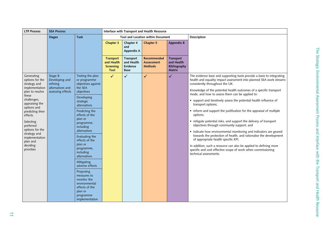| <b>LTP Process</b>                                                                                                                                                                                                                                                                              | <b>SEA Process</b>                                                              |                                                                                                                                                                                                                                                                                                                | Interface with Transport and Health Resource               |                                                    |                                                    |                                                                        |                                                                                                                                                                                                                                                                                                                                                                                                                                                                                                                                                                                                                                                                                                                                                                                                                                                                                                                                                            |
|-------------------------------------------------------------------------------------------------------------------------------------------------------------------------------------------------------------------------------------------------------------------------------------------------|---------------------------------------------------------------------------------|----------------------------------------------------------------------------------------------------------------------------------------------------------------------------------------------------------------------------------------------------------------------------------------------------------------|------------------------------------------------------------|----------------------------------------------------|----------------------------------------------------|------------------------------------------------------------------------|------------------------------------------------------------------------------------------------------------------------------------------------------------------------------------------------------------------------------------------------------------------------------------------------------------------------------------------------------------------------------------------------------------------------------------------------------------------------------------------------------------------------------------------------------------------------------------------------------------------------------------------------------------------------------------------------------------------------------------------------------------------------------------------------------------------------------------------------------------------------------------------------------------------------------------------------------------|
|                                                                                                                                                                                                                                                                                                 | <b>Stages</b>                                                                   | <b>Task</b>                                                                                                                                                                                                                                                                                                    |                                                            |                                                    | Tool and Location within Document                  |                                                                        | Description                                                                                                                                                                                                                                                                                                                                                                                                                                                                                                                                                                                                                                                                                                                                                                                                                                                                                                                                                |
|                                                                                                                                                                                                                                                                                                 |                                                                                 |                                                                                                                                                                                                                                                                                                                | Chapter 3                                                  | Chapter 4<br>and<br>Appendix A                     | Chapter 5                                          | <b>Appendix B</b>                                                      |                                                                                                                                                                                                                                                                                                                                                                                                                                                                                                                                                                                                                                                                                                                                                                                                                                                                                                                                                            |
|                                                                                                                                                                                                                                                                                                 |                                                                                 |                                                                                                                                                                                                                                                                                                                | <b>Transport</b><br>and Health<br><b>Screening</b><br>Tool | Transport<br>and Health<br>Evidence<br><b>Base</b> | Recommended<br><b>Assessment</b><br><b>Methods</b> | <b>Transport</b><br>and Health<br><b>Bibliography</b><br><b>Matrix</b> |                                                                                                                                                                                                                                                                                                                                                                                                                                                                                                                                                                                                                                                                                                                                                                                                                                                                                                                                                            |
| Generating<br>options for the<br>strategy and<br>implementation<br>plan to resolve<br>these<br>challenges;<br>appraising the<br>options and<br>predicting their<br>effects<br>Selecting<br>preferred<br>options for the<br>strategy and<br>implementation<br>plan and<br>deciding<br>priorities | Stage B:<br>Developing and<br>refining<br>alternatives and<br>assessing effects | Testing the plan<br>or programme<br>objectives against<br>the SEA<br>objectives<br>Developing<br>strategic<br>alternatives<br>Predicting the<br>effects of the<br>plan or<br>programme,<br>including<br>alternatives<br>Evaluating the<br>effects of the<br>plan or<br>programme,<br>including<br>alternatives | $\checkmark$                                               | $\checkmark$                                       | $\checkmark$                                       | $\checkmark$                                                           | The evidence base and supporting tools provide a basis to integrating<br>health and equality impact assessment into planned SEA work streams<br>consistently throughout the UK.<br>Knowledge of the potential health outcomes of a specific transport<br>mode, and how to assess them can be applied to:<br>• support and iteratively assess the potential health influence of<br>transport options;<br>• inform and support the justification for the appraisal of multiple<br>options;<br>• mitigate potential risks, and support the delivery of transport<br>objectives through community support; and<br>• indicate how environmental monitoring and indicators are geared<br>towards the protection of health, and rationalise the development<br>of appropriate health specific KPI.<br>In addition, such a resource can also be applied to defining more<br>specific and cost effective scope of work when commissioning<br>technical assessments. |
|                                                                                                                                                                                                                                                                                                 |                                                                                 | Mitigating<br>adverse effects<br>Proposing<br>measures to<br>monitor the<br>environmental<br>effects of the<br>plan or<br>programme<br>implementation                                                                                                                                                          |                                                            |                                                    |                                                    |                                                                        |                                                                                                                                                                                                                                                                                                                                                                                                                                                                                                                                                                                                                                                                                                                                                                                                                                                                                                                                                            |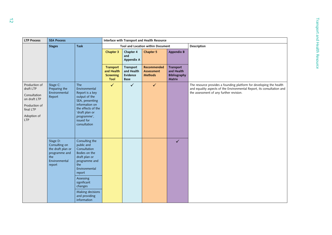| <b>LTP Process</b>                                                                                             | <b>SEA Process</b>                                                                                | Interface with Transport and Health Resource                                                                                                                                       |                                                     |                                             |                                             |                                                          |                                                                                                                                                                                          |
|----------------------------------------------------------------------------------------------------------------|---------------------------------------------------------------------------------------------------|------------------------------------------------------------------------------------------------------------------------------------------------------------------------------------|-----------------------------------------------------|---------------------------------------------|---------------------------------------------|----------------------------------------------------------|------------------------------------------------------------------------------------------------------------------------------------------------------------------------------------------|
|                                                                                                                | <b>Stages</b>                                                                                     | Task                                                                                                                                                                               |                                                     |                                             | Tool and Location within Document           |                                                          | Description                                                                                                                                                                              |
|                                                                                                                |                                                                                                   |                                                                                                                                                                                    | Chapter 3                                           | Chapter 4<br>and<br>Appendix A              | Chapter 5                                   | Appendix B                                               |                                                                                                                                                                                          |
|                                                                                                                |                                                                                                   |                                                                                                                                                                                    | Transport<br>and Health<br><b>Screening</b><br>Tool | Transport<br>and Health<br>Evidence<br>Base | Recommended<br>Assessment<br><b>Methods</b> | Transport<br>and Health<br><b>Bibliography</b><br>Matrix |                                                                                                                                                                                          |
| Production of<br>draft LTP<br>Consultation<br>on draft LTP<br>Production of<br>final LTP<br>Adoption of<br>LTP | Stage C:<br>Preparing the<br>Environmental<br>Report                                              | The<br>Environmental<br>Report is a key<br>output of the<br>SEA, presenting<br>information on<br>the effects of the<br>'draft plan or<br>programme',<br>issued for<br>consultation | $\checkmark$                                        | $\checkmark$                                | $\checkmark$                                |                                                          | The resource provides a founding platform for developing the health<br>and equality aspects of the Environmental Report, its consultation and<br>the assessment of any further revision. |
|                                                                                                                | Stage D:<br>Consulting on<br>the draft plan or<br>programme and<br>the<br>Environmental<br>report | Consulting the<br>public and<br>Consultation<br>Bodies on the<br>draft plan or<br>programme and<br>the<br>Environmental<br>report                                                  |                                                     |                                             |                                             | $\checkmark$                                             |                                                                                                                                                                                          |
|                                                                                                                |                                                                                                   | Assessing<br>significant<br>changes                                                                                                                                                |                                                     |                                             |                                             |                                                          |                                                                                                                                                                                          |
|                                                                                                                |                                                                                                   | Making decisions<br>and providing<br>information                                                                                                                                   |                                                     |                                             |                                             |                                                          |                                                                                                                                                                                          |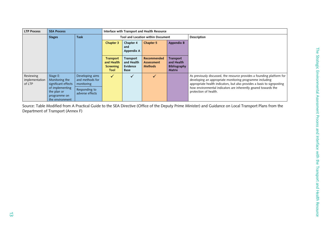| <b>LTP Process</b>                    | <b>SEA Process</b>                                                                                                     | Interface with Transport and Health Resource                                         |                                                            |                                             |                                                    |                                                                 |                                                                                                                                                                                                                                                                                                          |
|---------------------------------------|------------------------------------------------------------------------------------------------------------------------|--------------------------------------------------------------------------------------|------------------------------------------------------------|---------------------------------------------|----------------------------------------------------|-----------------------------------------------------------------|----------------------------------------------------------------------------------------------------------------------------------------------------------------------------------------------------------------------------------------------------------------------------------------------------------|
|                                       | <b>Stages</b>                                                                                                          | <b>Task</b>                                                                          | Tool and Location within Document                          |                                             |                                                    |                                                                 | Description                                                                                                                                                                                                                                                                                              |
|                                       |                                                                                                                        |                                                                                      | Chapter 3                                                  | Chapter 4<br>and<br>Appendix A              | Chapter 5                                          | <b>Appendix B</b>                                               |                                                                                                                                                                                                                                                                                                          |
|                                       |                                                                                                                        |                                                                                      | <b>Transport</b><br>and Health<br><b>Screening</b><br>Tool | Transport<br>and Health<br>Evidence<br>Base | Recommended<br><b>Assessment</b><br><b>Methods</b> | Transport<br>and Health<br><b>Bibliography</b><br><b>Matrix</b> |                                                                                                                                                                                                                                                                                                          |
| Reviewing<br>implementation<br>of LTP | Stage E:<br>Monitoring the<br>significant effects<br>of implementing<br>the plan or<br>programme on<br>the environment | Developing aims<br>and methods for<br>monitoring<br>Responding to<br>adverse effects | $\sqrt{}$                                                  | ✓                                           | $\checkmark$                                       |                                                                 | As previously discussed, the resource provides a founding platform for<br>developing an appropriate monitoring programme including<br>appropriate health indicators, but also provides a basis to signposting<br>how environmental indicators are inherently geared towards the<br>protection of health. |

Source: Table Modified from A Practical Guide to the SEA Directive (Office of the Deputy Prime Minister) and Guidance on Local Transport Plans from the Department of Transport (Annex F)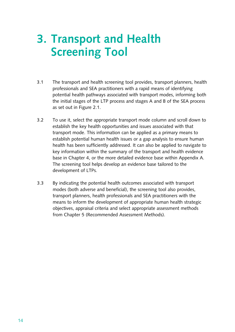# **3. Transport and Health Screening Tool**

- 3.1 The transport and health screening tool provides, transport planners, health professionals and SEA practitioners with a rapid means of identifying potential health pathways associated with transport modes, informing both the initial stages of the LTP process and stages A and B of the SEA process as set out in Figure 2.1.
- 3.2 To use it, select the appropriate transport mode column and scroll down to establish the key health opportunities and issues associated with that transport mode. This information can be applied as a primary means to establish potential human health issues or a gap analysis to ensure human health has been sufficiently addressed. It can also be applied to navigate to key information within the summary of the transport and health evidence base in Chapter 4, or the more detailed evidence base within Appendix A. The screening tool helps develop an evidence base tailored to the development of LTPs.
- 3.3 By indicating the potential health outcomes associated with transport modes (both adverse and beneficial), the screening tool also provides, transport planners, health professionals and SEA practitioners with the means to inform the development of appropriate human health strategic objectives, appraisal criteria and select appropriate assessment methods from Chapter 5 (Recommended Assessment Methods).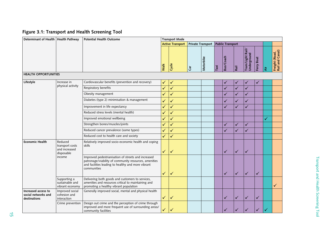### **figure 3.1: Transport and Health Screening Tool**

| Determinant of Health   Health Pathway                     |                                                           | <b>Potential Health Outcome</b>                                                                                                                                                   |              | <b>Transport Mode</b>   |    |           |                                                                                                                                                                                                                                                                                                                                                                                                                                           |   |   |   | l₹<br>✓ |  |
|------------------------------------------------------------|-----------------------------------------------------------|-----------------------------------------------------------------------------------------------------------------------------------------------------------------------------------|--------------|-------------------------|----|-----------|-------------------------------------------------------------------------------------------------------------------------------------------------------------------------------------------------------------------------------------------------------------------------------------------------------------------------------------------------------------------------------------------------------------------------------------------|---|---|---|---------|--|
|                                                            |                                                           |                                                                                                                                                                                   |              | <b>Active Transport</b> |    |           | Private Transport   Public Transport<br>Tram/Light Rail/<br>Underground<br>Freight (Road,<br>Rail and Canal)<br>Bus/Coach<br>Boat<br>Ferry<br>Taxi<br>Rail<br>✓<br>✓<br>$\checkmark$<br>$\checkmark$<br>$\checkmark$<br>$\checkmark$<br>$\checkmark$<br>✓<br>$\checkmark$<br>✓<br>✓<br>✓<br>✓<br>$\checkmark$<br>✓<br>✓<br>✓<br>✓<br>✓<br>✓<br>✓<br>✓<br>$\checkmark$<br>✓<br>✓<br>$\checkmark$<br>✓<br>$\checkmark$<br>$\checkmark$<br>✓ |   |   |   |         |  |
|                                                            |                                                           |                                                                                                                                                                                   | Walk         | Cycle                   | ថិ | Motorbike |                                                                                                                                                                                                                                                                                                                                                                                                                                           |   |   |   |         |  |
| <b>HEALTH OPPORTUNITIES</b>                                |                                                           |                                                                                                                                                                                   |              |                         |    |           |                                                                                                                                                                                                                                                                                                                                                                                                                                           |   |   |   |         |  |
| Lifestyle                                                  | Increase in                                               | Cardiovascular benefits (prevention and recovery)                                                                                                                                 | ✓            | ✓                       |    |           |                                                                                                                                                                                                                                                                                                                                                                                                                                           |   |   |   |         |  |
|                                                            | physical activity                                         | Respiratory benefits                                                                                                                                                              | $\checkmark$ | $\checkmark$            |    |           |                                                                                                                                                                                                                                                                                                                                                                                                                                           |   |   |   |         |  |
|                                                            |                                                           | Obesity management                                                                                                                                                                | ✓            | ✓                       |    |           |                                                                                                                                                                                                                                                                                                                                                                                                                                           |   |   |   |         |  |
|                                                            |                                                           | Diabetes (type 2) minimisation & management                                                                                                                                       | ✓            | $\checkmark$            |    |           |                                                                                                                                                                                                                                                                                                                                                                                                                                           |   |   |   |         |  |
|                                                            |                                                           | Improvement in life expectancy                                                                                                                                                    | ✓            | ✓                       |    |           |                                                                                                                                                                                                                                                                                                                                                                                                                                           |   |   |   |         |  |
|                                                            |                                                           | Reduced stress levels (mental health)                                                                                                                                             | $\checkmark$ | $\checkmark$            |    |           |                                                                                                                                                                                                                                                                                                                                                                                                                                           |   |   |   |         |  |
|                                                            |                                                           | Improved emotional wellbeing                                                                                                                                                      | ✓            | $\checkmark$            |    |           |                                                                                                                                                                                                                                                                                                                                                                                                                                           |   |   |   |         |  |
|                                                            |                                                           | Strengthen bones/muscles/joints                                                                                                                                                   | ✓            | $\checkmark$            |    |           |                                                                                                                                                                                                                                                                                                                                                                                                                                           |   |   |   |         |  |
|                                                            |                                                           | Reduced cancer prevalence (some types)                                                                                                                                            | ✓            | ✓                       |    |           |                                                                                                                                                                                                                                                                                                                                                                                                                                           |   |   |   |         |  |
|                                                            |                                                           | Reduced cost to health care and society                                                                                                                                           | $\checkmark$ | $\checkmark$            |    |           |                                                                                                                                                                                                                                                                                                                                                                                                                                           |   |   |   |         |  |
| <b>Economic Health</b>                                     | Reduced<br>transport costs<br>and increased<br>disposable | Relatively improved socio-economic health and coping<br>skills                                                                                                                    | $\checkmark$ | $\checkmark$            |    |           |                                                                                                                                                                                                                                                                                                                                                                                                                                           |   |   |   |         |  |
|                                                            | income                                                    | Improved pedestrianisation of streets and increased<br>patronage/viability of community resources, amenities<br>and facilities leading to healthy and more vibrant<br>communities | ✓            | $\checkmark$            |    |           |                                                                                                                                                                                                                                                                                                                                                                                                                                           |   |   |   |         |  |
|                                                            | Supporting a<br>sustainable and<br>vibrant economy        | Delivering both goods and customers to services,<br>amenities and resources critical to maintaining and<br>promoting a healthy vibrant population                                 |              |                         |    |           |                                                                                                                                                                                                                                                                                                                                                                                                                                           |   |   |   |         |  |
| Increased access to<br>social networks and<br>destinations | Improved social<br>cohesion and<br>interaction            | Generally improved social, mental and physical health                                                                                                                             | $\checkmark$ | $\checkmark$            |    |           |                                                                                                                                                                                                                                                                                                                                                                                                                                           |   |   |   |         |  |
|                                                            | Crime prevention                                          | Design out crime and the perception of crime through<br>improved and more frequent use of surrounding areas/<br>community facilities                                              | ✓            | ✓                       |    |           |                                                                                                                                                                                                                                                                                                                                                                                                                                           | ✓ | ✓ | ✓ |         |  |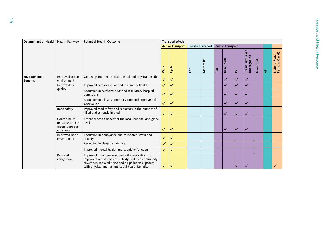| Determinant of Health   Health Pathway |                                                                 | <b>Potential Health Outcome</b>                                                                                                                                                                                     | <b>Transport Mode</b> |                         |                          |           |      |                         |              |                                 |               |    |                                   |
|----------------------------------------|-----------------------------------------------------------------|---------------------------------------------------------------------------------------------------------------------------------------------------------------------------------------------------------------------|-----------------------|-------------------------|--------------------------|-----------|------|-------------------------|--------------|---------------------------------|---------------|----|-----------------------------------|
|                                        |                                                                 |                                                                                                                                                                                                                     |                       | <b>Active Transport</b> | <b>Private Transport</b> |           |      | <b>Public Transport</b> |              |                                 |               |    |                                   |
|                                        |                                                                 |                                                                                                                                                                                                                     | Walk                  | Cycle                   | ថិ                       | Motorbike | Taxi | Bus/Coach               | Rail         | Tram/Light Rail/<br>Underground | Boat<br>Ferry | ।इ | Freight (Road,<br>Rail and Canal) |
| Environmental<br><b>Benefits</b>       | Improved urban<br>environment                                   | Generally improved social, mental and physical health                                                                                                                                                               | $\checkmark$          | $\checkmark$            |                          |           |      | $\checkmark$            | ✓            | ✓                               |               |    |                                   |
|                                        | Improved air<br>quality                                         | Improved cardiovascular and respiratory health                                                                                                                                                                      | $\checkmark$          | ✓                       |                          |           |      | ✓                       | ✓            | ✓                               |               |    |                                   |
|                                        |                                                                 | Reduction in cardiovascular and respiratory hospital<br>admissions                                                                                                                                                  | $\checkmark$          | $\checkmark$            |                          |           |      | $\checkmark$            | ✓            | ✓                               |               |    |                                   |
|                                        |                                                                 | Reduction in all cause mortality rate and improved life<br>expectancy                                                                                                                                               | $\checkmark$          | $\sqrt{}$               |                          |           |      | $\checkmark$            | ✓            | ✓                               |               |    |                                   |
|                                        | Road safety                                                     | Improved road safety and reduction in the number of<br>killed and seriously injured                                                                                                                                 | $\sqrt{}$             | $\sqrt{}$               |                          |           |      | $\checkmark$            | ✓            | ✓                               |               |    |                                   |
|                                        | Contribute to<br>reducing the UK<br>greenhouse gas<br>emissions | Potential health benefit at the local, national and global<br>level                                                                                                                                                 | ✓                     | $\checkmark$            |                          |           |      | $\checkmark$            | $\checkmark$ | ✓                               |               |    |                                   |
|                                        | Improved noise<br>environment                                   | Reduction in annoyance and associated stress and<br>anxiety                                                                                                                                                         | $\checkmark$          | $\sqrt{}$               |                          |           |      |                         |              |                                 |               |    |                                   |
|                                        |                                                                 | Reduction in sleep disturbance                                                                                                                                                                                      | $\checkmark$          | $\checkmark$            |                          |           |      |                         |              |                                 |               |    |                                   |
|                                        |                                                                 | Improved mental health and cognitive function                                                                                                                                                                       | $\checkmark$          | $\checkmark$            |                          |           |      |                         |              |                                 |               |    |                                   |
|                                        | Reduced<br>congestion                                           | Improved urban environment with implications for<br>improved access and accessibility, reduced community<br>severance, reduced noise and air pollution exposure<br>with physical, mental and social health benefits | $\checkmark$          | $\checkmark$            |                          |           |      |                         | ✓            |                                 |               |    | $\checkmark$                      |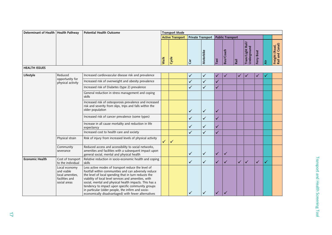| Determinant of Health   Health Pathway |                                                                                   | <b>Potential Health Outcome</b>                                                                                                                                                                                                                                                                                                                                                                                                                         |              | <b>Transport Mode</b>   |              |                   |              |                         |              |                                 |                      |   |                                   |
|----------------------------------------|-----------------------------------------------------------------------------------|---------------------------------------------------------------------------------------------------------------------------------------------------------------------------------------------------------------------------------------------------------------------------------------------------------------------------------------------------------------------------------------------------------------------------------------------------------|--------------|-------------------------|--------------|-------------------|--------------|-------------------------|--------------|---------------------------------|----------------------|---|-----------------------------------|
|                                        |                                                                                   |                                                                                                                                                                                                                                                                                                                                                                                                                                                         |              | <b>Active Transport</b> |              | Private Transport |              | <b>Public Transport</b> |              |                                 |                      |   |                                   |
|                                        |                                                                                   |                                                                                                                                                                                                                                                                                                                                                                                                                                                         | Walk         | Cycle                   | Čā           | Motorbike         | Taxi         | Bus/Coach               | Rail         | Tram/Light Rail/<br>Underground | <b>Boat</b><br>Ferry | 毒 | Freight (Road,<br>Rail and Canal) |
| <b>HEALTH ISSUES</b>                   |                                                                                   |                                                                                                                                                                                                                                                                                                                                                                                                                                                         |              |                         |              |                   |              |                         |              |                                 |                      |   |                                   |
| Lifestyle                              | Reduced                                                                           | Increased cardiovascular disease risk and prevalence                                                                                                                                                                                                                                                                                                                                                                                                    |              |                         | $\checkmark$ | $\checkmark$      | $\checkmark$ | ✓                       | ✓            |                                 | ✓                    |   |                                   |
|                                        | opportunity for<br>physical activity                                              | Increased risk of overweight and obesity prevalence                                                                                                                                                                                                                                                                                                                                                                                                     |              |                         | $\checkmark$ | $\checkmark$      | $\checkmark$ |                         |              |                                 |                      |   |                                   |
|                                        |                                                                                   | Increased risk of Diabetes (type 2) prevalence                                                                                                                                                                                                                                                                                                                                                                                                          |              |                         | $\checkmark$ | $\checkmark$      | $\checkmark$ |                         |              |                                 |                      |   |                                   |
|                                        |                                                                                   | General reduction in stress management and coping<br>skills                                                                                                                                                                                                                                                                                                                                                                                             |              |                         |              |                   |              |                         |              |                                 |                      |   |                                   |
|                                        |                                                                                   | Increased risk of osteoporosis prevalence and increased<br>risk and severity from slips, trips and falls within the<br>older population                                                                                                                                                                                                                                                                                                                 |              |                         | $\checkmark$ | ✓                 | ✓            |                         |              |                                 |                      |   |                                   |
|                                        |                                                                                   | Increased risk of cancer prevalence (some types)                                                                                                                                                                                                                                                                                                                                                                                                        |              |                         | $\checkmark$ | $\checkmark$      | $\checkmark$ |                         |              |                                 |                      |   |                                   |
|                                        |                                                                                   | Increase in all cause mortality and reduction in life<br>expectancy                                                                                                                                                                                                                                                                                                                                                                                     |              |                         | $\checkmark$ | ✓                 | $\checkmark$ |                         |              |                                 |                      |   |                                   |
|                                        |                                                                                   | Increased cost to health care and society                                                                                                                                                                                                                                                                                                                                                                                                               |              |                         | $\checkmark$ | $\checkmark$      | $\checkmark$ |                         |              |                                 |                      |   |                                   |
|                                        | Physical strain                                                                   | Risk of injury from increased levels of physical activity                                                                                                                                                                                                                                                                                                                                                                                               | $\checkmark$ | ✓                       |              |                   |              |                         |              |                                 |                      |   |                                   |
|                                        | Community<br>severance                                                            | Reduced access and accessibility to social networks,<br>amenities and facilities with a subsequent impact upon<br>general social, mental and physical health                                                                                                                                                                                                                                                                                            |              |                         | $\checkmark$ | ✓                 | $\checkmark$ | ✓                       |              |                                 |                      |   |                                   |
| <b>Economic Health</b>                 | Cost of transport<br>to the individual                                            | Relative reduction in socio-economic health and coping<br>skills                                                                                                                                                                                                                                                                                                                                                                                        |              |                         | $\checkmark$ | $\checkmark$      | $\checkmark$ | ✓                       | $\checkmark$ | $\checkmark$                    | ✓                    | ✓ |                                   |
|                                        | Local economy<br>and viable<br>local amenities,<br>facilities and<br>social areas | Less active modes of transport reduce the level of<br>footfall within communities and can adversely reduce<br>the level of local spending that in turn reduces the<br>viability of local level services and amenities, with<br>social, mental and physical health impacts. This has a<br>tendency to impact upon specific community groups<br>in particular (older people, the infirm and socio-<br>economically disadvantaged) with fewer alternatives |              |                         | ✓            | ✓                 |              |                         |              |                                 |                      |   |                                   |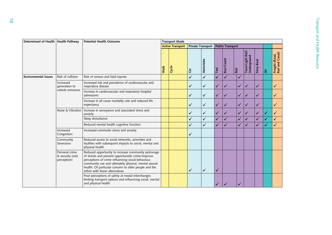| Determinant of Health   Health Pathway |                                                  | <b>Potential Health Outcome</b>                                                                                                                                                                                                                                                                                     | <b>Transport Mode</b>   |       |                                    |              |              |                      |              |                                 |                      |              |                                   |  |  |
|----------------------------------------|--------------------------------------------------|---------------------------------------------------------------------------------------------------------------------------------------------------------------------------------------------------------------------------------------------------------------------------------------------------------------------|-------------------------|-------|------------------------------------|--------------|--------------|----------------------|--------------|---------------------------------|----------------------|--------------|-----------------------------------|--|--|
|                                        |                                                  |                                                                                                                                                                                                                                                                                                                     | <b>Active Transport</b> |       | Private Transport Public Transport |              |              |                      |              |                                 |                      |              |                                   |  |  |
|                                        |                                                  |                                                                                                                                                                                                                                                                                                                     | Walk                    | Cycle | Car                                | Motorbike    | Taxi         | Bus/Coach            | Rail         | Tram/Light Rail/<br>Underground | <b>Boat</b><br>Ferry | I≹           | Freight (Road,<br>Rail and Canal) |  |  |
| <b>Environmental Issues</b>            | Risk of collision                                | Risk of serious and fatal injuries                                                                                                                                                                                                                                                                                  |                         |       | $\checkmark$                       | $\checkmark$ | $\checkmark$ | $\checkmark$         | $\checkmark$ |                                 |                      |              |                                   |  |  |
|                                        | Increased<br>generation to<br>vehicle emissions  | Increased risk and prevalence of cardiovascular and<br>respiratory disease                                                                                                                                                                                                                                          |                         |       | $\checkmark$                       | $\checkmark$ | $\checkmark$ | ✓                    | $\checkmark$ | ✓                               | ✓                    |              | ✓                                 |  |  |
|                                        |                                                  | Increase in cardiovascular and respiratory hospital<br>admissions                                                                                                                                                                                                                                                   |                         |       | $\checkmark$                       | $\checkmark$ | ✓            | $\checkmark$         | $\sqrt{}$    | ✓                               | ✓                    |              | ✓                                 |  |  |
|                                        |                                                  | Increase in all cause mortality rate and reduced life<br>expectancy                                                                                                                                                                                                                                                 |                         |       | ✓                                  | ✓            | ✓            | ✓                    | $\sqrt{}$    | ✓                               | ✓                    |              | ✓                                 |  |  |
|                                        |                                                  | Noise & Vibration   Increase in annoyance and associated stress and<br>anxiety                                                                                                                                                                                                                                      |                         |       | $\checkmark$                       | $\checkmark$ | $\checkmark$ | $\checkmark$         | $\checkmark$ | ✓                               | $\checkmark$         | $\checkmark$ | ✓                                 |  |  |
|                                        |                                                  | Sleep disturbance                                                                                                                                                                                                                                                                                                   |                         |       | $\checkmark$                       | $\checkmark$ | $\checkmark$ | $\checkmark$         | $\checkmark$ | $\checkmark$                    | $\checkmark$         |              | $\checkmark$                      |  |  |
| Increased<br>Severance                 |                                                  | Reduced mental health cognitive function                                                                                                                                                                                                                                                                            |                         |       | $\checkmark$                       | $\checkmark$ | $\checkmark$ | $\blacktriangledown$ | $\checkmark$ | $\blacktriangledown$            | $\checkmark$         |              | ✓                                 |  |  |
|                                        | Congestion                                       | Increased commuter stress and anxiety                                                                                                                                                                                                                                                                               |                         |       | ✓                                  |              |              |                      |              |                                 |                      |              |                                   |  |  |
|                                        | Community                                        | Reduced access to social networks, amenities and<br>facilities with subsequent impacts to social, mental and<br>physical health                                                                                                                                                                                     |                         |       |                                    |              |              |                      |              |                                 |                      |              |                                   |  |  |
|                                        | Personal crime<br>& security (and<br>perception) | Reduced opportunity to increase community patronage<br>of streets and prevent opportunistic crime/improve<br>perceptions of crime influencing social behaviour,<br>community use and ultimately physical, mental asocial<br>health. Of particular concern to older people and the<br>infirm with fewer alternatives |                         |       | ✓                                  | $\checkmark$ | ✓            |                      |              |                                 |                      |              |                                   |  |  |
|                                        |                                                  | Poor perceptions of safety at modal interchanges<br>limiting transport options and influencing social, mental<br>and physical health                                                                                                                                                                                |                         |       |                                    |              | ✓            |                      |              |                                 |                      |              |                                   |  |  |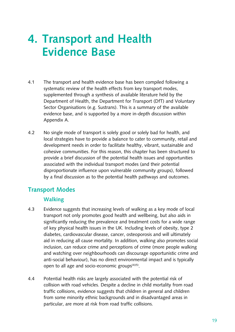# **4. Transport and Health evidence Base**

- 4.1 The transport and health evidence base has been compiled following a systematic review of the health effects from key transport modes, supplemented through a synthesis of available literature held by the Department of Health, the Department for Transport (DfT) and Voluntary Sector Organisations (e.g. Sustrans). This is a summary of the available evidence base, and is supported by a more in-depth discussion within Appendix A.
- 4.2 No single mode of transport is solely good or solely bad for health, and local strategies have to provide a balance to cater to community, retail and development needs in order to facilitate healthy, vibrant, sustainable and cohesive communities. For this reason, this chapter has been structured to provide a brief discussion of the potential health issues and opportunities associated with the individual transport modes (and their potential disproportionate influence upon vulnerable community groups), followed by a final discussion as to the potential health pathways and outcomes.

### **Transport modes**

### **Walking**

- 4.3 Evidence suggests that increasing levels of walking as a key mode of local transport not only promotes good health and wellbeing, but also aids in significantly reducing the prevalence and treatment costs for a wide range of key physical health issues in the UK. Including levels of obesity, type 2 diabetes, cardiovascular disease, cancer, osteoporosis and will ultimately aid in reducing all cause mortality. In addition, walking also promotes social inclusion, can reduce crime and perceptions of crime (more people walking and watching over neighbourhoods can discourage opportunistic crime and anti-social behaviour), has no direct environmental impact and is typically open to all age and socio-economic groups $(4)(5)$ .
- 4.4 Potential health risks are largely associated with the potential risk of collision with road vehicles. Despite a decline in child mortality from road traffic collisions, evidence suggests that children in general and children from some minority ethnic backgrounds and in disadvantaged areas in particular, are more at risk from road traffic collisions.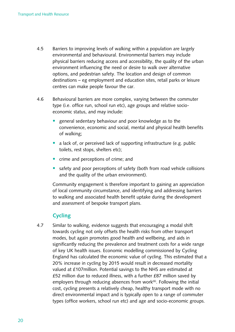- 4.5 Barriers to improving levels of walking within a population are largely environmental and behavioural. Environmental barriers may include physical barriers reducing access and accessibility, the quality of the urban environment influencing the need or desire to walk over alternative options, and pedestrian safety. The location and design of common destinations – eg employment and education sites, retail parks or leisure centres can make people favour the car.
- 4.6 Behavioural barriers are more complex, varying between the commuter type (i.e. office run, school run etc), age groups and relative socioeconomic status, and may include:
	- general sedentary behaviour and poor knowledge as to the convenience, economic and social, mental and physical health benefits of walking;
	- a lack of, or perceived lack of supporting infrastructure (e.g. public toilets, rest stops, shelters etc);
	- crime and perceptions of crime; and
	- safety and poor perceptions of safety (both from road vehicle collisions and the quality of the urban environment).

Community engagement is therefore important to gaining an appreciation of local community circumstance, and identifying and addressing barriers to walking and associated health benefit uptake during the development and assessment of bespoke transport plans.

### **Cycling**

4.7 Similar to walking, evidence suggests that encouraging a modal shift towards cycling not only offsets the health risks from other transport modes, but again promotes good health and wellbeing, and aids in significantly reducing the prevalence and treatment costs for a wide range of key UK health issues. Economic modelling commissioned by Cycling England has calculated the economic value of cycling. This estimated that a 20% increase in cycling by 2015 would result in decreased mortality valued at £107 million. Potential savings to the NHS are estimated at £52 million due to reduced illness, with a further £87 million saved by employers through reducing absences from work $(6)$ . Following the initial cost, cycling presents a relatively cheap, healthy transport mode with no direct environmental impact and is typically open to a range of commuter types (office workers, school run etc) and age and socio-economic groups.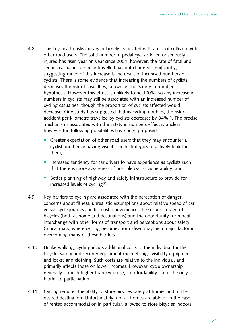- 4.8 The key health risks are again largely associated with a risk of collision with other road users. The total number of pedal cyclists killed or seriously injured has risen year on year since 2004, however, the rate of fatal and serious casualties per mile travelled has not changed significantly, suggesting much of this increase is the result of increased numbers of cyclists. There is some evidence that increasing the numbers of cyclists decreases the risk of casualties, known as the 'safety in numbers' hypothesis. However this effect is unlikely to be 100%, so any increase in numbers in cyclists may still be associated with an increased number of cycling casualties, though the proportion of cyclists affected would decrease. One study has suggested that as cycling doubles, the risk of accident per kilometre travelled by cyclists decreases by  $34\%$ <sup>(7)</sup>. The precise mechanisms associated with the safety in numbers effect is unclear, however the following possibilities have been proposed:
	- Greater expectation of other road users that they may encounter a cyclist and hence having visual search strategies to actively look for them;
	- Increased tendency for car drivers to have experience as cyclists such that there is more awareness of possible cyclist vulnerability; and
	- Better planning of highway and safety infrastructure to provide for increased levels of cycling<sup>(7)</sup>.
- 4.9 Key barriers to cycling are associated with the perception of danger, concerns about fitness, unrealistic assumptions about relative speed of car versus cycle journeys, initial cost, convenience, the secure storage of bicycles (both at home and destinations) and the opportunity for modal interchange with other forms of transport and perceptions about safety. Critical mass, where cycling becomes normalised may be a major factor in overcoming many of these barriers.
- 4.10 Unlike walking, cycling incurs additional costs to the individual for the bicycle, safety and security equipment (helmet, high visibility equipment and locks) and clothing. Such costs are relative to the individual, and primarily affects those on lower incomes. However, cycle ownership generally is much higher than cycle use, so affordability is not the only barrier to participation.
- 4.11 Cycling requires the ability to store bicycles safely at homes and at the desired destination. Unfortunately, not all homes are able or in the case of rented accommodation in particular, allowed to store bicycles indoors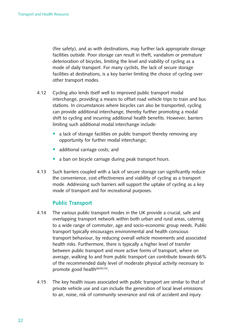(fire safety), and as with destinations, may further lack appropriate storage facilities outside. Poor storage can result in theft, vandalism or premature deterioration of bicycles, limiting the level and viability of cycling as a mode of daily transport. For many cyclists, the lack of secure storage facilities at destinations, is a key barrier limiting the choice of cycling over other transport modes.

- 4.12 Cycling also lends itself well to improved public transport modal interchange, providing a means to offset road vehicle trips to train and bus stations. In circumstances where bicycles can also be transported, cycling can provide additional interchange, thereby further promoting a modal shift to cycling and incurring additional health benefits. However, barriers limiting such additional modal interchange include:
	- a lack of storage facilities on public transport thereby removing any opportunity for further modal interchange;
	- additional carriage costs; and
	- a ban on bicycle carriage during peak transport hours.
- 4.13 Such barriers coupled with a lack of secure storage can significantly reduce the convenience, cost effectiveness and viability of cycling as a transport mode. Addressing such barriers will support the uptake of cycling as a key mode of transport and for recreational purposes.

#### **Public Transport**

- 4.14 The various public transport modes in the UK provide a crucial, safe and overlapping transport network within both urban and rural areas, catering to a wide range of commuter, age and socio-economic group needs. Public transport typically encourages environmental and health conscious transport behaviour, by reducing overall vehicle movements and associated health risks. Furthermore, there is typically a higher level of transfer between public transport and more active forms of transport, where on average, walking to and from public transport can contribute towards 66% of the recommended daily level of moderate physical activity necessary to promote good health<sup>(8)(9)(10)</sup>.
- 4.15 The key health issues associated with public transport are similar to that of private vehicle use and can include the generation of local level emissions to air, noise, risk of community severance and risk of accident and injury.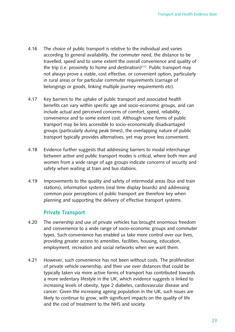- 4.16 The choice of public transport is relative to the individual and varies according to general availability, the commuter need, the distance to be travelled, speed and to some extent the overall convenience and quality of the trip (i.e. proximity to home and destination)<sup>(11)</sup>. Public transport may not always prove a viable, cost effective, or convenient option, particularly in rural areas or for particular commuter requirements (carriage of belongings or goods, linking multiple journey requirements etc).
- 4.17 Key barriers to the uptake of public transport and associated health benefits can vary within specific age and socio-economic groups, and can include actual and perceived concerns of comfort, speed, reliability, convenience and to some extent cost. Although some forms of public transport may be less accessible to socio-economically disadvantaged groups (particularly during peak times), the overlapping nature of public transport typically provides alternatives, yet may prove less convenient.
- 4.18 Evidence further suggests that addressing barriers to modal interchange between active and public transport modes is critical, where both men and women from a wide range of age groups indicate concerns of security and safety when waiting at train and bus stations.
- 4.19 Improvements to the quality and safety of intermodal areas (bus and train stations), information systems (real time display boards) and addressing common poor perceptions of public transport are therefore key when planning and supporting the delivery of effective transport systems.

#### **Private Transport**

- 4.20 The ownership and use of private vehicles has brought enormous freedom and convenience to a wide range of socio-economic groups and commuter types. Such convenience has enabled us take more control over our lives, providing greater access to amenities, facilities, housing, education, employment, recreation and social networks when we want them.
- 4.21 However, such convenience has not been without costs. The proliferation of private vehicle ownership, and their use over distances that could be typically taken via more active forms of transport has contributed towards a more sedentary lifestyle in the UK, which evidence suggests is linked to increasing levels of obesity, type 2 diabetes, cardiovascular disease and cancer. Given the increasing ageing population in the UK, such issues are likely to continue to grow, with significant impacts on the quality of life and the cost of treatment to the NHS and society.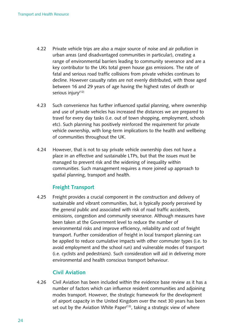- 4.22 Private vehicle trips are also a major source of noise and air pollution in urban areas (and disadvantaged communities in particular), creating a range of environmental barriers leading to community severance and are a key contributor to the UKs total green house gas emissions. The rate of fatal and serious road traffic collisions from private vehicles continues to decline. However casualty rates are not evenly distributed, with those aged between 16 and 29 years of age having the highest rates of death or serious injury<sup>(12)</sup>
- 4.23 Such convenience has further influenced spatial planning, where ownership and use of private vehicles has increased the distances we are prepared to travel for every day tasks (i.e. out of town shopping, employment, schools etc). Such planning has positively reinforced the requirement for private vehicle ownership, with long-term implications to the health and wellbeing of communities throughout the UK.
- 4.24 However, that is not to say private vehicle ownership does not have a place in an effective and sustainable LTPs, but that the issues must be managed to prevent risk and the widening of inequality within communities. Such management requires a more joined up approach to spatial planning, transport and health.

### **freight Transport**

4.25 Freight provides a crucial component in the construction and delivery of sustainable and vibrant communities, but, is typically poorly perceived by the general public and associated with risk of road traffic accidents, emissions, congestion and community severance. Although measures have been taken at the Government level to reduce the number of environmental risks and improve efficiency, reliability and cost of freight transport. Further consideration of freight in local transport planning can be applied to reduce cumulative impacts with other commuter types (i.e. to avoid employment and the school run) and vulnerable modes of transport (i.e. cyclists and pedestrians). Such consideration will aid in delivering more environmental and health conscious transport behaviour.

### **Civil aviation**

4.26 Civil Aviation has been included within the evidence base review as it has a number of factors which can influence resident communities and adjoining modes transport. However, the strategic framework for the development of airport capacity in the United Kingdom over the next 30 years has been set out by the Aviation White Paper $(13)$ , taking a strategic view of where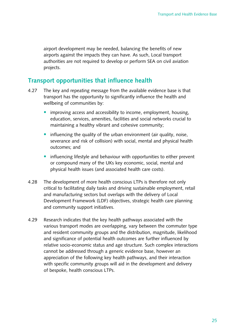airport development may be needed, balancing the benefits of new airports against the impacts they can have. As such, Local transport authorities are not required to develop or perform SEA on civil aviation projects. 

### **Transport opportunities that influence health**

- 4.27 The key and repeating message from the available evidence base is that transport has the opportunity to significantly influence the health and wellbeing of communities by:
	- improving access and accessibility to income, employment, housing, education, services, amenities, facilities and social networks crucial to maintaining a healthy vibrant and cohesive community;
	- influencing the quality of the urban environment (air quality, noise, severance and risk of collision) with social, mental and physical health outcomes; and
	- influencing lifestyle and behaviour with opportunities to either prevent or compound many of the UKs key economic, social, mental and physical health issues (and associated health care costs).
- 4.28 The development of more health conscious LTPs is therefore not only critical to facilitating daily tasks and driving sustainable employment, retail and manufacturing sectors but overlaps with the delivery of Local Development Framework (LDF) objectives, strategic health care planning and community support initiatives.
- 4.29 Research indicates that the key health pathways associated with the various transport modes are overlapping, vary between the commuter type and resident community groups and the distribution, magnitude, likelihood and significance of potential health outcomes are further influenced by relative socio-economic status and age structure. Such complex interactions cannot be addressed through a generic evidence base, however an appreciation of the following key health pathways, and their interaction with specific community groups will aid in the development and delivery of bespoke, health conscious LTPs.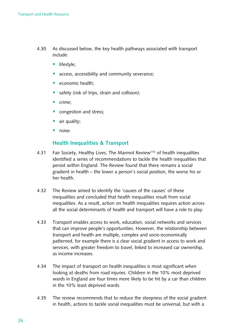- 4.30 As discussed below, the key health pathways associated with transport include:
	- lifestyle:
	- access, accessibility and community severance;
	- economic health;
	- safety (risk of trips, strain and collision);
	- crime:
	- congestion and stress;
	- air quality;
	- noise.

#### **Health Inequalities & Transport**

- 4.31 Fair Society, Healthy Lives, The Marmot Review<sup>(14)</sup> of health inequalities identified a series of recommendations to tackle the health inequalities that persist within England. The Review found that there remains a social gradient in health – the lower a person's social position, the worse his or her health.
- 4.32 The Review aimed to identify the 'causes of the causes' of these inequalities and concluded that health inequalities result from social inequalities. As a result, action on health inequalities requires action across all the social determinants of health and transport will have a role to play.
- 4.33 Transport enables access to work, education, social networks and services that can improve people's opportunities. However, the relationship between transport and health are multiple, complex and socio-economically patterned, for example there is a clear social gradient in access to work and services, with greater freedom to travel, linked to increased car ownership, as income increases.
- 4.34 The impact of transport on health inequalities is most significant when looking at deaths from road injuries. Children in the 10% most deprived wards in England are four times more likely to be hit by a car than children in the 10% least deprived wards.
- 4.35 The review recommends that to reduce the steepness of the social gradient in health, actions to tackle social inequalities must be universal, but with a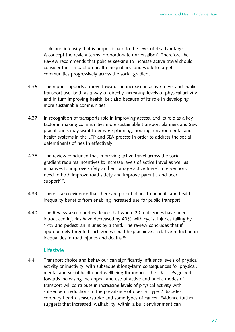scale and intensity that is proportionate to the level of disadvantage. A concept the review terms 'proportionate universalism'. Therefore the Review recommends that policies seeking to increase active travel should consider their impact on health inequalities, and work to target communities progressively across the social gradient.

- 4.36 The report supports a move towards an increase in active travel and public transport use, both as a way of directly increasing levels of physical activity and in turn improving health, but also because of its role in developing more sustainable communities.
- 4.37 In recognition of transports role in improving access, and its role as a key factor in making communities more sustainable transport planners and SEA practitioners may want to engage planning, housing, environmental and health systems in the LTP and SEA process in order to address the social determinants of health effectively.
- 4.38 The review concluded that improving active travel across the social gradient requires incentives to increase levels of active travel as well as initiatives to improve safety and encourage active travel. Interventions need to both improve road safety and improve parental and peer support<sup>(15)</sup>.
- 4.39 There is also evidence that there are potential health benefits and health inequality benefits from enabling increased use for public transport.
- 4.40 The Review also found evidence that where 20 mph zones have been introduced injuries have decreased by 40% with cyclist injuries falling by 17% and pedestrian injuries by a third. The review concludes that if appropriately targeted such zones could help achieve a relative reduction in inequalities in road injuries and deaths $(16)$ .

### **Lifestyle**

4.41 Transport choice and behaviour can significantly influence levels of physical activity or inactivity, with subsequent long-term consequences for physical, mental and social health and wellbeing throughout the UK. LTPs geared towards increasing the appeal and use of active and public modes of transport will contribute in increasing levels of physical activity with subsequent reductions in the prevalence of obesity, type 2 diabetes, coronary heart disease/stroke and some types of cancer. Evidence further suggests that increased 'walkability' within a built environment can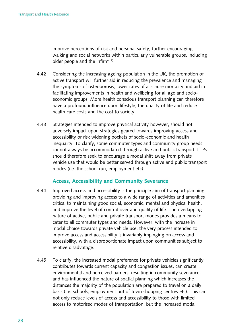improve perceptions of risk and personal safety, further encouraging walking and social networks within particularly vulnerable groups, including older people and the infirm $(17)$ .

- 4.42 Considering the increasing ageing population in the UK, the promotion of active transport will further aid in reducing the prevalence and managing the symptoms of osteoporosis, lower rates of all-cause mortality and aid in facilitating improvements in health and wellbeing for all age and socioeconomic groups. More health conscious transport planning can therefore have a profound influence upon lifestyle, the quality of life and reduce health care costs and the cost to society.
- 4.43 Strategies intended to improve physical activity however, should not adversely impact upon strategies geared towards improving access and accessibility or risk widening pockets of socio-economic and health inequality. To clarify, some commuter types and community group needs cannot always be accommodated through active and public transport. LTPs should therefore seek to encourage a modal shift away from private vehicle use that would be better served through active and public transport modes (i.e. the school run, employment etc).

#### **access, accessibility and Community Severance**

- 4.44 Improved access and accessibility is the principle aim of transport planning, providing and improving access to a wide range of activities and amenities critical to maintaining good social, economic, mental and physical health, and improve the level of control over and quality of life. The overlapping nature of active, public and private transport modes provides a means to cater to all commuter types and needs. However, with the increase in modal choice towards private vehicle use, the very process intended to improve access and accessibility is invariably impinging on access and accessibility, with a disproportionate impact upon communities subject to relative disadvatage.
- 4.45 To clarify, the increased modal preference for private vehicles significantly contributes towards current capacity and congestion issues, can create environmental and perceived barriers, resulting in community severance, and has influenced the nature of spatial planning which increases the distances the majority of the population are prepared to travel on a daily basis (i.e. schools, employment out of town shopping centres etc). This can not only reduce levels of access and accessibility to those with limited access to motorised modes of transportation, but the increased modal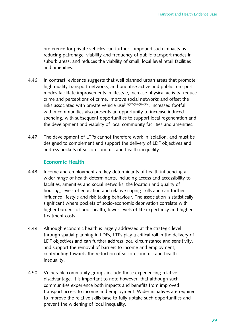preference for private vehicles can further compound such impacts by reducing patronage, viability and frequency of public transport modes in suburb areas, and reduces the viability of small, local level retail facilities and amenities.

- 4.46 In contrast, evidence suggests that well planned urban areas that promote high quality transport networks, and prioritise active and public transport modes facilitate improvements in lifestyle, increase physical activity, reduce crime and perceptions of crime, improve social networks and offset the risks associated with private vehicle  $use^{(11)(17)(18)(19)(20)}$ . Increased footfall within communities also presents an opportunity to increase induced spending, with subsequent opportunities to support local regeneration and the development and viability of local community facilities and amenities.
- 4.47 The development of LTPs cannot therefore work in isolation, and must be designed to complement and support the delivery of LDF objectives and address pockets of socio-economic and health inequality.

#### **economic Health**

- 4.48 Income and employment are key determinants of health influencing a wider range of health determinants, including access and accessibility to facilities, amenities and social networks, the location and quality of housing, levels of education and relative coping skills and can further influence lifestyle and risk taking behaviour. The association is statistically significant where pockets of socio-economic deprivation correlate with higher burdens of poor health, lower levels of life expectancy and higher treatment costs.
- 4.49 Although economic health is largely addressed at the strategic level through spatial planning in LDFs, LTPs play a critical roll in the delivery of LDF objectives and can further address local circumstance and sensitivity, and support the removal of barriers to income and employment, contributing towards the reduction of socio-economic and health inequality.
- 4.50 Vulnerable community groups include those experiencing relative disadvantage. It is important to note however, that although such communities experience both impacts and benefits from improved transport access to income and employment. Wider initiatives are required to improve the relative skills base to fully uptake such opportunities and prevent the widening of local inequality.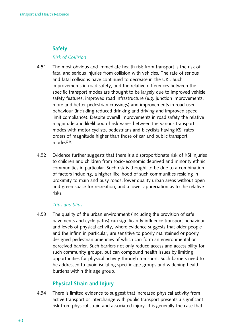### **Safety**

#### *Risk of Collision*

- 4.51 The most obvious and immediate health risk from transport is the risk of fatal and serious injuries from collision with vehicles. The rate of serious and fatal collisions have continued to decrease in the UK. Such improvements in road safety, and the relative differences between the specific transport modes are thought to be largely due to improved vehicle safety features, improved road infrastructure (e.g. junction improvements, more and better pedestrian crossings) and improvements in road user behaviour (including reduced drinking and driving and improved speed limit compliance). Despite overall improvements in road safety the relative magnitude and likelihood of risk varies between the various transport modes with motor cyclists, pedestrians and bicyclists having KSI rates orders of magnitude higher than those of car and public transport  $modes<sup>(21)</sup>.$
- 4.52 Evidence further suggests that there is a disproportionate risk of KSI injuries to children and children from socio-economic deprived and minority ethnic communities in particular. Such risk is thought to be due to a combination of factors including, a higher likelihood of such communities residing in proximity to main and busy roads, lower quality urban areas without open and green space for recreation, and a lower appreciation as to the relative risks.

#### *Trips and Slips*

4.53 The quality of the urban environment (including the provision of safe pavements and cycle paths) can significantly influence transport behaviour and levels of physical activity, where evidence suggests that older people and the infirm in particular, are sensitive to poorly maintained or poorly designed pedestrian amenities of which can form an environmental or perceived barrier. Such barriers not only reduce access and accessibility for such community groups, but can compound health issues by limiting opportunities for physical activity through transport. Such barriers need to be addressed to avoid isolating specific age groups and widening health burdens within this age group.

### **Physical Strain and Injury**

4.54 There is limited evidence to suggest that increased physical activity from active transport or interchange with public transport presents a significant risk from physical strain and associated injury. It is generally the case that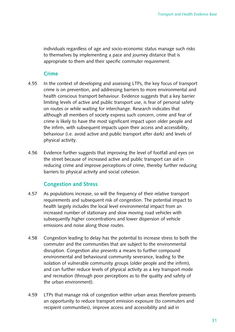individuals regardless of age and socio-economic status manage such risks to themselves by implementing a pace and journey distance that is appropriate to them and their specific commuter requirement.

#### **Crime**

- 4.55 In the context of developing and assessing LTPs, the key focus of transport crime is on prevention, and addressing barriers to more environmental and health conscious transport behaviour. Evidence suggests that a key barrier limiting levels of active and public transport use, is fear of personal safety on routes or while waiting for interchange. Research indicates that although all members of society express such concern, crime and fear of crime is likely to have the most significant impact upon older people and the infirm, with subsequent impacts upon their access and accessibility, behaviour (i.e. avoid active and public transport after dark) and levels of physical activity.
- 4.56 Evidence further suggests that improving the level of footfall and eyes on the street because of increased active and public transport can aid in reducing crime and improve perceptions of crime, thereby further reducing barriers to physical activity and social cohesion.

#### **Congestion and Stress**

- 4.57 As populations increase, so will the frequency of their relative transport requirements and subsequent risk of congestion. The potential impact to health largely includes the local level environmental impact from an increased number of stationary and slow moving road vehicles with subsequently higher concentrations and lower dispersion of vehicle emissions and noise along those routes.
- 4.58 Congestion leading to delay has the potential to increase stress to both the commuter and the communities that are subject to the environmental disruption. Congestion also presents a means to further compound environmental and behavioural community severance, leading to the isolation of vulnerable community groups (older people and the infirm), and can further reduce levels of physical activity as a key transport mode and recreation (through poor perceptions as to the quality and safety of the urban environment).
- 4.59 LTPs that manage risk of congestion within urban areas therefore presents an opportunity to reduce transport emission exposure (to commuters and recipient communities), improve access and accessibility and aid in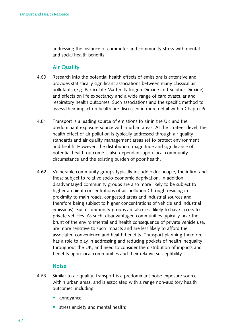addressing the instance of commuter and community stress with mental and social health benefits

#### **air Quality**

- 4.60 Research into the potential health effects of emissions is extensive and provides statistically significant associations between many classical air pollutants (e.g. Particulate Matter, Nitrogen Dioxide and Sulphur Dioxide) and effects on life expectancy and a wide range of cardiovascular and respiratory health outcomes. Such associations and the specific method to assess their impact on health are discussed in more detail within Chapter 6.
- 4.61 Transport is a leading source of emissions to air in the UK and the predominant exposure source within urban areas. At the strategic level, the health effect of air pollution is typically addressed through air quality standards and air quality management areas set to protect environment and health. However, the distribution, magnitude and significance of potential health outcome is also dependant upon local community circumstance and the existing burden of poor health.
- 4.62 Vulnerable community groups typically include older people, the infirm and those subject to relative socio-economic deprivation. In addition, disadvantaged community groups are also more likely to be subject to higher ambient concentrations of air pollution (through residing in proximity to main roads, congested areas and industrial sources and therefore being subject to higher concentrations of vehicle and industrial emissions). Such community groups are also less likely to have access to private vehicles. As such, disadvantaged communities typically bear the brunt of the environmental and health consequence of private vehicle use, are more sensitive to such impacts and are less likely to afford the associated convenience and health benefits. Transport planning therefore has a role to play in addressing and reducing pockets of health inequality throughout the UK, and need to consider the distribution of impacts and benefits upon local communities and their relative susceptibility.

#### **noise**

- 4.63 Similar to air quality, transport is a predominant noise exposure source within urban areas, and is associated with a range non-auditory health outcomes, including:
	- annoyance;
	- stress anxiety and mental health;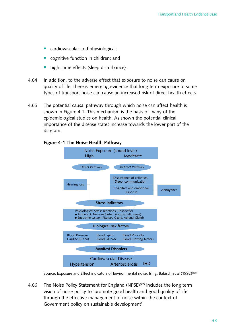- cardiovascular and physiological;
- cognitive function in children; and
- night time effects (sleep disturbance).
- 4.64 In addition, to the adverse effect that exposure to noise can cause on quality of life, there is emerging evidence that long term exposure to some types of transport noise can cause an increased risk of direct health effects
- 4.65 The potential causal pathway through which noise can affect health is shown in Figure 4.1. This mechanism is the basis of many of the epidemiological studies on health. As shown the potential clinical importance of the disease states increase towards the lower part of the diagram.



#### **figure 4-1 The Noise Health Pathway**

Source: Exposure and Effect indicators of Environmental noise. Ising, Babisch et al (1992)<sup>(108)</sup>

4.66 The Noise Policy Statement for England (NPSE)<sup>(22)</sup> includes the long term vision of noise policy to 'promote good health and good quality of life through the effective management of noise within the context of Government policy on sustainable development'.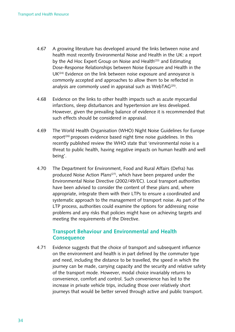- 4.67 A growing literature has developed around the links between noise and health most recently Environmental Noise and Health in the UK: a report by the Ad Hoc Expert Group on Noise and Health<sup>(23)</sup> and Estimating Dose-Response Relationships between Noise Exposure and Health in the  $UK<sup>(24)</sup>$  Evidence on the link between noise exposure and annoyance is commonly accepted and approaches to allow them to be reflected in analysis are commonly used in appraisal such as WebTAG<sup> $(25)$ </sup>.
- 4.68 Evidence on the links to other health impacts such as acute myocardial infarctions, sleep disturbances and hypertension are less developed. However, given the prevailing balance of evidence it is recommended that such effects should be considered in appraisal.
- 4.69 The World Health Organisation (WHO) Night Noise Guidelines for Europe report<sup> $(26)$ </sup> proposes evidence based night time noise guidelines. In this recently published review the WHO state that 'environmental noise is a threat to public health, having negative impacts on human health and well being'.
- 4.70 The Department for Environment, Food and Rural Affairs (Defra) has produced Noise Action Plans<sup>(27)</sup>, which have been prepared under the Environmental Noise Directive (2002/49/EC). Local transport authorities have been advised to consider the content of these plans and, where appropriate, integrate them with their LTPs to ensure a coordinated and systematic approach to the management of transport noise. As part of the LTP process, authorities could examine the options for addressing noise problems and any risks that policies might have on achieving targets and meeting the requirements of the Directive.

#### **Transport Behaviour and environmental and Health Consequence**

4.71 Evidence suggests that the choice of transport and subsequent influence on the environment and health is in part defined by the commuter type and need, including the distance to be travelled, the speed in which the journey can be made, carrying capacity and the security and relative safety of the transport mode. However, modal choice invariably returns to convenience, comfort and control. Such convenience has led to the increase in private vehicle trips, including those over relatively short journeys that would be better served through active and public transport.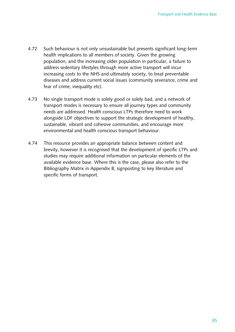- 4.72 Such behaviour is not only unsustainable but presents significant long-term health implications to all members of society. Given the growing population, and the increasing older population in particular, a failure to address sedentary lifestyles through more active transport will incur increasing costs to the NHS and ultimately society, to treat preventable diseases and address current social issues (community severance, crime and fear of crime, inequality etc).
- 4.73 No single transport mode is solely good or solely bad, and a network of transport modes is necessary to ensure all journey types and community needs are addressed. Health conscious LTPs therefore need to work alongside LDF objectives to support the strategic development of healthy, sustainable, vibrant and cohesive communities, and encourage more environmental and health conscious transport behaviour.
- 4.74 This resource provides an appropriate balance between content and brevity, however it is recognised that the development of specific LTPs and studies may require additional information on particular elements of the available evidence base. Where this is the case, please also refer to the Bibliography Matrix in Appendix B, signposting to key literature and specific forms of transport.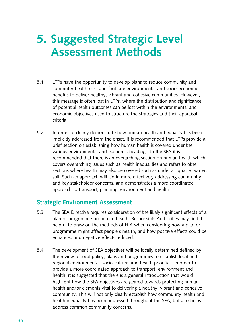# **5. Suggested Strategic Level assessment methods**

- 5.1 LTPs have the opportunity to develop plans to reduce community and commuter health risks and facilitate environmental and socio-economic benefits to deliver healthy, vibrant and cohesive communities. However, this message is often lost in LTPs, where the distribution and significance of potential health outcomes can be lost within the environmental and economic objectives used to structure the strategies and their appraisal criteria.
- 5.2 In order to clearly demonstrate how human health and equality has been implicitly addressed from the onset, it is recommended that LTPs provide a brief section on establishing how human health is covered under the various environmental and economic headings. In the SEA it is recommended that there is an overarching section on human health which covers overarching issues such as health inequalities and refers to other sections where health may also be covered such as under air quality, water, soil. Such an approach will aid in more effectively addressing community and key stakeholder concerns, and demonstrates a more coordinated approach to transport, planning, environment and health.

#### **Strategic Environment Assessment**

- 5.3 The SEA Directive requires consideration of the likely significant effects of a plan or programme on human health. Responsible Authorities may find it helpful to draw on the methods of HIA when considering how a plan or programme might affect people's health, and how positive effects could be enhanced and negative effects reduced.
- 5.4 The development of SEA objectives will be locally determined defined by the review of local policy, plans and programmes to establish local and regional environmental, socio-cultural and health priorities. In order to provide a more coordinated approach to transport, environment and health, it is suggested that there is a general introduction that would highlight how the SEA objectives are geared towards protecting human health and/or elements vital to delivering a healthy, vibrant and cohesive community. This will not only clearly establish how community health and health inequality has been addressed throughout the SEA, but also helps address common community concerns.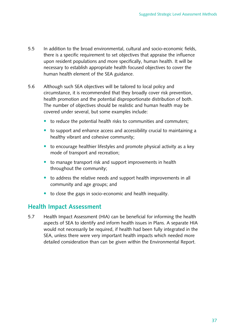- 5.5 In addition to the broad environmental, cultural and socio-economic fields, there is a specific requirement to set objectives that appraise the influence upon resident populations and more specifically, human health. It will be necessary to establish appropriate health focused objectives to cover the human health element of the SEA guidance.
- 5.6 Although such SEA objectives will be tailored to local policy and circumstance, it is recommended that they broadly cover risk prevention, health promotion and the potential disproportionate distribution of both. The number of objectives should be realistic and human health may be covered under several, but some examples include:
	- to reduce the potential health risks to communities and commuters;
	- to support and enhance access and accessibility crucial to maintaining a healthy vibrant and cohesive community;
	- $\bullet$  to encourage healthier lifestyles and promote physical activity as a key mode of transport and recreation;
	- to manage transport risk and support improvements in health throughout the community;
	- to address the relative needs and support health improvements in all community and age groups; and
	- to close the gaps in socio-economic and health inequality.

### **Health Impact Assessment**

5.7 Health Impact Assessment (HIA) can be beneficial for informing the health aspects of SEA to identify and inform health issues in Plans. A separate HIA would not necessarily be required, if health had been fully integrated in the SEA, unless there were very important health impacts which needed more detailed consideration than can be given within the Environmental Report.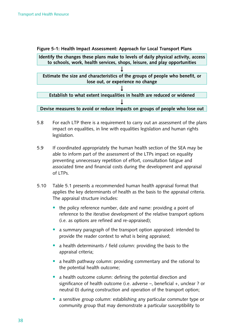**figure 5‑1: Health Impact assessment: approach for Local Transport Plans** 



- 5.8 For each LTP there is a requirement to carry out an assessment of the plans impact on equalities, in line with equalities legislation and human rights legislation.
- 5.9 If coordinated appropriately the human health section of the SEA may be able to inform part of the assessment of the LTPs impact on equality preventing unnecessary repetition of effort, consultation fatigue and associated time and financial costs during the development and appraisal of LTPs.
- 5.10 Table 5.1 presents a recommended human health appraisal format that applies the key determinants of health as the basis to the appraisal criteria. The appraisal structure includes:
	- the policy reference number, date and name: providing a point of reference to the iterative development of the relative transport options (i.e. as options are refined and re-appraised);
	- a summary paragraph of the transport option appraised: intended to provide the reader context to what is being appraised;
	- a health determinants / field column: providing the basis to the appraisal criteria;
	- a health pathway column: providing commentary and the rational to the potential health outcome;
	- a health outcome column: defining the potential direction and significance of health outcome (i.e. adverse  $-$ , beneficial  $+$ , unclear ? or neutral 0) during construction and operation of the transport option;
	- a sensitive group column: establishing any particular commuter type or community group that may demonstrate a particular susceptibility to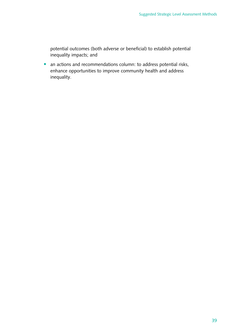potential outcomes (both adverse or beneficial) to establish potential inequality impacts; and

• an actions and recommendations column: to address potential risks, enhance opportunities to improve community health and address inequality.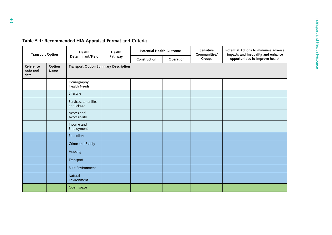| <b>Transport Option</b>       |                | Health                                      | Health  | <b>Potential Health Outcome</b> |           | Sensitive<br>Communities/ | Potential Actions to minimise adverse<br>impacts and inequality and enhance |
|-------------------------------|----------------|---------------------------------------------|---------|---------------------------------|-----------|---------------------------|-----------------------------------------------------------------------------|
|                               |                | Determinant/Field                           | Pathway | Construction                    | Operation | Groups                    | opportunities to improve health                                             |
| Reference<br>code and<br>date | Option<br>Name | <b>Transport Option Summary Description</b> |         |                                 |           |                           |                                                                             |
|                               |                | Demography<br><b>Health Needs</b>           |         |                                 |           |                           |                                                                             |
|                               |                | Lifestyle                                   |         |                                 |           |                           |                                                                             |
|                               |                | Services, amenities<br>and leisure          |         |                                 |           |                           |                                                                             |
|                               |                | Access and<br>Accessibility                 |         |                                 |           |                           |                                                                             |
|                               |                | Income and<br>Employment                    |         |                                 |           |                           |                                                                             |
|                               |                | Education                                   |         |                                 |           |                           |                                                                             |
|                               |                | Crime and Safety                            |         |                                 |           |                           |                                                                             |
|                               |                | Housing                                     |         |                                 |           |                           |                                                                             |
|                               |                | Transport                                   |         |                                 |           |                           |                                                                             |
|                               |                | <b>Built Environment</b>                    |         |                                 |           |                           |                                                                             |
|                               |                | Natural<br>Environment                      |         |                                 |           |                           |                                                                             |
|                               |                | Open space                                  |         |                                 |           |                           |                                                                             |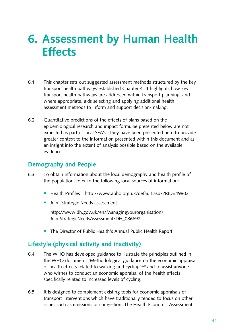# **6. assessment by Human Health effects**

- 6.1 This chapter sets out suggested assessment methods structured by the key transport health pathways established Chapter 4. It highlights how key transport health pathways are addressed within transport planning, and where appropriate, aids selecting and applying additional health assessment methods to inform and support decision-making.
- 6.2 Quantitative predictions of the effects of plans based on the epidemiological research and impact formulae presented below are not expected as part of local SEA's. They have been presented here to provide greater context to the information presented within this document and as an insight into the extent of analysis possible based on the available evidence.

# **Demography and People**

- 6.3 To obtain information about the local demography and health profile of the population, refer to the following local sources of information:
	- Health Profiles http://www.apho.org.uk/default.aspx?RID=49802
	- Joint Strategic Needs assessment

[http://www.dh.gov.uk/en/Managingyourorganisation/](http://www.dh.gov.uk/en/Managingyourorganisation/JointStrategicNeedsAssessment/DH_086692)  JointStrategicNeedsAssessment/DH\_086692

The Director of Public Health's Annual Public Health Report

### **Lifestyle (physical activity and inactivity)**

- 6.4 The WHO has developed guidance to illustrate the principles outlined in the WHO document: 'Methodological guidance on the economic appraisal of health effects related to walking and cycling<sup>'(82)</sup> and to assist anyone who wishes to conduct an economic appraisal of the health effects specifically related to increased levels of cycling.
- 6.5 It is designed to complement existing tools for economic appraisals of transport interventions which have traditionally tended to focus on other issues such as emissions or congestion. The Health Economic Assessment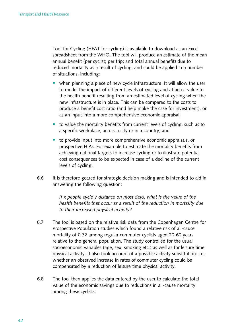Tool for Cycling (HEAT for cycling) is available to download as an Excel spreadsheet from the WHO. The tool will produce an estimate of the mean annual benefit (per cyclist; per trip; and total annual benefit) due to reduced mortality as a result of cycling, and could be applied in a number of situations, including:

- when planning a piece of new cycle infrastructure. It will allow the user to model the impact of different levels of cycling and attach a value to the health benefit resulting from an estimated level of cycling when the new infrastructure is in place. This can be compared to the costs to produce a benefit:cost ratio (and help make the case for investment), or as an input into a more comprehensive economic appraisal;
- to value the mortality benefits from current levels of cycling, such as to a specific workplace, across a city or in a country; and
- $\bullet$  to provide input into more comprehensive economic appraisals, or prospective HIAs. For example to estimate the mortality benefits from achieving national targets to increase cycling or to illustrate potential cost consequences to be expected in case of a decline of the current levels of cycling.
- 6.6 It is therefore geared for strategic decision making and is intended to aid in answering the following question:

*If x people cycle y distance on most days, what is the value of the health benefits that occur as a result of the reduction in mortality due to their increased physical activity?* 

- 6.7 The tool is based on the relative risk data from the Copenhagen Centre for Prospective Population studies which found a relative risk of all-cause mortality of 0.72 among regular commuter cyclists aged 20-60 years relative to the general population. The study controlled for the usual socioeconomic variables (age, sex, smoking etc.) as well as for leisure time physical activity. It also took account of a possible activity substitution: i.e. whether an observed increase in rates of commuter cycling could be compensated by a reduction of leisure time physical activity.
- 6.8 The tool then applies the data entered by the user to calculate the total value of the economic savings due to reductions in all-cause mortality among these cyclists.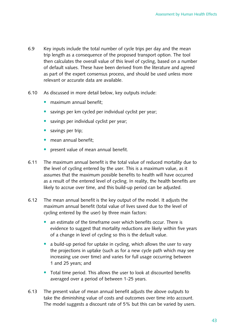- 6.9 Key inputs include the total number of cycle trips per day and the mean trip length as a consequence of the proposed transport option. The tool then calculates the overall value of this level of cycling, based on a number of default values. These have been derived from the literature and agreed as part of the expert consensus process, and should be used unless more relevant or accurate data are available.
- 6.10 As discussed in more detail below, key outputs include:
	- maximum annual benefit:
	- savings per km cycled per individual cyclist per year;
	- savings per individual cyclist per year;
	- savings per trip;
	- mean annual benefit;
	- present value of mean annual benefit.
- 6.11 The maximum annual benefit is the total value of reduced mortality due to the level of cycling entered by the user. This is a maximum value, as it assumes that the maximum possible benefits to health will have occurred as a result of the entered level of cycling. In reality, the health benefits are likely to accrue over time, and this build-up period can be adjusted.
- 6.12 The mean annual benefit is the key output of the model. It adjusts the maximum annual benefit (total value of lives saved due to the level of cycling entered by the user) by three main factors:
	- an estimate of the timeframe over which benefits occur. There is evidence to suggest that mortality reductions are likely within five years of a change in level of cycling so this is the default value.
	- a build-up period for uptake in cycling, which allows the user to vary the projections in uptake (such as for a new cycle path which may see increasing use over time) and varies for full usage occurring between 1 and 25 years; and
	- Total time period. This allows the user to look at discounted benefits averaged over a period of between 1-25 years.
- 6.13 The present value of mean annual benefit adjusts the above outputs to take the diminishing value of costs and outcomes over time into account. The model suggests a discount rate of  $5\%$  but this can be varied by users.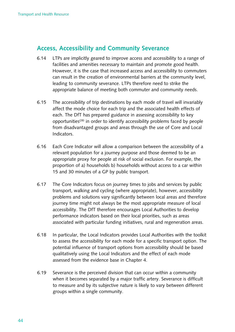# **access, accessibility and Community Severance**

- 6.14 LTPs are implicitly geared to improve access and accessibility to a range of facilities and amenities necessary to maintain and promote good health. However, it is the case that increased access and accessibility to commuters can result in the creation of environmental barriers at the community level, leading to community severance. LTPs therefore need to strike the appropriate balance of meeting both commuter and community needs.
- 6.15 The accessibility of trip destinations by each mode of travel will invariably affect the mode choice for each trip and the associated health effects of each. The DfT has prepared guidance in assessing accessibility to key opportunities<sup>(28)</sup> in order to identify accessibility problems faced by people from disadvantaged groups and areas through the use of Core and Local Indicators.
- 6.16 Each Core Indicator will allow a comparison between the accessibility of a relevant population for a journey purpose and those deemed to be an appropriate proxy for people at risk of social exclusion. For example, the proportion of a) households b) households without access to a car within 15 and 30 minutes of a GP by public transport.
- 6.17 The Core Indicators focus on journey times to jobs and services by public transport, walking and cycling (where appropriate), however, accessibility problems and solutions vary significantly between local areas and therefore journey time might not always be the most appropriate measure of local accessibility. The DfT therefore encourages Local Authorities to develop performance indicators based on their local priorities, such as areas associated with particular funding initiatives, rural and regeneration areas.
- 6.18 In particular, the Local Indicators provides Local Authorities with the toolkit to assess the accessibility for each mode for a specific transport option. The potential influence of transport options from accessibility should be based qualitatively using the Local Indicators and the effect of each mode assessed from the evidence base in Chapter 4.
- 6.19 Severance is the perceived division that can occur within a community when it becomes separated by a major traffic artery. Severance is difficult to measure and by its subjective nature is likely to vary between different groups within a single community.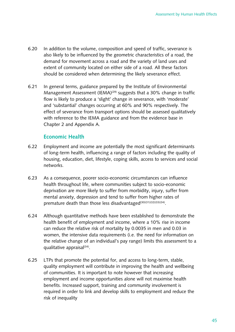- 6.20 In addition to the volume, composition and speed of traffic, severance is also likely to be influenced by the geometric characteristics of a road, the demand for movement across a road and the variety of land uses and extent of community located on either side of a road. All these factors should be considered when determining the likely severance effect.
- 6.21 In general terms, guidance prepared by the Institute of Environmental Management Assessment  $(ICMA)^{(29)}$  suggests that a 30% change in traffic flow is likely to produce a 'slight' change in severance, with 'moderate' and 'substantial' changes occurring at 60% and 90% respectively. The effect of severance from transport options should be assessed qualitatively with reference to the IEMA guidance and from the evidence base in Chapter 2 and Appendix A.

#### **economic Health**

- 6.22 Employment and income are potentially the most significant determinants of long-term health, influencing a range of factors including the quality of housing, education, diet, lifestyle, coping skills, access to services and social networks.
- 6.23 As a consequence, poorer socio-economic circumstances can influence health throughout life, where communities subject to socio-economic deprivation are more likely to suffer from morbidity, injury, suffer from mental anxiety, depression and tend to suffer from higher rates of premature death than those less disadvantaged<sup>(30)(31)(32)(33)(34)</sup>.
- 6.24 Although quantitative methods have been established to demonstrate the health benefit of employment and income, where a 10% rise in income can reduce the relative risk of mortality by 0.0035 in men and 0.03 in women, the intensive data requirements (i.e. the need for information on the relative change of an individual's pay range) limits this assessment to a qualitative appraisa $(34)$ .
- 6.25 LTPs that promote the potential for, and access to long-term, stable, quality employment will contribute in improving the health and wellbeing of communities. It is important to note however that increasing employment and income opportunities alone will not maximise health benefits. Increased support, training and community involvement is required in order to link and develop skills to employment and reduce the risk of inequality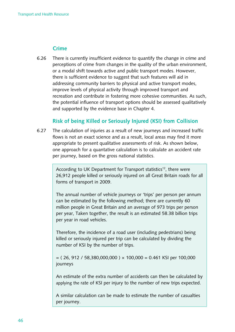#### **Crime**

6.26 There is currently insufficient evidence to quantify the change in crime and perceptions of crime from changes in the quality of the urban environment, or a modal shift towards active and public transport modes. However, there is sufficient evidence to suggest that such features will aid in addressing community barriers to physical and active transport modes, improve levels of physical activity through improved transport and recreation and contribute in fostering more cohesive communities. As such, the potential influence of transport options should be assessed qualitatively and supported by the evidence base in Chapter 4.

#### **Risk of being Killed or Seriously Injured (KSI) from Collision**

6.27 The calculation of injuries as a result of new journeys and increased traffic flows is not an exact science and as a result, local areas may find it more appropriate to present qualitative assessments of risk. As shown below, one approach for a quantative calculation is to calculate an accident rate per journey, based on the gross national statistics.

> According to UK Department for Transport statistics<sup>12</sup>, there were 26,912 people killed or seriously injured on all Great Britain roads for all forms of transport in 2009.

The annual number of vehicle journeys or 'trips' per person per annum can be estimated by the following method; there are currently 60 million people in Great Britain and an average of 973 trips per person per year, Taken together, the result is an estimated 58.38 billion trips per year in road vehicles.

Therefore, the incidence of a road user (including pedestrians) being killed or seriously injured per trip can be calculated by dividing the number of KSI by the number of trips.

 $=$  (26, 912 / 58,380,000,000 )  $\times$  100,000 = 0.461 KSI per 100,000 journeys 

An estimate of the extra number of accidents can then be calculated by applying the rate of KSI per injury to the number of new trips expected.

A similar calculation can be made to estimate the number of casualties per journey.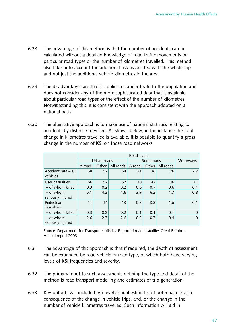- 6.28 The advantage of this method is that the number of accidents can be calculated without a detailed knowledge of road traffic movements on particular road types or the number of kilometres travelled. This method also takes into account the additional risk associated with the whole trip and not just the additional vehicle kilometres in the area.
- 6.29 The disadvantages are that it applies a standard rate to the population and does not consider any of the more sophisticated data that is available about particular road types or the effect of the number of kilometres. Notwithstanding this, it is consistent with the approach adopted on a national basis.
- 6.30 The alternative approach is to make use of national statistics relating to accidents by distance travelled. As shown below, in the instance the total change in kilometres travelled is available, it is possible to quantify a gross change in the number of KSI on those road networks.

|                                  | Road Type   |       |           |             |           |           |          |
|----------------------------------|-------------|-------|-----------|-------------|-----------|-----------|----------|
|                                  | Urban roads |       |           | Rural roads | Motorways |           |          |
|                                  | A road      | Other | All roads | A road      | Other     | All roads |          |
| Accident rate – all<br>vehicles  | 58          | 52    | 54        | 21          | 36        | 26        | 7.2      |
| User casualties                  | 66          | 52    | 57        | 30          | 47        | 36        | 11       |
| - of whom killed                 | 0.3         | 0.2   | 0.2       | 0.6         | 0.7       | 0.6       | 0.1      |
| $-$ of whom<br>seriously injured | 5.1         | 4.2   | 4.6       | 3.9         | 6.2       | 4.7       | 0.8      |
| Pedestrian<br>casualties         | 11          | 14    | 13        | 0.8         | 3.3       | 1.6       | 0.1      |
| - of whom killed                 | 0.3         | 0.2   | 0.2       | 0.1         | 0.1       | 0.1       | $\Omega$ |
| $-$ of whom<br>seriously injured | 2.6         | 2.7   | 2.6       | 0.2         | 0.7       | 0.4       | $\Omega$ |

Source: Department for Transport statistics: Reported road casualties Great Britain -Annual report 2008

- 6.31 The advantage of this approach is that if required, the depth of assessment can be expanded by road vehicle or road type, of which both have varying levels of KSI frequencies and severity.
- 6.32 The primary input to such assessments defining the type and detail of the method is road transport modelling and estimates of trip generation.
- 6.33 Key outputs will include high-level annual estimates of potential risk as a consequence of the change in vehicle trips, and, or the change in the number of vehicle kilometres travelled. Such information will aid in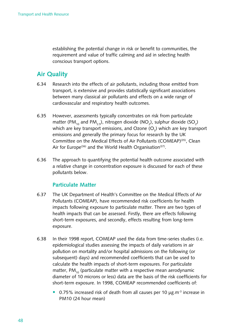establishing the potential change in risk or benefit to communities, the requirement and value of traffic calming and aid in selecting health conscious transport options.

# **air Quality**

- 6.34 Research into the effects of air pollutants, including those emitted from transport, is extensive and provides statistically significant associations between many classical air pollutants and effects on a wide range of cardiovascular and respiratory health outcomes.
- 6.35 However, assessments typically concentrates on risk from particulate matter (PM<sub>10</sub> and PM<sub>2.5</sub>), nitrogen dioxide (NO<sub>2</sub>), sulphur dioxide (SO<sub>2</sub>) which are key transport emissions, and Ozone (O<sub>3</sub>) which are key transport emissions and generally the primary focus for research by the UK Committee on the Medical Effects of Air Pollutants (COMEAP)<sup>(35)</sup>, Clean Air for Europe<sup>(36)</sup> and the World Health Organisation<sup>(37)</sup>.
- 6.36 The approach to quantifying the potential health outcome associated with a relative change in concentration exposure is discussed for each of these pollutants below.

#### **Particulate matter**

- 6.37 The UK Department of Health's Committee on the Medical Effects of Air Pollutants (COMEAP), have recommended risk coefficients for health impacts following exposure to particulate matter. There are two types of health impacts that can be assessed. Firstly, there are effects following short-term exposures, and secondly, effects resulting from long-term exposure.
- 6.38 In their 1998 report, COMEAP used the data from time-series studies (i.e. epidemiological studies assessing the impacts of daily variations in air pollution on mortality and/or hospital admissions on the following (or subsequent) days) and recommended coefficients that can be used to calculate the health impacts of short-term exposures. For particulate matter,  $PM_{10}$  (particulate matter with a respective mean aerodynamic diameter of 10 microns or less) data are the basis of the risk coefficients for short-term exposure. In 1998, COMEAP recommended coefficients of:
	- 0.75% increased risk of death from all causes per 10 µg.m<sup>-3</sup> increase in PM10 (24 hour mean)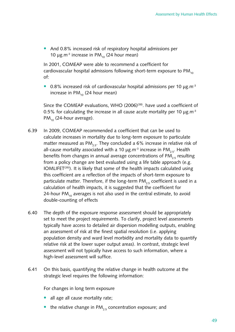• And 0.8% increased risk of respiratory hospital admissions per 10  $\mu$ g.m<sup>-3</sup> increase in PM<sub>10</sub> (24 hour mean)

In 2001, COMEAP were able to recommend a coefficient for cardiovascular hospital admissions following short-term exposure to  $PM_{10}$ of:

• 0.8% increased risk of cardiovascular hospital admissions per 10  $\mu$ g.m<sup>-3</sup> increase in  $PM_{10}$  (24 hour mean)

Since the COMEAP evaluations, WHO  $(2006)^{(38)}$ . have used a coefficient of 0.5% for calculating the increase in all cause acute mortality per 10  $\mu$ g.m<sup>-3</sup>  $PM_{10}$  (24-hour average).

- 6.39 In 2009, COMEAP recommended a coefficient that can be used to calculate increases in mortality due to long-term exposure to particulate matter measured as PM<sub>2.5</sub>. They concluded a 6% increase in relative risk of all-cause mortality associated with a 10  $\mu$ g.m<sup>-3</sup> increase in PM<sub>2.5</sub>. Health benefits from changes in annual average concentrations of  $PM_{25}$  resulting from a policy change are best evaluated using a life table approach (e.g. IOMLIFET<sup>(39)</sup>). It is likely that some of the health impacts calculated using this coefficient are a reflection of the impacts of short-term exposure to particulate matter. Therefore, if the long-term  $PM_{2.5}$  coefficient is used in a calculation of health impacts, it is suggested that the coefficient for 24-hour PM<sub>10</sub> averages is not also used in the central estimate, to avoid double-counting of effects
- 6.40 The depth of the exposure response assessment should be appropriately set to meet the project requirements. To clarify, project level assessments typically have access to detailed air dispersion modelling outputs, enabling an assessment of risk at the finest spatial resolution (i.e. applying population density and ward level morbidity and mortality data to quantify relative risk at the lower super output areas). In contrast, strategic level assessment will not typically have access to such information, where a high-level assessment will suffice.
- 6.41 On this basis, quantifying the relative change in health outcome at the strategic level requires the following information:

For changes in long term exposure

- all age all cause mortality rate;
- the relative change in PM<sub>25</sub> concentration exposure; and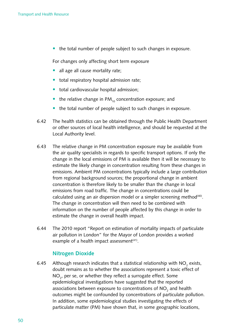$\bullet$  the total number of people subject to such changes in exposure.

For changes only affecting short term exposure

- all age all cause mortality rate;
- total respiratory hospital admission rate;
- total cardiovascular hospital admission;
- the relative change in  $PM_{10}$  concentration exposure; and
- the total number of people subject to such changes in exposure.
- 6.42 The health statistics can be obtained through the Public Health Department or other sources of local health intelligence, and should be requested at the Local Authority level.
- 6.43 The relative change in PM concentration exposure may be available from the air quality specialists in regards to specific transport options. If only the change in the local emissions of PM is available then it will be necessary to estimate the likely change in concentration resulting from these changes in emissions. Ambient PM concentrations typically include a large contribution from regional background sources; the proportional change in ambient concentration is therefore likely to be smaller than the change in local emissions from road traffic. The change in concentrations could be calculated using an air dispersion model or a simpler screening method<sup>(40)</sup>. The change in concentration will then need to be combined with information on the number of people affected by this change in order to estimate the change in overall health impact.
- 6.44 The 2010 report "Report on estimation of mortality impacts of particulate air pollution in London" for the Mayor of London provides a worked example of a health impact assessment<sup>(41)</sup>.

#### **nitrogen Dioxide**

6.45  $\;$  Although research indicates that a statistical relationship with NO $_{_2}$  exists, doubt remains as to whether the associations represent a toxic effect of  $\mathsf{NO}_2$ , per se, or whether they reflect a surrogate effect. Some epidemiological investigations have suggested that the reported associations between exposure to concentrations of NO<sub>2</sub> and health outcomes might be confounded by concentrations of particulate pollution. In addition, some epidemiological studies investigating the effects of particulate matter (PM) have shown that, in some geographic locations,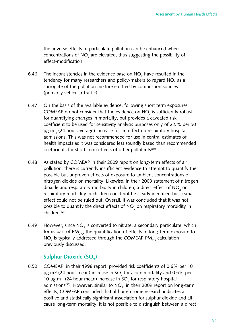the adverse effects of particulate pollution can be enhanced when concentrations of NO<sub>2</sub> are elevated, thus suggesting the possibility of effect-modification.

- 6.46 The inconsistencies in the evidence base on NO<sub>2</sub> have resulted in the tendency for many researchers and policy-makers to regard NO<sub>2</sub> as a surrogate of the pollution mixture emitted by combustion sources (primarily vehicular traffic).
- 6.47 On the basis of the available evidence, following short term exposures COMEAP do not consider that the evidence on  $NO_2$  is sufficiently robust for quantifying changes in mortality, but provides a caveated risk coefficient to be used for sensitivity analysis purposes only of 2.5% per 50  $\mu$ g.m<sub>3</sub> (24 hour average) increase for an effect on respiratory hospital admissions. This was not recommended for use in central estimates of health impacts as it was considered less soundly based than recommended coefficients for short-term effects of other pollutants<sup>(35)</sup>.
- 6.48 As stated by COMEAP in their 2009 report on long-term effects of air pollution, there is currently insufficient evidence to attempt to quantify the possible but unproven effects of exposure to ambient concentrations of nitrogen dioxide on mortality. Likewise, in their 2009 statement of nitrogen dioxide and respiratory morbidity in children, a direct effect of NO<sub>2</sub> on respiratory morbidity in children could not be clearly identified but a small effect could not be ruled out. Overall, it was concluded that it was not possible to quantify the direct effects of NO<sub>2</sub> on respiratory morbidity in children<sup>(42)</sup>.
- 6.49 However, since  $NO_2$  is converted to nitrate, a secondary particulate, which forms part of PM<sub>2.5</sub>, the quantification of effects of long-term exposure to NO<sub>2</sub> is typically addressed through the COMEAP PM<sub>2.5</sub> calculation previously discussed.

# Sulphur Dioxide (SO<sub>2</sub>)

6.50 COMEAP, in their 1998 report, provided risk coefficients of 0.6% per 10  $\mu$ g.m<sup>-3</sup> (24 hour mean) increase in SO<sub>2</sub> for acute mortality and 0.5% per 10  $\mu$ g.m<sup>-3</sup> (24 hour mean) increase in SO<sub>2</sub> for respiratory hospital admissions $^{\text{\tiny{(35)}}}.$  However, similar to NO $_{\text{\tiny{2}}}$ , in their 2009 report on long-term effects, COMEAP concluded that although some research indicates a positive and statistically significant association for sulphur dioxide and allcause long-term mortality, it is not possible to distinguish between a direct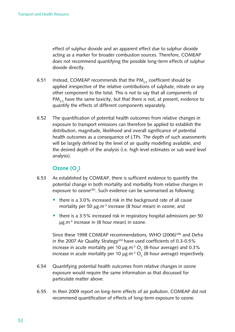effect of sulphur dioxide and an apparent effect due to sulphur dioxide acting as a marker for broader combustion sources. Therefore, COMEAP does not recommend quantifying the possible long-term effects of sulphur dioxide directly.

- 6.51 Instead, COMEAP recommends that the PM<sub>2.5</sub> coefficient should be applied irrespective of the relative contributions of sulphate, nitrate or any other component to the total. This is not to say that all components of PM<sub>25</sub> have the same toxicity, but that there is not, at present, evidence to quantify the effects of different components separately.
- 6.52 The quantification of potential health outcomes from relative changes in exposure to transport emissions can therefore be applied to establish the distribution, magnitude, likelihood and overall significance of potential health outcomes as a consequence of LTPs. The depth of such assessments will be largely defined by the level of air quality modelling available, and the desired depth of the analysis (i.e. high level estimates or sub ward level analysis).

# $Ozone(O<sub>3</sub>)$

- 6.53 As established by COMEAP, there is sufficient evidence to quantify the potential change in both mortality and morbidity from relative changes in exposure to ozone<sup>(35)</sup>. Such evidence can be summarised as following:
	- $\bullet$  there is a 3.0% increased risk in the background rate of all cause mortality per 50  $\mu$ g.m<sup>-3</sup> increase (8 hour mean) in ozone; and
	- there is a 3.5% increased risk in respiratory hospital admissions per 50  $\mu$ g.m<sup>-3</sup> increase in (8 hour mean) in ozone.

Since these 1998 COMEAP recommendations, WHO (2006)<sup>(38)</sup> and Defra in the 2007 Air Quality Strategy<sup>(43)</sup> have used coefficients of 0.3-0.5% increase in acute mortality per 10  $\mu$ g.m<sup>-3</sup> O<sub>3</sub> (8-hour average) and 0.3% increase in acute mortality per 10  $\mu$ g.m<sup>-3</sup> O<sub>3</sub> (8-hour average) respectively.

- 6.54 Cuantifying potential health outcomes from relative changes in ozone exposure would require the same information as that discussed for particulate matter above.
- 6.55 In their 2009 report on long-term effects of air pollution, COMEAP did not recommend quantification of effects of long-term exposure to ozone.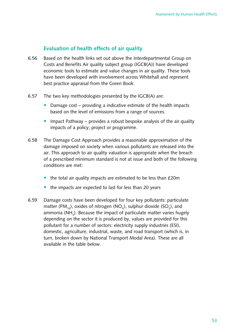### **evaluation of health effects of air quality**

- 6.56 Based on the health links set out above the Interdepartmental Group on Costs and Benefits Air quality subject group (IGCB(A)) have developed economic tools to estimate and value changes in air quality. These tools have been developed with involvement across Whitehall and represent best practice appraisal from the Green Book.
- 6.57 The two key methodologies presented by the  $IGCB(A)$  are:
	- Damage  $cost -$  providing a indicative estimate of the health impacts based on the level of emissions from a range of sources.
	- Impact Pathway provides a robust bespoke analysis of the air quality impacts of a policy, project or programme.
- 6.58 The Damage Cost Approach provides a reasonable approximation of the damage imposed on society when various pollutants are released into the air. This approach to air quality valuation is appropriate when the breach of a prescribed minimum standard is not at issue and both of the following conditions are met:
	- the total air quality impacts are estimated to be less than  $£20m$
	- $\bullet$  the impacts are expected to last for less than 20 years
- 6.59 Damage costs have been developed for four key pollutants: particulate matter (PM<sub>10</sub>), oxides of nitrogen (NO<sub>x</sub>), sulphur dioxide (SO<sub>2</sub>), and ammonia (NH $_{_3}$ ). Because the impact of particulate matter varies hugely depending on the sector it is produced by, values are provided for this pollutant for a number of sectors: electricity supply industries (ESI), domestic, agriculture, industrial, waste, and road transport (which is, in turn, broken down by National Transport Modal Area). These are all available in the table below.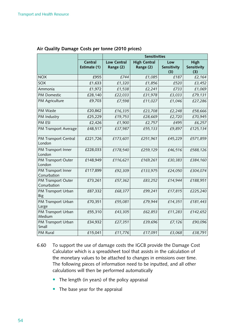|                                   |                         | <b>Sensitivities</b>     |                                  |                           |                            |  |  |
|-----------------------------------|-------------------------|--------------------------|----------------------------------|---------------------------|----------------------------|--|--|
|                                   | Central<br>Estimate (1) | Low Central<br>Range (2) | <b>High Central</b><br>Range (2) | Low<br>Sensitivity<br>(3) | High<br>Sensitivity<br>(3) |  |  |
| <b>NOX</b>                        | £955                    | £744                     | £1,085                           | £187                      | £2,164                     |  |  |
| SOX                               | £1,633                  | £1,320                   | £1,856                           | £520                      | £3,452                     |  |  |
| Ammonia                           | £1,972                  | £1,538                   | £2,241                           | £733                      | £1,069                     |  |  |
| <b>PM Domestic</b>                | £28,140                 | £22,033                  | £31,978                          | £3,033                    | £79,131                    |  |  |
| PM Agriculture                    | £9,703                  | £7,598                   | £11,027                          | £1,046                    | £27,286                    |  |  |
| PM Waste                          | £20,862                 | £16,335                  | £23,708                          | £2,248                    | £58,666                    |  |  |
| PM Industry                       | £25,229                 | £19,753                  | £28,669                          | £2,720                    | £70,945                    |  |  |
| PM ESI                            | £2,426                  | £1,900                   | £2,757                           | £495                      | £6,257                     |  |  |
| PM Transport Average              | £48,517                 | £37,987                  | £55,133                          | £9,897                    | £125,134                   |  |  |
| PM Transport Central<br>London    | £221,726                | £173,601                 | £251,961                         | £45,229                   | £571,859                   |  |  |
| PM Transport Inner<br>London      | £228,033                | £178,540                 | £259,129                         | £46,516                   | £588,126                   |  |  |
| PM Transport Outer<br>London      | £148,949                | £116,621                 | £169,261                         | £30,383                   | £384,160                   |  |  |
| PM Transport Inner<br>Conurbation | £117,899                | £92,309                  | £133,975                         | £24,050                   | £304,074                   |  |  |
| PM Transport Outer<br>Conurbation | £73,261                 | £57,362                  | £83,252                          | £14,944                   | £188,951                   |  |  |
| PM Transport Urban<br>Big         | £87,332                 | £68,377                  | £99,241                          | £17,815                   | £225,240                   |  |  |
| PM Transport Urban<br>Large       | £70,351                 | £55,081                  | £79,944                          | £14,351                   | £181,443                   |  |  |
| PM Transport Urban<br>Medium      | £55,310                 | £43,305                  | £62,853                          | £11,283                   | £142,652                   |  |  |
| PM Transport Urban<br>Small       | £34,932                 | £27,351                  | £39,696                          | £7,126                    | £90,096                    |  |  |
| PM Rural                          | £15,041                 | £11,776                  | £17,091                          | £3,068                    | £38,791                    |  |  |

#### **air Quality Damage Costs per tonne (2010 prices)**

- 6.60 To support the use of damage costs the IGCB provide the Damage Cost Calculator which is a spreadsheet tool that assists in the calculation of the monetary values to be attached to changes in emissions over time. The following pieces of information need to be inputted, and all other calculations will then be performed automatically
	- $\bullet$  The length (in years) of the policy appraisal
	- $\bullet$  The base year for the appraisal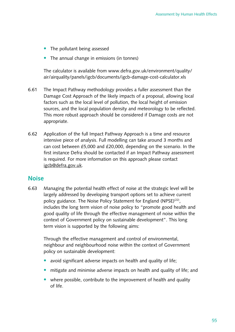- $\bullet$  The pollutant being assessed
- The annual change in emissions (in tonnes)

The calculator is available from www.defra.gov.uk/environment/quality/ air/airquality/panels/igcb/documents/igcb-damage-cost-calculator.xls

- 6.61 The Impact Pathway methodology provides a fuller assessment than the Damage Cost Approach of the likely impacts of a proposal, allowing local factors such as the local level of pollution, the local height of emission sources, and the local population density and meteorology to be reflected. This more robust approach should be considered if Damage costs are not appropriate.
- 6.62 Application of the full Impact Pathway Approach is a time and resource intensive piece of analysis. Full modelling can take around 3 months and can cost between £5,000 and £20,000, depending on the scenario. In the first instance Defra should be contacted if an Impact Pathway assessment is required. For more information on this approach please contact [igcb@defra.gov.uk.](mailto:igcb@defra.gov.uk)

#### **noise**

6.63 Managing the potential health effect of noise at the strategic level will be largely addressed by developing transport options set to achieve current policy guidance. The Noise Policy Statement for England (NPSE)<sup>(22)</sup>, includes the long term vision of noise policy to "promote good health and good quality of life through the effective management of noise within the context of Government policy on sustainable development". This long term vision is supported by the following aims:

Through the effective management and control of environmental, neighbour and neighbourhood noise within the context of Government policy on sustainable development:

- avoid significant adverse impacts on health and quality of life;
- mitigate and minimise adverse impacts on health and quality of life; and
- where possible, contribute to the improvement of health and quality of life.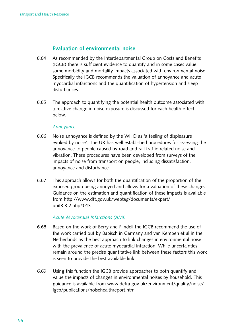#### **evaluation of environmental noise**

- 6.64 As recommended by the Interdepartmental Group on Costs and Benefits (IGCB) there is sufficient evidence to quantify and in some cases value some morbidity and mortality impacts associated with environmental noise. Specifically the IGCB recommends the valuation of annoyance and acute myocardial infarctions and the quantification of hypertension and sleep disturbances.
- 6.65 The approach to quantifying the potential health outcome associated with a relative change in noise exposure is discussed for each health effect below.

#### *Annoyance*

- 6.66 Noise annoyance is defined by the WHO as 'a feeling of displeasure evoked by noise'. The UK has well established procedures for assessing the annoyance to people caused by road and rail traffic-related noise and vibration. These procedures have been developed from surveys of the impacts of noise from transport on people, including dissatisfaction, annoyance and disturbance.
- 6.67 This approach allows for both the quantification of the proportion of the exposed group being annoyed and allows for a valuation of these changes. Guidance on the estimation and quantification of these impacts is available [from http://www.dft.gov.uk/webtag/documents/expert/](http://www.dft.gov.uk/webtag/documents/expert/unit3.3.2.php#013)  unit3.3.2.php#013

#### *Acute Myocardial Infarctions (AMI)*

- 6.68 Based on the work of Berry and Flindell the IGCB recommend the use of the work carried out by Babisch in Germany and van Kempen et al in the Netherlands as the best approach to link changes in environmental noise with the prevalence of acute myocardial infarction. While uncertainties remain around the precise quantitative link between these factors this work is seen to provide the best available link.
- 6.69 Using this function the IGCB provide approaches to both quantify and value the impacts of changes in environmental noises by household. This guidance is available from www.defra.gov.uk/environment/quality/noise/ igcb/publications/noisehealthreport.htm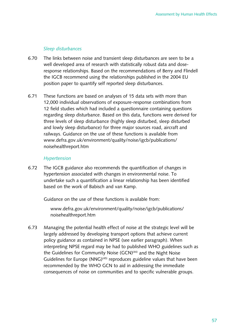#### *Sleep disturbances*

- 6.70 The links between noise and transient sleep disturbances are seen to be a well developed area of research with statistically robust data and doseresponse relationships. Based on the recommendations of Berry and Flindell the IGCB recommend using the relationships published in the 2004 EU position paper to quantify self reported sleep disturbances.
- 6.71 These functions are based on analyses of 15 data sets with more than 12,000 individual observations of exposure-response combinations from 12 field studies which had included a questionnaire containing questions regarding sleep disturbance. Based on this data, functions were derived for three levels of sleep disturbance (highly sleep disturbed, sleep disturbed and lowly sleep disturbance) for three major sources road, aircraft and railways. Guidance on the use of these functions is available from [www.defra.gov.uk/environment/quality/noise/igcb/publications/](http://www.defra.gov.uk/environment/quality/noise/igcb/publications/noisehealthreport.htm)  noisehealthreport.htm

#### *Hypertension*

6.72 The IGCB guidance also recommends the quantification of changes in hypertension associated with changes in environmental noise. To undertake such a quantification a linear relationship has been identified based on the work of Babisch and van Kamp.

Guidance on the use of these functions is available from:

[www.defra.gov.uk/environment/quality/noise/igcb/publications/](http://www.defra.gov.uk/environment/quality/noise/igcb/publications/noisehealthreport.htm)  noisehealthreport.htm

6.73 Managing the potential health effect of noise at the strategic level will be largely addressed by developing transport options that achieve current policy guidance as contained in NPSE (see earlier paragraph). When interpreting NPSE regard may be had to published WHO guidelines such as the Guidelines for Community Noise (GCN)<sup>(44)</sup> and the Night Noise Guidelines for Europe  $(NNG)^{(45)}$  reproduces guideline values that have been recommended by the WHO GCN to aid in addressing the immediate consequences of noise on communities and to specific vulnerable groups.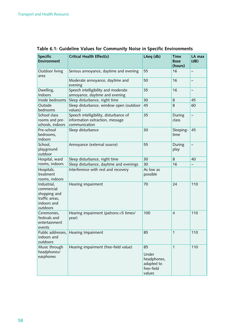| <b>Specific</b><br><b>Environment</b>                                                  | Critical Health Effect(s)<br>LAeq (db)                                                     |                                                                  | <b>Time</b><br><b>Base</b><br>(hours) | LA max<br>(dB)           |
|----------------------------------------------------------------------------------------|--------------------------------------------------------------------------------------------|------------------------------------------------------------------|---------------------------------------|--------------------------|
| Outdoor living<br>area                                                                 | Serious annoyance, daytime and evening                                                     | 55                                                               | 16                                    | —                        |
|                                                                                        | Moderate annoyance, daytime and<br>evening                                                 | 50                                                               | 16                                    | $\overline{\phantom{0}}$ |
| Dwelling,<br>Indoors                                                                   | Speech intelligibility and moderate<br>annoyance, daytime and evening                      | 35                                                               | 16                                    |                          |
| Inside bedrooms                                                                        | Sleep disturbance, night time                                                              | 30                                                               | 8                                     | 45                       |
| Outside<br>bedrooms                                                                    | Sleep disturbance, window open (outdoor<br>values)                                         | 45                                                               | 8                                     | 60                       |
| School class<br>rooms and pre-<br>schools, indoors                                     | Speech intelligibility, disturbance of<br>information extraction, message<br>communication | 35                                                               | During<br>class                       |                          |
| Pre-school<br>bedrooms,<br>indoors                                                     | Sleep disturbance                                                                          | 30                                                               | Sleeping-<br>time                     | 45                       |
| School,<br>playground<br>outdoor                                                       | Annoyance (external source)                                                                | 55                                                               | During<br>play                        |                          |
| Hospital, ward                                                                         | Sleep disturbance, night time                                                              | 30                                                               | 8                                     | 40                       |
| rooms, indoors                                                                         | Sleep disturbance, daytime and evenings                                                    | 30                                                               | 16                                    |                          |
| Hospitals,<br>treatment<br>rooms, indoors                                              | Interference with rest and recovery                                                        | As low as<br>possible                                            |                                       |                          |
| Industrial,<br>commercial<br>shopping and<br>traffic areas,<br>indoors and<br>outdoors | Hearing impairment                                                                         | 70                                                               | 24                                    | 110                      |
| Ceremonies,<br>festivals and<br>entertainment<br>events                                | Hearing impairment (patrons:<5 times/<br>year)                                             | 100                                                              | 4                                     | 110                      |
| Public addresses,<br>indoors and<br>outdoors                                           | Hearing Impairment                                                                         | 85                                                               | 1                                     | 110                      |
| Music through<br>headphones/<br>earphones                                              | Hearing impairment (free-field value)                                                      | 85<br>Under<br>headphones,<br>adapted to<br>free-field<br>values | 1                                     | 110                      |

**Table 6.1: Guideline Values for Community noise in Specific environments**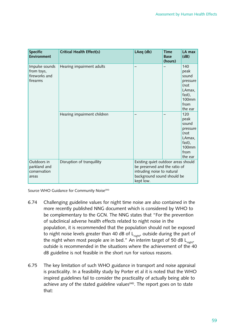| <b>Specific</b><br><b>Environment</b>                     | Critical Health Effect(s)   | LAeq (db)                                                                                                                                     | <b>Time</b><br><b>Base</b><br>(hours) | LA max<br>(dB)                                                                                  |  |
|-----------------------------------------------------------|-----------------------------|-----------------------------------------------------------------------------------------------------------------------------------------------|---------------------------------------|-------------------------------------------------------------------------------------------------|--|
| Impulse sounds<br>from toys,<br>fireworks and<br>firearms | Hearing impairment adults   |                                                                                                                                               |                                       | 140<br>peak<br>sound<br>pressure<br>(not<br>LAmax,<br>fast),<br>100mm<br>from<br>the ear        |  |
|                                                           | Hearing impairment children |                                                                                                                                               |                                       | 120<br>peak<br>sound<br>pressure<br>(not<br>LAmax,<br>fast),<br><b>100mm</b><br>from<br>the ear |  |
| Outdoors in<br>parkland and<br>conservation<br>areas      | Disruption of tranquillity  | Existing quiet outdoor areas should<br>be preserved and the ratio of<br>intruding noise to natural<br>background sound should be<br>kept low. |                                       |                                                                                                 |  |

Source WHO Guidance for Community Noise<sup>(44)</sup>

- 6.74 Challenging guideline values for night time noise are also contained in the more recently published NNG document which is considered by WHO to be complementary to the GCN. The NNG states that "For the prevention of subclinical adverse health effects related to night noise in the population, it is recommended that the population should not be exposed to night noise levels greater than 40 dB of  $L_{\sf night}$ , outside during the part of the night when most people are in bed." An interim target of 50 dB  $L_{night}$ outside is recommended in the situations where the achievement of the 40 dB guideline is not feasible in the short run for various reasons.
- 6.75 The key limitation of such WHO guidance in transport and noise appraisal is practicality. In a feasibility study by Porter et al it is noted that the WHO inspired guidelines fail to consider the practicality of actually being able to achieve any of the stated guideline values<sup>(46)</sup>. The report goes on to state that: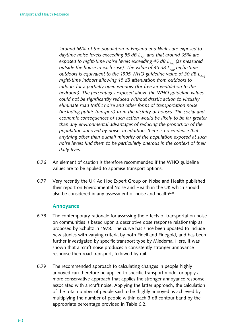*'around 56% of the population in England and Wales are exposed to*  daytime noise levels exceeding 55 dB L<sub>Aea</sub> and that around 65% are *exposed to night-time noise levels exceeding 45 dB L<sub>Aeq</sub> (as measured outside the house in each case). The value of 45 dB L<sub>Aeq</sub> night-time* outdoors is equivalent to the 1995 WHO guideline value of 30 dB L<sub>Aeq</sub> *night-time indoors allowing 15 dB attenuation from outdoors to indoors for a partially open window (for free air ventilation to the bedroom). The percentages exposed above the WHO guideline values could not be significantly reduced without drastic action to virtually eliminate road traffic noise and other forms of transportation noise (including public transport) from the vicinity of houses. The social and economic consequences of such action would be likely to be far greater than any environmental advantages of reducing the proportion of the population annoyed by noise. In addition, there is no evidence that anything other than a small minority of the population exposed at such noise levels find them to be particularly onerous in the context of their daily lives.'* 

- 6.76 An element of caution is therefore recommended if the WHO guideline values are to be applied to appraise transport options.
- 6.77 Very recently the UK Ad Hoc Expert Group on Noise and Health published their report on Environmental Noise and Health in the UK which should also be considered in any assessment of noise and health<sup> $(23)$ </sup>.

#### **annoyance**

- 6.78 The contemporary rationale for assessing the effects of transportation noise on communities is based upon a descriptive dose response relationship as proposed by Schultz in 1978. The curve has since been updated to include new studies with varying criteria by both Fidell and Finegold, and has been further investigated by specific transport type by Miedema. Here, it was shown that aircraft noise produces a consistently stronger annoyance response then road transport, followed by rail.
- 6.79 The recommended approach to calculating changes in people highly annoyed can therefore be applied to specific transport mode, or apply a more conservative approach that applies the stronger annoyance response associated with aircraft noise. Applying the latter approach, the calculation of the total number of people said to be 'highly annoyed' is achieved by multiplying the number of people within each 3 dB contour band by the appropriate percentage provided in Table 6.2.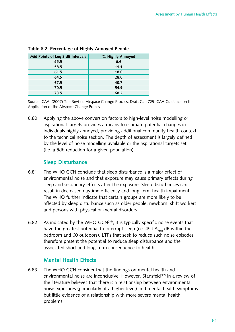| Mid Points of Leg 3 dB Intervals | % Highly Annoyed |
|----------------------------------|------------------|
| 55.5                             | 6.6              |
| 58.5                             | 11.1             |
| 61.5                             | 18.0             |
| 64.5                             | 28.0             |
| 67.5                             | 40.7             |
| 70.5                             | 54.9             |
| 73.5                             | 68.2             |

#### **Table 6.2: Percentage of Highly annoyed People**

Source: CAA. (2007) The Revised Airspace Change Process: Draft Cap 725. CAA Guidance on the Application of the Airspace Change Process.

6.80 Applying the above conversion factors to high-level noise modelling or aspirational targets provides a means to estimate potential changes in individuals highly annoyed, providing additional community health context to the technical noise section. The depth of assessment is largely defined by the level of noise modelling available or the aspirational targets set (i.e. a 5db reduction for a given population).

#### **Sleep Disturbance**

- 6.81 The WHO GCN conclude that sleep disturbance is a major effect of environmental noise and that exposure may cause primary effects during sleep and secondary effects after the exposure. Sleep disturbances can result in decreased daytime efficiency and long-term health impairment. The WHO further indicate that certain groups are more likely to be affected by sleep disturbance such as older people, newborn, shift workers and persons with physical or mental disorders.
- 6.82 As indicated by the WHO GCN $(44)$ , it is typically specific noise events that have the greatest potential to interrupt sleep (i.e. 45 LA<sub>max</sub> dB within the bedroom and 60 outdoors). LTPs that seek to reduce such noise episodes therefore present the potential to reduce sleep disturbance and the associated short and long-term consequence to health.

#### **mental Health effects**

6.83 The WHO GCN consider that the findings on mental health and environmental noise are inconclusive, However, Stansfeld<sup>(47)</sup> in a review of the literature believes that there is a relationship between environmental noise exposures (particularly at a higher level) and mental health symptoms but little evidence of a relationship with more severe mental health problems.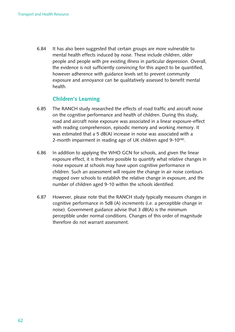6.84 It has also been suggested that certain groups are more vulnerable to mental health effects induced by noise. These include children, older people and people with pre existing illness in particular depression. Overall, the evidence is not sufficiently convincing for this aspect to be quantified, however adherence with guidance levels set to prevent community exposure and annoyance can be qualitatively assessed to benefit mental health.

#### **Children's Learning**

- 6.85 The RANCH study researched the effects of road traffic and aircraft noise on the cognitive performance and health of children. During this study, road and aircraft noise exposure was associated in a linear exposure-effect with reading comprehension, episodic memory and working memory. It was estimated that a 5 dB(A) increase in noise was associated with a 2-month impairment in reading age of UK children aged 9-10<sup>(48)</sup>.
- 6.86 In addition to applying the WHO GCN for schools, and given the linear exposure effect, it is therefore possible to quantify what relative changes in noise exposure at schools may have upon cognitive performance in children. Such an assessment will require the change in air noise contours mapped over schools to establish the relative change in exposure, and the number of children aged 9-10 within the schools identified.
- 6.87 However, please note that the RANCH study typically measures changes in cognitive performance in 5dB (A) increments (i.e. a perceptible change in noise). Government guidance advise that 3 dB(A) is the minimum perceptible under normal conditions. Changes of this order of magnitude therefore do not warrant assessment.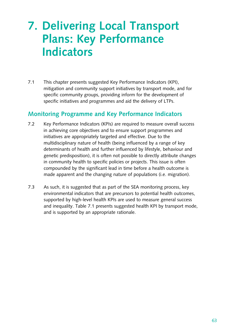# **7. Delivering Local Transport Plans: Key Performance Indicators**

7.1 This chapter presents suggested Key Performance Indicators (KPI), mitigation and community support initiatives by transport mode, and for specific community groups, providing inform for the development of specific initiatives and programmes and aid the delivery of LTPs.

# **Monitoring Programme and Key Performance Indicators**

- 7.2 Key Performance Indicators (KPIs) are required to measure overall success in achieving core objectives and to ensure support programmes and initiatives are appropriately targeted and effective. Due to the multidisciplinary nature of health (being influenced by a range of key determinants of health and further influenced by lifestyle, behaviour and genetic predisposition), it is often not possible to directly attribute changes in community health to specific policies or projects. This issue is often compounded by the significant lead in time before a health outcome is made apparent and the changing nature of populations (i.e. migration).
- 7.3 As such, it is suggested that as part of the SEA monitoring process, key environmental indicators that are precursors to potential health outcomes, supported by high-level health KPIs are used to measure general success and inequality. Table 7.1 presents suggested health KPI by transport mode, and is supported by an appropriate rationale.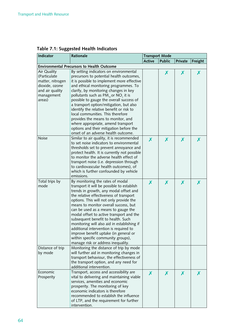| Indicator                                                                                                    | Rationale                                                                                                                                                                                                                                                                                                                                                                                                                                                                                                                                                                                                         |               | <b>Transport Mode</b> |         |         |  |  |
|--------------------------------------------------------------------------------------------------------------|-------------------------------------------------------------------------------------------------------------------------------------------------------------------------------------------------------------------------------------------------------------------------------------------------------------------------------------------------------------------------------------------------------------------------------------------------------------------------------------------------------------------------------------------------------------------------------------------------------------------|---------------|-----------------------|---------|---------|--|--|
|                                                                                                              |                                                                                                                                                                                                                                                                                                                                                                                                                                                                                                                                                                                                                   | <b>Active</b> | <b>Public</b>         | Private | Freight |  |  |
|                                                                                                              | <b>Environmental Precursors to Health Outcome</b>                                                                                                                                                                                                                                                                                                                                                                                                                                                                                                                                                                 |               |                       |         |         |  |  |
| Air Quality<br>(Particulate<br>matter, nitrogen<br>dioxide, ozone<br>and air quality<br>management<br>areas) | By setting indicators on environmental<br>precursors to potential health outcomes,<br>it is possible to implement more effective<br>and ethical monitoring programmes. To<br>clarify, by monitoring changes in key<br>pollutants such as $PM_{10}$ or NO <sub>2</sub> it is<br>possible to gauge the overall success of<br>a transport option/mitigation, but also<br>identify the relative benefit or risk to<br>local communities. This therefore<br>provides the means to monitor, and<br>where appropriate, amend transport<br>options and their mitigation before the<br>onset of an adverse health outcome. |               | X                     | X       | X       |  |  |
| <b>Noise</b>                                                                                                 | Similar to air quality, it is recommended<br>to set noise indicators to environmental<br>thresholds set to prevent annoyance and<br>protect health. It is currently not possible<br>to monitor the adverse health effect of<br>transport noise (i.e. depression through<br>to cardiovascular health outcomes), of<br>which is further confounded by vehicle<br>emissions.                                                                                                                                                                                                                                         | X             | X                     | X       | X       |  |  |
| Total trips by<br>mode                                                                                       | By monitoring the rates of modal<br>transport it will be possible to establish<br>trends in growth, any modal offset and<br>the relative effectiveness of transport<br>options. This will not only provide the<br>means to monitor overall success, but<br>can be used as a means to gauge the<br>modal offset to active transport and the<br>subsequent benefit to health. Such<br>monitoring will also aid in establishing if<br>additional intervention is required to<br>improve benefit uptake (in general or<br>within specific community groups),<br>manage risk or address inequality.                    | X             | X                     | X       | X       |  |  |
| Distance of trip<br>by mode                                                                                  | Monitoring the distance of trip by mode<br>will further aid in monitoring changes in<br>transport behaviour, the effectiveness of<br>the transport option, and any need for<br>additional intervention.                                                                                                                                                                                                                                                                                                                                                                                                           |               |                       |         |         |  |  |
| Economic<br>Prosperity                                                                                       | Transport, access and accessibility are<br>vital to delivering and maintaining viable<br>services, amenities and economic<br>prosperity. The monitoring of key<br>economic indicators is therefore<br>recommended to establish the influence<br>of LTP, and the requirement for further<br>intervention.                                                                                                                                                                                                                                                                                                          | X             | X                     | Х       |         |  |  |

# **Table 7.1: Suggested Health Indicators**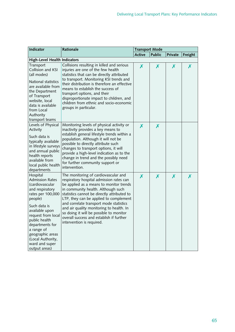| Indicator                                                                                                                                                                                                                                                                                      | Rationale                                                                                                                                                                                                                                                                                                                                                                                                                                                             | <b>Transport Mode</b> |               |         |         |  |
|------------------------------------------------------------------------------------------------------------------------------------------------------------------------------------------------------------------------------------------------------------------------------------------------|-----------------------------------------------------------------------------------------------------------------------------------------------------------------------------------------------------------------------------------------------------------------------------------------------------------------------------------------------------------------------------------------------------------------------------------------------------------------------|-----------------------|---------------|---------|---------|--|
|                                                                                                                                                                                                                                                                                                |                                                                                                                                                                                                                                                                                                                                                                                                                                                                       | <b>Active</b>         | <b>Public</b> | Private | Freight |  |
| <b>High-Level Health Indicators</b>                                                                                                                                                                                                                                                            |                                                                                                                                                                                                                                                                                                                                                                                                                                                                       |                       |               |         |         |  |
| Transport<br>Collision and KSI<br>(all modes)<br>National statistics<br>are available from<br>the Department<br>of Transport<br>website, local<br>data is available<br>from Local<br>Authority<br>transport teams                                                                              | Collisions resulting in killed and serious<br>injuries are one of the few health<br>statistics that can be directly attributed<br>to transport. Monitoring KSI trends and<br>their distribution is therefore an effective<br>means to establish the success of<br>transport options, and their<br>disproportionate impact to children, and<br>children from ethnic and socio-economic<br>groups in particular.                                                        | X                     | X             | X       | X       |  |
| Levels of Physical<br>Activity<br>Such data is<br>typically available<br>in lifestyle surveys<br>and annual public<br>health reports<br>available from<br>local public health<br>departments                                                                                                   | Monitoring levels of physical activity or<br>inactivity provides a key means to<br>establish general lifestyle trends within a<br>population. Although it will not be<br>possible to directly attribute such<br>changes to transport options, it will<br>provide a high-level indication as to the<br>change in trend and the possibly need<br>for further community support or<br>intervention.                                                                      | X                     | X             |         |         |  |
| Hospital<br><b>Admission Rates</b><br>(cardiovascular<br>and respiratory<br>rates per 100,000<br>people)<br>Such data is<br>available upon<br>request from local<br>public health<br>departments for<br>a range of<br>geographic areas<br>(Local Authority,<br>ward and super<br>output areas) | The monitoring of cardiovascular and<br>respiratory hospital admission rates can<br>be applied as a means to monitor trends<br>in community health. Although such<br>statistics cannot be directly attributed to<br>LTP, they can be applied to complement<br>and correlate transport mode statistics<br>and air quality monitoring to health. In<br>so doing it will be possible to monitor<br>overall success and establish if further<br>intervention is required. | X                     | X             | X       | X       |  |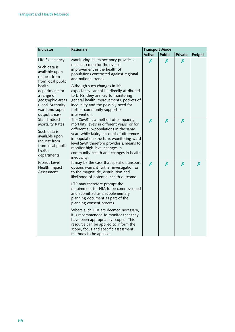| Indicator                                                                                                                                                                                   | Rationale                                                                                                                                                                                                                                                                                                                                                                                                                        |               | <b>Transport Mode</b> |         |         |  |  |
|---------------------------------------------------------------------------------------------------------------------------------------------------------------------------------------------|----------------------------------------------------------------------------------------------------------------------------------------------------------------------------------------------------------------------------------------------------------------------------------------------------------------------------------------------------------------------------------------------------------------------------------|---------------|-----------------------|---------|---------|--|--|
|                                                                                                                                                                                             |                                                                                                                                                                                                                                                                                                                                                                                                                                  | <b>Active</b> | <b>Public</b>         | Private | Freight |  |  |
| Life Expectancy<br>Such data is<br>available upon<br>request from<br>from local public<br>health<br>departmentsfor<br>a range of<br>geographic areas<br>(Local Authority,<br>ward and super | Monitoring life expectancy provides a<br>means to monitor the overall<br>improvement in the health of<br>populations contrasted against regional<br>and national trends.<br>Although such changes in life<br>expectancy cannot be directly attributed<br>to LTPS, they are key to monitoring<br>general health improvements, pockets of<br>inequality and the possibly need for<br>further community support or<br>intervention. | X             | Х                     | X       |         |  |  |
| output areas)<br>Standardised<br><b>Mortality Rates</b><br>Such data is<br>available upon<br>request from<br>from local public<br>health<br>departments                                     | The (SMR) is a method of comparing<br>mortality levels in different years, or for<br>different sub-populations in the same<br>year, while taking account of differences<br>in population structure. Monitoring ward<br>level SMR therefore provides a means to<br>monitor high-level changes in<br>community health and changes in health<br>inequality.                                                                         | X             | X                     | Х       |         |  |  |
| Project Level<br>Health Impact<br>Assessment                                                                                                                                                | It may be the case that specific transport<br>options warrant further investigation as<br>to the magnitude, distribution and<br>likelihood of potential health outcome.<br>LTP may therefore prompt the<br>requirement for HIA to be commissioned                                                                                                                                                                                | X             | X                     | X       | X       |  |  |
|                                                                                                                                                                                             | and submitted as a supplementary<br>planning document as part of the<br>planning consent process.<br>Where such HIA are deemed necessary,<br>it is recommended to monitor that they<br>have been appropriately scoped. This<br>resource can be applied to inform the<br>scope, focus and specific assessment<br>methods to be applied.                                                                                           |               |                       |         |         |  |  |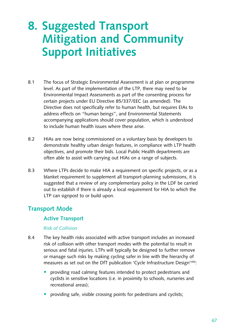# **8. Suggested Transport Mitigation and Community Support Initiatives**

- 8.1 The focus of Strategic Environmental Assessment is at plan or programme level. As part of the implementation of the LTP, there may need to be Environmental Impact Assessments as part of the consenting process for certain projects under EU Directive 85/337/EEC (as amended). The Directive does not specifically refer to human health, but requires EIAs to address effects on "human beings", and Environmental Statements accompanying applications should cover population, which is understood to include human health issues where these arise.
- 8.2 HIAs are now being commissioned on a voluntary basis by developers to demonstrate healthy urban design features, in compliance with LTP health objectives, and promote their bids. Local Public Health departments are often able to assist with carrying out HIAs on a range of subjects.
- 8.3 Where LTPs decide to make HIA a requirement on specific projects, or as a blanket requirement to supplement all transport-planning submissions, it is suggested that a review of any complementary policy in the LDF be carried out to establish if there is already a local requirement for HIA to which the LTP can signpost to or build upon.

### **Transport Mode**

#### **Active Transport**

#### *Risk of Collision*

- 8.4 The key health risks associated with active transport includes an increased risk of collision with other transport modes with the potential to result in serious and fatal injuries. LTPs will typically be designed to further remove or manage such risks by making cycling safer in line with the hierarchy of measures as set out on the DfT publication 'Cycle Infrastructure Design<sup>'(49)</sup>:
	- providing road calming features intended to protect pedestrians and cyclists in sensitive locations (i.e. in proximity to schools, nurseries and recreational areas);
	- providing safe, visible crossing points for pedestrians and cyclists;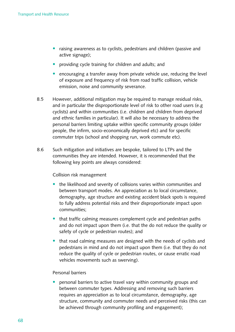- raising awareness as to cyclists, pedestrians and children (passive and active signage);
- providing cycle training for children and adults; and
- encouraging a transfer away from private vehicle use, reducing the level of exposure and frequency of risk from road traffic collision, vehicle emission, noise and community severance.
- 8.5 However, additional mitigation may be required to manage residual risks, and in particular the disproportionate level of risk to other road users (e.g) cyclists) and within communities (i.e. children and children from deprived and ethnic families in particular). It will also be necessary to address the personal barriers limiting uptake within specific community groups (older people, the infirm, socio-economically deprived etc) and for specific commuter trips (school and shopping run, work commute etc).
- 8.6 Such mitigation and initiatives are bespoke, tailored to LTPs and the communities they are intended. However, it is recommended that the following key points are always considered:

#### Collision risk management

- $\bullet$  the likelihood and severity of collisions varies within communities and between transport modes. An appreciation as to local circumstance, demography, age structure and existing accident black spots is required to fully address potential risks and their disproportionate impact upon communities;
- that traffic calming measures complement cycle and pedestrian paths and do not impact upon them (i.e. that the do not reduce the quality or safety of cycle or pedestrian routes); and
- that road calming measures are designed with the needs of cyclists and pedestrians in mind and do not impact upon them (i.e. that they do not reduce the quality of cycle or pedestrian routes, or cause erratic road vehicles movements such as swerving).

#### Personal barriers

• personal barriers to active travel vary within community groups and between commuter types. Addressing and removing such barriers requires an appreciation as to local circumstance, demography, age structure, community and commuter needs and perceived risks (this can be achieved through community profiling and engagement);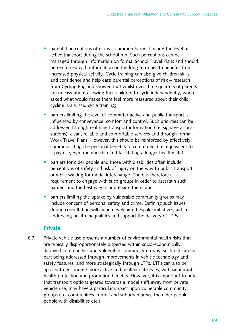- parental perceptions of risk is a common barrier limiting the level of active transport during the school run. Such perceptions can be managed through information on formal School Travel Plans and should be reinforced with information on the long term health benefits from increased physical activity. Cycle training can also give children skills and confidence and help ease parental perceptions of risk – research from Cycling England showed that whilst over three quarters of parents are uneasy about allowing their children to cycle independently, when asked what would make them feel more reassured about their child cycling, 52% said cycle training;
- barriers limiting the level of commuter active and public transport is influenced by conveyance, comfort and control. Such priorities can be addressed through real time transport information (i.e. signage at bus stations), clean, reliable and comfortable services and through formal Work Travel Plans. However, this should be reinforced by effectively communicating the personal benefits to commuters (i.e. equivalent to a pay rise, gym membership and facilitating a longer healthy life);
- barriers for older people and those with disabilities often include perceptions of safety and risk of injury on the way to public transport or while waiting for modal interchange. There is therefore a requirement to engage with such groups in order to ascertain such barriers and the best way in addressing them; and
- barriers limiting the uptake by vulnerable community groups may include concern of personal safety and crime. Defining such issues during consultation will aid in developing bespoke initiatives, aid in addressing health inequalities and support the delivery of LTPs.

## **Private**

8.7 Private vehicle use presents a number of environmental health risks that are typically disproportionately dispersed within socio-economically deprived communities and vulnerable community groups. Such risks are in part being addressed through improvements in vehicle technology and safety features, and more strategically through LTPs. LTPs can also be applied to encourage more active and healthier lifestyles, with significant health protection and promotion benefits. However, it is important to note that transport options geared towards a modal shift away from private vehicle use, may have a particular impact upon vulnerable community groups (i.e. communities in rural and suburban areas, the older people, people with disabilities etc ).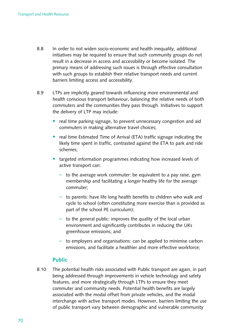- 8.8 In order to not widen socio-economic and health inequality, additional initiatives may be required to ensure that such community groups do not result in a decrease in access and accessibility or become isolated. The primary means of addressing such issues is through effective consultation with such groups to establish their relative transport needs and current barriers limiting access and accessibility.
- 8.9 LTPs are implicitly geared towards influencing more environmental and health conscious transport behaviour, balancing the relative needs of both commuters and the communities they pass through. Initiatives to support the delivery of LTP may include:
	- real time parking signage, to prevent unnecessary congestion and aid commuters in making alternative travel choices;
	- real time Estimated Time of Arrival (ETA) traffic signage indicating the likely time spent in traffic, contrasted against the ETA to park and ride schemes;
	- targeted information programmes indicating how increased levels of active transport can:
		- $-$  to the average work commuter: be equivalent to a pay raise, gym membership and facilitating a longer healthy life for the average commuter;
		- $-$  to parents: have life long health benefits to children who walk and cycle to school (often constituting more exercise than is provided as part of the school PE curriculum);
		- $-$  to the general public: improves the quality of the local urban environment and significantly contributes in reducing the UKs greenhouse emissions; and
		- $-$  to employers and organisations: can be applied to minimise carbon emissions, and facilitate a healthier and more effective workforce;

## **Public**

8.10 The potential health risks associated with Public transport are again, in part being addressed through improvements in vehicle technology and safety features, and more strategically through LTPs to ensure they meet commuter and community needs. Potential health benefits are largely associated with the modal offset from private vehicles, and the modal interchange with active transport modes. However, barriers limiting the use of public transport vary between demographic and vulnerable community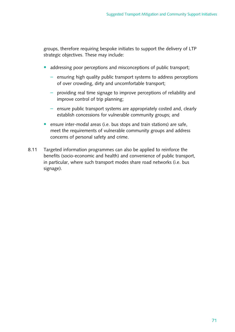groups, therefore requiring bespoke initiates to support the delivery of LTP strategic objectives. These may include:

- addressing poor perceptions and misconceptions of public transport;
	- $-$  ensuring high quality public transport systems to address perceptions of over crowding, dirty and uncomfortable transport;
	- $-$  providing real time signage to improve perceptions of reliability and improve control of trip planning;
	- $-$  ensure public transport systems are appropriately costed and, clearly establish concessions for vulnerable community groups; and
- ensure inter-modal areas (i.e. bus stops and train stations) are safe, meet the requirements of vulnerable community groups and address concerns of personal safety and crime.
- 8.11 Targeted information programmes can also be applied to reinforce the benefits (socio-economic and health) and convenience of public transport, in particular, where such transport modes share road networks (i.e. bus signage).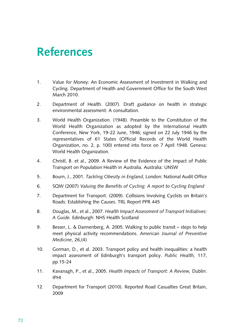# **References**

- 1. Value for Money: An Economic Assessment of Investment in Walking and Cycling. Department of Health and Government Office for the South West March 2010.
- 2. Department of Health. (2007). Draft guidance on health in strategic environmental assessment: A consultation.
- 3. World Health Organization. (1948). Preamble to the Constitution of the World Health Organization as adopted by the International Health Conference, New York, 19-22 June, 1946; signed on 22 July 1946 by the representatives of 61 States (Official Records of the World Health Organization, no. 2, p. 100) entered into force on 7 April 1948. Geneva: World Health Organization.
- 4. Christl, B. et al., 2009. A Review of the Evidence of the Impact of Public Transport on Population Health in Australia. Australia: UNSW
- 5. Bourn, J., 2001. *Tackling Obesity in England*, London: National Audit Office
- 6. SQW (2007) *Valuing the Benefits of Cycling: A report to Cycling England*
- 7. Department for Transport. (2009). Collisions Involving Cyclists on Britain's Roads: Establishing the Causes. TRL Report PPR 445
- 8. Douglas, M., et al., 2007. *Health Impact Assessment of Transport Initiatives:* A Guide. Edinburgh: NHS Health Scotland
- 9. Besser, L. & Dannenberg, A. 2005. Walking to public transit steps to help meet physical activity recommendations. *American Journal of Preventive Medicine*, 26,(4)
- 10. Gorman, D., et al. 2003. Transport policy and health inequalities: a health impact assessment of Edinburgh's transport policy. *Public Health,* 117, pp.15-24
- 11. Kavanagh, P., et al., 2005. *Health Impacts of Transport: A Review,* Dublin: IPHI
- 12. Department for Transport (2010). Reported Road Casualties Great Britain, 2009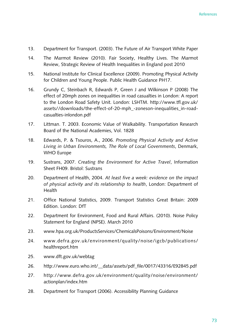- 13. Department for Transport. (2003). The Future of Air Transport White Paper
- 14. The Marmot Review (2010). Fair Society, Healthy Lives. The Marmot Review, Strategic Review of Health Inequalities in England post 2010
- 15. National Institute for Clinical Excellence (2009). Promoting Physical Activity for Children and Young People. Public Health Guidance PH17.
- 16. Grundy C, Steinbach R, Edwards P, Green J and Wilkinson P (2008) The effect of 20mph zones on inequalities in road casualties in London: A report to the London Road Safety Unit. London: LSHTM. http://www.tfl.gov.uk/ [assets//downloads/the-effect-of-20-mph\\_-zoneson-inequalities\\_in-road](http://www.tfl.gov.uk/assets/downloads/the-effect-of-20-mph_-zones-on-inequalities_in-road-casualties-in-london.pdf)casualties-inlondon.pdf
- 17. Littman. T. 2003. Economic Value of Walkability. Transportation Research Board of the National Academies, Vol. 1828
- 18. Edwards, P. & Tsouros, A., 2006. *Promoting Physical Activity and Active*  Living in Urban Environments, The Role of Local Governments, Denmark, **WHO** Europe
- 19. Sustrans, 2007. *Creating the Environment for Active Travel*, Information Sheet FH09. Bristol: Sustrans
- 20. Department of Health, 2004. At least five a week: evidence on the impact of physical activity and its relationship to health, London: Department of Health
- 21. Office National Statistics, 2009. Transport Statistics Great Britain: 2009 Edition. London: DfT
- 22. Department for Environment, Food and Rural Affairs. (2010). Noise Policy Statement for England (NPSE). March 2010
- 23. [www.hpa.org.uk/ProductsServices/ChemicalsPoisons/Environment/Noise](http://www.hpa.org.uk/ProductsServices/ChemicalsPoisons/Environment/Noise)
- 24. [www.defra.gov.uk/environment/quality/noise/igcb/publications/](http://www.defra.gov.uk/environment/quality/noise/igcb/publications/healthreport.htm)  healthreport.htm
- 25. [www.dft.gov.uk/webtag](http://www.dft.gov.uk/webtag)
- 26. http://www.euro.who.int/ data/assets/pdf file/0017/43316/E92845.pdf
- 27. [http://www.defra.gov.uk/environment/quality/noise/environment/](http://www.defra.gov.uk/environment/quality/noise/environment/actionplan/index.htm)  actionplan/index.htm
- 28. Department for Transport (2006). Accessibility Planning Guidance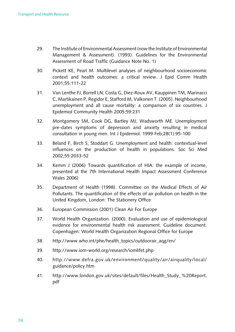- 29. The Institute of Environmental Assessment (now the Institute of Environmental Management & Assessment). (1993). Guidelines for the Environmental Assessment of Road Traffic (Guidance Note No. 1)
- 30. Pickett KE, Pearl M. Multilevel analyses of neighbourhood socioeconomic context and health outcomes: a critical review. J Epid Comm Health 2001;55:111-22
- 31. Van Lenthe FJ, Borrell LN, Costa G, Diez-Roux AV, Kauppinen TM, Marinacci C, Martikainen P, Regidor E, Stafford M, Valkonen T. (2005). Neighbourhood unemployment and all cause mortality: a comparison of six countries. J Epidemiol Community Health 2005;59:231
- 32. Montgomery SM, Cook DG, Bartley MJ, Wadsworth ME. Unemployment pre-dates symptoms of depression and anxiety resulting in medical consultation in young men. Int J Epidemiol. 1999 Feb;28(1):95-100
- 33. Beland F, Birch S, Stoddart G. Unemployment and health: contextual-level influences on the production of health in populations. Soc Sci Med 2002;55:2033-52
- 34. Kemm J (2006) Towards quantification of HIA: the example of income, presented at the 7th International Health Impact Assessment Conference Wales 2006)
- 35. Department of Health (1998). Committee on the Medical Effects of Air Pollutants. The quantification of the effects of air pollution on health in the United Kingdom, London: The Stationery Office
- 36. European Commission (2001) Clean Air For Europe
- 37. World Health Organization. (2000). Evaluation and use of epidemiological evidence for environmental health risk assessment. Guideline document. Copenhagen: World Health Organization Regional Office for Europe
- 38. [http://www.who.int/phe/health\\_topics/outdoorair\\_aqg/en/](http://www.who.int/phe/health_topics/outdoorair_aqg/en/)
- 39. <http://www.iom-world.org/research/iomlifet.php>
- 40. [http://www.defra.gov.uk/environment/quality/air/airquality/local/](http://www.defra.gov.uk/environment/quality/air/airquality/local/guidance/policy.htm)  guidance/policy.htm
- 41. http://www.london.gov.uk/sites/default/files/Health Study %20Report. pdf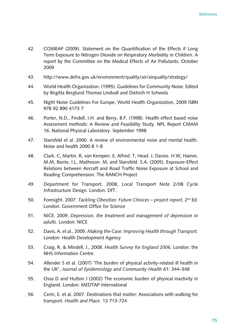- 42. COMEAP (2009). Statement on the Quantification of the Effects if Long Term Exposure to Nitrogen Dioxide on Respiratory Morbidity in Children. A report by the Committee on the Medical Effects of Air Pollutants. October 2009
- 43. http://www.defra.gov.uk/environment/quality/air/airquality/strategy/
- 44. World Health Organization. (1995). Guidelines for Community Noise. Edited by Birgitta Berglund Thomas Lindvall and Dietrich H Schwela
- 45. Night Noise Guidelines For Europe, World Health Organization, 2009 ISBN 978 92 890 4173 7
- 46. Porter, N.D., Findell, I.H. and Berry, B.F. (1998). Health effect based noise Assessment methods: A Review and Feasibility Study. NPL Report CMAM 16. National Physical Laboratory. September 1998
- 47. Stansfeld et al. 2000. A review of environmental noise and mental health. Noise and health 2000 8 1-8
- 48. Clark. C, Martin. R, van Kempen. E, Alfred. T, Head. J, Davies. H.W, Haines. M.M, Barrio. I.L, Matheson. M, and Stansfeld. S.A. (2005). Exposure-Effect Relations between Aircraft and Road Traffic Noise Exposure at School and Reading Comprehension: The RANCH Project
- 49. Department for Transport. 2008, Local Transport Note 2/08 Cycle Infrastructure Design*.* London: DfT.
- 50. Foresight. 2007. *Tackling Obesities: Future Choices project report*, 2<sup>nd</sup> Ed. London: Government Office for Science
- 51. NICE. 2009. *Depression, the treatment and management of depression in*  adults. London: NICE
- 52. Davis, A. et al., 2005. *Making the Case: Improving Health through Transport.* London: Health Development Agency
- 53. Craig, R. & Mindell, J., 2008. *Health Survey for England 2006.* London: the **NHS Information Centre**
- 54. Allender S et al. (2007) 'The burden of physical activity-related ill health in the UK', Journal of Epidemiology and Community Health 61: 344–348
- 55. Ossa D and Hutton J (2002) The economic burden of physical inactivity in England. London: MEDTAP International
- 56. Cerin, E. et al. 2007. Destinations that matter: Associations with walking for transport. *Health and Place*. 13 713-724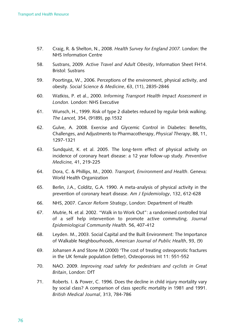- 57. Craig, R. & Shelton, N., 2008. *Health Survey for England 2007.* London: the **NHS** Information Centre
- 58. Sustrans, 2009. Active Travel and Adult Obesity, Information Sheet FH14. Bristol: Sustrans
- 59. Poortinga, W., 2006. Perceptions of the environment, physical activity, and obesity. *Social Science & Medicine*, 63, (11), 2835-2846
- 60. Watkiss, P. et al., 2000. *Informing Transport Health Impact Assessment in*  London. London: NHS Executive
- 61. Wunsch, H., 1999. Risk of type 2 diabetes reduced by regular brisk walking. *The Lancet,* 354, (9189), pp.1532
- 62. Gulve, A. 2008. Exercise and Glycemic Control in Diabetes: Benefits, Challenges, and Adjustments to Pharmacotherapy, *Physical Therapy*, 88, 11, 1297-1321
- 63. Sundquist, K. et al. 2005. The long-term effect of physical activity on incidence of coronary heart disease: a 12 year follow-up study. Preventive *Medicine,* 41, 219-225
- 64. Dora, C. & Phillips, M., 2000. *Transport, Environment and Health*. Geneva: World Health Organization
- 65. Berlin, J.A., Colditz, G.A. 1990. A meta-analysis of physical activity in the prevention of coronary heart disease. Am J Epidemiology, 132, 612-628
- 66. NHS, 2007. *Cancer Reform Strategy*, London: Department of Health
- 67. Mutrie, N. et al. 2002. "Walk in to Work Out": a randomised controlled trial of a self help intervention to promote active commuting. *Journal Epidemiological Community Health.* 56, 407-412
- 68. Leyden. M., 2003. Social Capital and the Built Environment: The Importance of Walkable Neighbourhoods, American Journal of Public Health, 93, (9)
- 69. Johansen A and Stone M (2000) 'The cost of treating osteoporotic fractures in the UK female population (letter), Osteoporosis Int 11: 551-552
- 70. NAO. 2009. *Improving road safety for pedestrians and cyclists in Great Britain*, London: DfT
- 71. Roberts. I. & Power, C. 1996. Does the decline in child injury mortality vary by social class? A comparison of class specific mortality in 1981 and 1991. *British Medical Journal*, 313, 784-786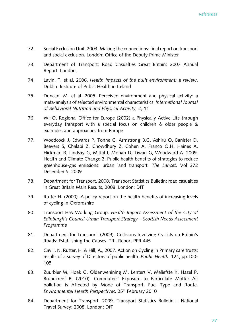- 72. Social Exclusion Unit, 2003. Making the connections: final report on transport and social exclusion. London: Office of the Deputy Prime Minister
- 73. Department of Transport: Road Casualties Great Britain: 2007 Annual Report. London.
- 74. Lavin, T. et al. 2006. *Health impacts of the built environment: a review.* Dublin: Institute of Public Health in Ireland
- 75. Duncan, M. et al. 2005. Perceived environment and physical activity: a meta-analysis of selected environmental characteristics. *International Journal of Behavioral Nutrition and Physical Activity,* 2, 11
- 76. WHO, Regional Office for Europe (2002) a Physically Active Life through everyday transport with a special focus on children & older people & examples and approaches from Europe
- 77. Woodcock J, Edwards P, Tonne C, Armstrong B.G, Ashiru O, Banister D, Beevers S, Chalabi Z, Chowdhury Z, Cohen A, Franco O.H, Haines A, Hickman R, Lindsay G, Mittal I, Mohan D, Tiwari G, Woodward A. 2009. Health and Climate Change 2: Public health benefits of strategies to reduce greenhouse-gas emissions: urban land transport. The Lancet. Vol 372 December 5, 2009
- 78. Department for Transport, 2008. Transport Statistics Bulletin: road casualties in Great Britain Main Results, 2008. London: DfT
- 79. Rutter H. (2000). A policy report on the health benefits of increasing levels of cycling in Oxfordshire
- 80. Transport HIA Working Group. Health Impact Assessment of the City of *Edinburgh's Council Urban Transport Strategy – Scottish Needs Assessment Programme*
- 81. Department for Transport. (2009). Collisions Involving Cyclists on Britain's Roads: Establishing the Causes. TRL Report PPR 445
- 82. Cavill, N. Rutter, H. & Hill, A., 2007. Action on Cycling in Primary care trusts: results of a survey of Directors of public health. *Public Health*, 121, pp.100-105
- 83. Zuurbier M, Hoek G, Oldenwenining M, Lenters V, Meliefste K, Hazel P, Brunekreef B. (2010). Commuters' Exposure to Particulate Matter Air pollution is Affected by Mode of Transport, Fuel Type and Route. *Environmental Health Perspectives*. 25<sup>th</sup> February 2010
- 84. Department for Transport. 2009. Transport Statistics Bulletin National Travel Survey: 2008. London: DfT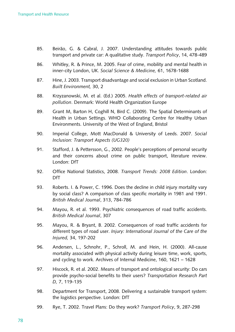- 85. Beirão, G. & Cabral, J. 2007. Understanding attitudes towards public transport and private car: A qualitative study. *Transport Policy*, 14, 478-489
- 86. Whitley, R. & Prince, M. 2005. Fear of crime, mobility and mental health in inner-city London, UK. *Social Science & Medicine,* 61, 1678-1688
- 87. Hine, J. 2003. Transport disadvantage and social exclusion in Urban Scotland. *Built Environment,* 30, 2
- 88. Krzyzanowski, M. et al. (Ed.) 2005. *Health effects of transport-related air pollution*. Denmark: World Health Organization Europe
- 89. Grant M, Barton H, Coghill N, Bird C. (2009). The Spatial Determinants of Health in Urban Settings. WHO Collaborating Centre for Healthy Urban Environments. University of the West of England, Bristol
- 90. Imperial College, Mott MacDonald & University of Leeds. 2007. *Social Inclusion: Transport Aspects (UG320)*
- 91. Stafford, J. & Pettersson, G., 2002. People's perceptions of personal security and their concerns about crime on public transport, literature review. London: DfT
- 92. Office National Statistics, 2008. *Transport Trends: 2008 Edition*. London: DfT
- 93. Roberts. I. & Power, C. 1996. Does the decline in child injury mortality vary by social class? A comparison of class specific mortality in 1981 and 1991. *British Medical Journal*, 313, 784-786
- 94. Mayou, R. et al. 1993. Psychiatric consequences of road traffic accidents. *British Medical Journal*, 307
- 95. Mayou, R. & Bryant, B. 2002. Consequences of road traffic accidents for different types of road user. *Injury: International Journal of the Care of the Injured,* 34, 197-202
- 96. Andersen, L., Schnohr, P., Schroll, M. and Hein, H. (2000). All-cause mortality associated with physical activity during leisure time, work, sports, and cycling to work. Archives of Internal Medicine,  $160$ ,  $1621 - 1628$
- 97. Hiscock, R. et al. 2002. Means of transport and ontological security: Do cars provide psycho-social benefits to their users? *Transportation Research Part D,* 7, 119-135
- 98. Department for Transport, 2008. Delivering a sustainable transport system: the logistics perspective. London: DfT
- 99. Rye, T. 2002. Travel Plans: Do they work? *Transport Policy*, 9, 287-298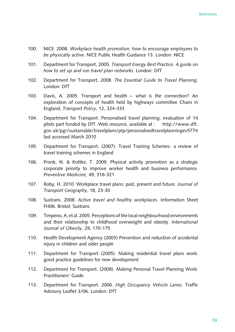- 100. NICE. 2008. *Workplace health promotion: how to encourage employees to be physically active.* NICE Public Health Guidance 13. London: NICE
- 101. Department for Transport, 2005. *Transport Energy Best Practice. A guide on how to set up and run travel plan networks*. London: DfT
- 102. Department for Transport, 2008. The Essential Guide to Travel Planning. London: DfT
- 103. Davis, A. 2005. Transport and health what is the connection? An exploration of concepts of health held by highways committee Chairs in England, *Transport Policy*, 12, 324-333
- 104. Department for Transport. Personalised travel planning: evaluation of 14 pilots part funded by DfT. Web resource, available at : http://www.dft. gov.uk/pgr/sustainable/travelplans/ptp/personalisedtravelplanningev5774 last accessed March 2010
- 105. Department for Transport. (2007). Travel Training Schemes- a review of travel training schemes in England
- 106. Pronk, N. & Kottke, T. 2009. Physical activity promotion as a strategic corporate priority to improve worker health and business performance. *Preventive Medicine,* 49, 316-321
- 107. Roby, H. 2010. Workplace travel plans: past, present and future. *Journal of Transport Geography*, 18, 23-30
- 108. Sustrans. 2008. *Active travel and healthy workplaces.* Information Sheet FH06. Bristol: Sustrans
- 109. Timperio, A. et al. 2005. Perceptions of the local neighbourhood environments and their relationship to childhood overweight and obesity. *International Journal of Obesity*, 29, 170-175
- 110. Health Development Agency (2003) Prevention and reduction of accidental injury in children and older people
- 111. Department for Transport (2005). Making residential travel plans work: good practice guidelines for new development
- 112. Department for Transport. (2008). Making Personal Travel Planning Work: Practitioners' Guide
- 113. Department for Transport. 2006. High Occupancy Vehicle Lanes. Traffic Advisory Leaflet 3/06. London: DfT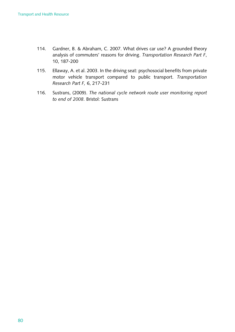- 114. Gardner, B. & Abraham, C. 2007. What drives car use? A grounded theory analysis of commuters' reasons for driving. *Transportation Research Part F*, 10, 187-200
- 115. Ellaway, A. et al. 2003. In the driving seat: psychosocial benefits from private motor vehicle transport compared to public transport. *Transportation Research Part F,* 6, 217-231
- 116. Sustrans, (2009). *The national cycle network route user monitoring report to end of 2008*. Bristol: Sustrans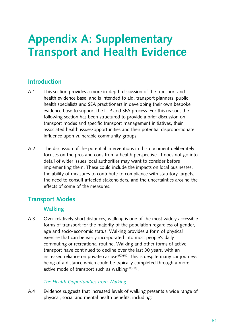# **Appendix A: Supplementary Transport and Health Evidence**

## **Introduction**

- A.1 This section provides a more in-depth discussion of the transport and health evidence base, and is intended to aid, transport planners, public health specialists and SEA practitioners in developing their own bespoke evidence base to support the LTP and SEA process. For this reason, the following section has been structured to provide a brief discussion on transport modes and specific transport management initiatives, their associated health issues/opportunities and their potential disproportionate influence upon vulnerable community groups.
- A.2 The discussion of the potential interventions in this document deliberately focuses on the pros and cons from a health perspective. It does not go into detail of wider issues local authorities may want to consider before implementing them. These could include the impacts on local businesses, the ability of measures to contribute to compliance with statutory targets, the need to consult affected stakeholders, and the uncertainties around the effects of some of the measures.

## **Transport Modes**

## **Walking**

A.3 Over relatively short distances, walking is one of the most widely accessible forms of transport for the majority of the population regardless of gender, age and socio-economic status. Walking provides a form of physical exercise that can be easily incorporated into most people's daily commuting or recreational routine. Walking and other forms of active transport have continued to decline over the last 30 years, with an increased reliance on private car use $(50)(51)$ . This is despite many car journeys being of a distance which could be typically completed through a more active mode of transport such as walking $(52)(18)$ .

## *The Health Opportunities from Walking*

A.4 Evidence suggests that increased levels of walking presents a wide range of physical, social and mental health benefits, including: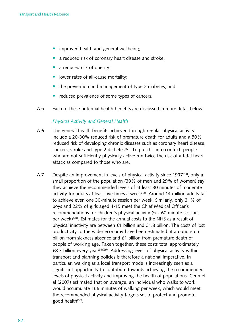- improved health and general wellbeing;
- a reduced risk of coronary heart disease and stroke;
- a reduced risk of obesity;
- lower rates of all-cause mortality;
- the prevention and management of type 2 diabetes; and
- reduced prevalence of some types of cancers.
- A.5 Each of these potential health benefits are discussed in more detail below.

#### *Physical Activity and General Health*

- A.6 The general health benefits achieved through regular physical activity include a 20-30% reduced risk of premature death for adults and a 50% reduced risk of developing chronic diseases such as coronary heart disease, cancers, stroke and type 2 diabetes<sup> $(52)$ </sup>. To put this into context, people who are not sufficiently physically active run twice the risk of a fatal heart attack as compared to those who are.
- A.7 Despite an improvement in levels of physical activity since 1997<sup>(53)</sup>, only a small proportion of the population (39% of men and 29% of women) say they achieve the recommended levels of at least 30 minutes of moderate activity for adults at least five times a week<sup>(13)</sup>. Around 14 million adults fail to achieve even one 30-minute session per week. Similarly, only 31% of boys and 22% of girls aged 4-15 meet the Chief Medical Officer's recommendations for children's physical activity  $(5 \times 60 \text{ minute sessions})$ per week) $(20)$ . Estimates for the annual costs to the NHS as a result of physical inactivity are between  $£1$  billion and  $£1.8$  billion. The costs of lost productivity to the wider economy have been estimated at around £5.5 billion from sickness absence and £1 billion from premature death of people of working age. Taken together, these costs total approximately £8.3 billion every year<sup>(54)(55)</sup>. Addressing levels of physical activity within transport and planning policies is therefore a national imperative. In particular, walking as a local transport mode is increasingly seen as a significant opportunity to contribute towards achieving the recommended levels of physical activity and improving the health of populations. Cerin et al (2007) estimated that on average, an individual who walks to work would accumulate 166 minutes of walking per week, which would meet the recommended physical activity targets set to protect and promote good health<sup>(56)</sup>.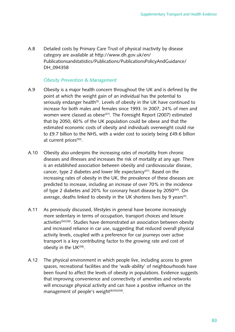A.8 Detailed costs by Primary Care Trust of physical inactivity by disease category are available at http://www.dh.gov.uk/en/ [Publicationsandstatistics/Publications/PublicationsPolicyAndGuidance/](http://www.dh.gov.uk/en/Publicationsandstatistics/Publications/PublicationsPolicyAndGuidance/DH_094358)  DH 094358

#### *Obesity Prevention & Management*

- A.9 Obesity is a major health concern throughout the UK and is defined by the point at which the weight gain of an individual has the potential to seriously endanger health<sup>(5)</sup>. Levels of obesity in the UK have continued to increase for both males and females since 1993. In 2007, 24% of men and women were classed as obese<sup>(57)</sup>. The Foresight Report (2007) estimated that by 2050, 60% of the UK population could be obese and that the estimated economic costs of obesity and individuals overweight could rise to £9.7 billion to the NHS, with a wider cost to society being £49.6 billion at current prices<sup>(50)</sup>.
- A.10 Obesity also underpins the increasing rates of mortality from chronic diseases and illnesses and increases the risk of mortality at any age. There is an established association between obesity and cardiovascular disease, cancer, type 2 diabetes and lower life expectancy<sup> $(57)$ </sup>. Based on the increasing rates of obesity in the UK, the prevalence of these diseases are predicted to increase, including an increase of over 70% in the incidence of type 2 diabetes and 20% for coronary heart disease by 2050<sup>(50)</sup>. On average, deaths linked to obesity in the UK shortens lives by 9 years<sup>(5)</sup>.
- A.11 As previously discussed, lifestyles in general have become increasingly more sedentary in terms of occupation, transport choices and leisure activities<sup>(50)(58)</sup>. Studies have demonstrated an association between obesity and increased reliance in car use, suggesting that reduced overall physical activity levels, coupled with a preference for car journeys over active transport is a key contributing factor to the growing rate and cost of obesity in the  $UK^{(58)}$ .
- A.12 The physical environment in which people live, including access to green spaces, recreational facilities and the 'walk-ability' of neighbourhoods have been found to affect the levels of obesity in populations. Evidence suggests that improving convenience and connectivity of amenities and networks will encourage physical activity and can have a positive influence on the management of people's weight $(8)(50)(59)$ .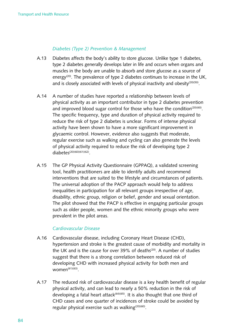#### *Diabetes (Type 2) Prevention & Management*

- A.13 Diabetes affects the body's ability to store glucose. Unlike type 1 diabetes, type 2 diabetes generally develops later in life and occurs when organs and muscles in the body are unable to absorb and store glucose as a source of energy<sup>(20)</sup>. The prevalence of type 2 diabetes continues to increase in the UK, and is closely associated with levels of physical inactivity and obesity<sup>(20)(50)</sup>.
- A.14 A number of studies have reported a relationship between levels of physical activity as an important contributor in type 2 diabetes prevention and improved blood sugar control for those who have the condition<sup>(20)(60)</sup>. The specific frequency, type and duration of physical activity required to reduce the risk of type 2 diabetes is unclear. Forms of intense physical activity have been shown to have a more significant improvement in glycaemic control. However, evidence also suggests that moderate, regular exercise such as walking and cycling can also generate the levels of physical activity required to reduce the risk of developing type 2 diabetes<sup>(20)</sup>(60)(61)(62).
- A.15 The GP Physical Activity Questionnaire (GPPAQ), a validated screening tool, health practitioners are able to identify adults and recommend interventions that are suited to the lifestyle and circumstances of patients. The universal adoption of the PACP approach would help to address inequalities in participation for all relevant groups irrespective of age, disability, ethnic group, religion or belief, gender and sexual orientation. The pilot showed that the PACP is effective in engaging particular groups such as older people, women and the ethnic minority groups who were prevalent in the pilot areas.

#### *Cardiovascular Disease*

- A.16 Cardiovascular disease, including Coronary Heart Disease (CHD), hypertension and stroke is the greatest cause of morbidity and mortality in the UK and is the cause for over 39% of deaths<sup>(20)</sup>. A number of studies suggest that there is a strong correlation between reduced risk of developing CHD with increased physical activity for both men and  $woman^{(61)(63)}$ .
- A.17 The reduced risk of cardiovascular disease is a key health benefit of regular physical activity, and can lead to nearly a 50% reduction in the risk of developing a fatal heart attack<sup>(64)(65)</sup>. It is also thought that one third of CHD cases and one quarter of incidences of stroke could be avoided by regular physical exercise such as walking $(20)(60)$ .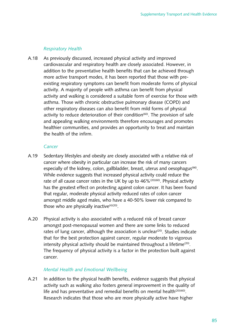#### *Respiratory Health*

A.18 As previously discussed, increased physical activity and improved cardiovascular and respiratory health are closely associated. However, in addition to the preventative health benefits that can be achieved through more active transport modes, it has been reported that those with preexisting respiratory symptoms can benefit from moderate forms of physical activity. A majority of people with asthma can benefit from physical activity and walking is considered a suitable form of exercise for those with asthma. Those with chronic obstructive pulmonary disease (COPD) and other respiratory diseases can also benefit from mild forms of physical activity to reduce deterioration of their condition $(60)$ . The provision of safe and appealing walking environments therefore encourages and promotes healthier communities, and provides an opportunity to treat and maintain the health of the infirm.

#### *Cancer*

- A.19 Sedentary lifestyles and obesity are closely associated with a relative risk of cancer where obesity in particular can increase the risk of many cancers especially of the kidney, colon, gallbladder, breast, uterus and oesophagus<sup>(66)</sup>. While evidence suggests that increased physical activity could reduce the rate of all cause cancer rates in the UK by up to  $46\%$ <sup>(20)(60)</sup>. Physical activity has the greatest effect on protecting against colon cancer. It has been found that regular, moderate physical activity reduced rates of colon cancer amongst middle aged males, who have a 40-50% lower risk compared to those who are physically inactive $(4)(20)$ .
- A.20 Physical activity is also associated with a reduced risk of breast cancer amongst post-menopausal women and there are some links to reduced rates of lung cancer, although the association is unclear<sup>(20)</sup>. Studies indicate that for the best protection against cancer, regular moderate to vigorous intensity physical activity should be maintained throughout a lifetime<sup>(20)</sup>. The frequency of physical activity is a factor in the protection built against cancer.

#### *Mental Health and Emotional Wellbeing*

A.21 In addition to the physical health benefits, evidence suggests that physical activity such as walking also fosters general improvement in the quality of life and has preventative and remedial benefits on mental health<sup>(20)(60)</sup>. Research indicates that those who are more physically active have higher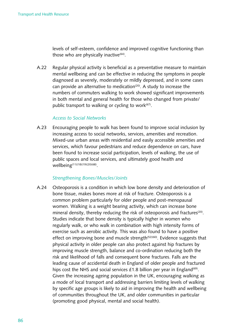levels of self-esteem, confidence and improved cognitive functioning than those who are physically inactive $(64)$ .

A.22 Regular physical activity is beneficial as a preventative measure to maintain mental wellbeing and can be effective in reducing the symptoms in people diagnosed as severely, moderately or mildly depressed, and in some cases can provide an alternative to medication<sup>(20)</sup>. A study to increase the numbers of commuters walking to work showed significant improvements in both mental and general health for those who changed from private/ public transport to walking or cycling to work $(67)$ .

#### *Access to Social Networks*

A.23 Encouraging people to walk has been found to improve social inclusion by increasing access to social networks, services, amenities and recreation. Mixed-use urban areas with residential and easily accessible amenities and services, which favour pedestrians and reduce dependence on cars, have been found to increase social participation, levels of walking, the use of public spaces and local services, and ultimately good health and wellbeing<sup>(11)(18)(19)(20)(68)</sup>.

#### *Strengthening Bones/Muscles/Joints*

A.24 Csteoporosis is a condition in which low bone density and deterioration of bone tissue, makes bones more at risk of fracture. Osteoporosis is a common problem particularly for older people and post-menopausal women. Walking is a weight bearing activity, which can increase bone mineral density, thereby reducing the risk of osteoporosis and fractures<sup>(20)</sup>. Studies indicate that bone density is typically higher in women who regularly walk, or who walk in combination with high intensity forms of exercise such as aerobic activity. This was also found to have a positive effect on improving bone and muscle strength<sup> $(52)(60)$ </sup>. Evidence suggests that physical activity in older people can also protect against hip fractures by improving muscle strength, balance and co-ordination reducing both the risk and likelihood of falls and consequent bone fractures. Falls are the leading cause of accidental death in England of older people and fractured hips cost the NHS and social services  $£1.8$  billion per year in England<sup>(69)</sup>. Given the increasing ageing population in the UK, encouraging walking as a mode of local transport and addressing barriers limiting levels of walking by specific age groups is likely to aid in improving the health and wellbeing of communities throughout the UK, and older communities in particular (promoting good physical, mental and social health).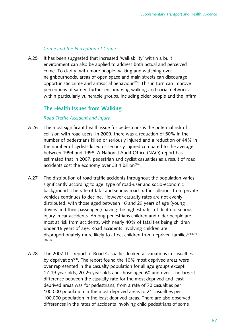#### *Crime and the Perception of Crime*

A.25 It has been suggested that increased 'walkability' within a built environment can also be applied to address both actual and perceived crime. To clarify, with more people walking and watching over neighbourhoods, areas of open space and main streets can discourage opportunistic crime and antisocial behaviour<sup>(65)</sup>. This in turn can improve perceptions of safety, further encouraging walking and social networks within particularly vulnerable groups, including older people and the infirm.

## **The Health Issues from Walking**

#### *Road Traffic Accident and Injury*

- A.26 The most significant health issue for pedestrians is the potential risk of collision with road users. In 2009, there was a reduction of 50% in the number of pedestrians killed or seriously injured and a reduction of 44% in the number of cyclists killed or seriously injured compared to the average between 1994 and 1998. A National Audit Office (NAO) report has estimated that in 2007, pedestrian and cyclist casualties as a result of road accidents cost the economy over  $£3.4$  billion<sup>(70)</sup>.
- A.27 The distribution of road traffic accidents throughout the population varies significantly according to age, type of road-user and socio-economic background. The rate of fatal and serious road traffic collisions from private vehicles continues to decline. However casualty rates are not evenly distributed, with those aged between 16 and 29 years of age (young drivers and their passengers) having the highest rates of death or serious injury in car accidents. Among pedestrians children and older people are most at risk from accidents, with nearly 40% of fatalities being children under 16 years of age. Road accidents involving children are disproportionately more likely to affect children from deprived families<sup>(71)(72)</sup>  $(36)(62)$
- A.28 The 2007 DfT report of Road Casualties looked at variations in casualties by deprivation<sup> $(73)$ </sup>. The report found the 10% most deprived areas were over represented in the casualty population for all age groups except 17-19 year olds, 20-25 year olds and those aged 60 and over. The largest difference between the casualty rate for the most deprived and least deprived areas was for pedestrians, from a rate of 70 casualties per 100,000 population in the most deprived areas to 21 casualties per 100,000 population in the least deprived areas. There are also observed differences in the rates of accidents involving child pedestrians of some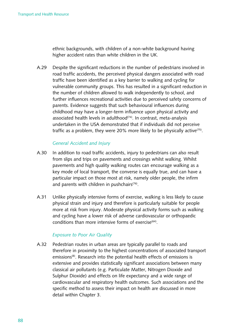ethnic backgrounds, with children of a non-white background having higher accident rates than white children in the UK.

A.29 Despite the significant reductions in the number of pedestrians involved in road traffic accidents, the perceived physical dangers associated with road traffic have been identified as a key barrier to walking and cycling for vulnerable community groups. This has resulted in a significant reduction in the number of children allowed to walk independently to school, and further influences recreational activities due to perceived safety concerns of parents. Evidence suggests that such behavioural influences during childhood may have a longer-term influence upon physical activity and associated health levels in adulthood<sup> $(74)$ </sup>. In contrast, meta-analysis undertaken in the USA demonstrated that if individuals did not perceive traffic as a problem, they were 20% more likely to be physically active<sup>(75)</sup>.

#### *General Accident and Injury*

- A.30 In addition to road traffic accidents, injury to pedestrians can also result from slips and trips on pavements and crossings whilst walking. Whilst pavements and high quality walking routes can encourage walking as a key mode of local transport, the converse is equally true, and can have a particular impact on those most at risk, namely older people, the infirm and parents with children in pushchairs<sup> $(76)$ </sup>.
- A.31 Unlike physically intensive forms of exercise, walking is less likely to cause physical strain and injury and therefore is particularly suitable for people more at risk from injury. Moderate physical activity forms such as walking and cycling have a lower risk of adverse cardiovascular or orthopaedic conditions than more intensive forms of exercise<sup>(64)</sup>.

#### *Exposure to Poor Air Quality*

A.32 Pedestrian routes in urban areas are typically parallel to roads and therefore in proximity to the highest concentrations of associated transport emissions<sup>(8)</sup>. Research into the potential health effects of emissions is extensive and provides statistically significant associations between many classical air pollutants (e.g. Particulate Matter, Nitrogen Dioxide and Sulphur Dioxide) and effects on life expectancy and a wide range of cardiovascular and respiratory health outcomes. Such associations and the specific method to assess their impact on health are discussed in more detail within Chapter 3.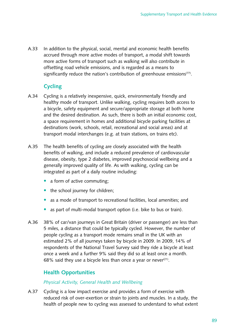A.33 In addition to the physical, social, mental and economic health benefits accrued through more active modes of transport, a modal shift towards more active forms of transport such as walking will also contribute in offsetting road vehicle emissions, and is regarded as a means to significantly reduce the nation's contribution of greenhouse emissions<sup>(77)</sup>.

## **Cycling**

- A.34 Cycling is a relatively inexpensive, quick, environmentally friendly and healthy mode of transport. Unlike walking, cycling requires both access to a bicycle, safety equipment and secure/appropriate storage at both home and the desired destination. As such, there is both an initial economic cost, a space requirement in homes and additional bicycle parking facilities at destinations (work, schools, retail, recreational and social areas) and at transport modal interchanges (e.g. at train stations, on trains etc).
- A.35 The health benefits of cycling are closely associated with the health benefits of walking, and include a reduced prevalence of cardiovascular disease, obesity, type 2 diabetes, improved psychosocial wellbeing and a generally improved quality of life. As with walking, cycling can be integrated as part of a daily routine including:
	- a form of active commuting;
	- $\bullet$  the school journey for children;
	- as a mode of transport to recreational facilities, local amenities; and
	- as part of multi-modal transport option (i.e. bike to bus or train).
- A.36 38% of car/van journeys in Great Britain (driver or passenger) are less than 5 miles, a distance that could be typically cycled. However, the number of people cycling as a transport mode remains small in the UK with an estimated 2% of all journeys taken by bicycle in 2009. In 2009, 14% of respondents of the National Travel Survey said they ride a bicycle at least once a week and a further 9% said they did so at least once a month. 68% said they use a bicycle less than once a year or never $(21)$ .

## **Health Opportunities**

#### *Physical Activity, General Health and Wellbeing*

A.37 Cycling is a low impact exercise and provides a form of exercise with reduced risk of over-exertion or strain to joints and muscles. In a study, the health of people new to cycling was assessed to understand to what extent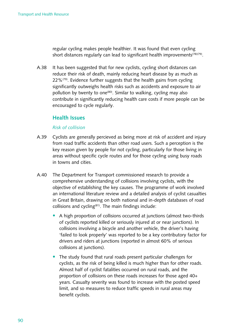regular cycling makes people healthier. It was found that even cycling short distances regularly can lead to significant health improvements<sup>(78)(79)</sup>.

A.38 It has been suggested that for new cyclists, cycling short distances can reduce their risk of death, mainly reducing heart disease by as much as  $22\%$ <sup>(79)</sup>. Evidence further suggests that the health gains from cycling significantly outweighs health risks such as accidents and exposure to air pollution by twenty to one<sup>(80)</sup>. Similar to walking, cycling may also contribute in significantly reducing health care costs if more people can be encouraged to cycle regularly.

## **Health Issues**

#### *Risk of collision*

- A.39 Cyclists are generally percieved as being more at risk of accident and injury from road traffic accidents than other road users. Such a perception is the key reason given by people for not cycling, particularly for those living in areas without specific cycle routes and for those cycling using busy roads in towns and cities.
- A.40 The Department for Transport commissioned research to provide a comprehensive understanding of collisions involving cyclists, with the objective of establishing the key causes. The programme of work involved an international literature review and a detailed analysis of cyclist casualties in Great Britain, drawing on both national and in-depth databases of road collisions and cycling<sup> $(81)$ </sup>. The main findings include:
	- A high proportion of collisions occurred at junctions (almost two-thirds of cyclists reported killed or seriously injured at or near junctions). In collisions involving a bicycle and another vehicle, the driver's having 'failed to look properly' was reported to be a key contributory factor for drivers and riders at junctions (reported in almost 60% of serious collisions at junctions).
	- The study found that rural roads present particular challenges for cyclists, as the risk of being killed is much higher than for other roads. Almost half of cyclist fatalities occurred on rural roads, and the proportion of collisions on these roads increases for those aged 40+ years. Casualty severity was found to increase with the posted speed limit, and so measures to reduce traffic speeds in rural areas may benefit cyclists.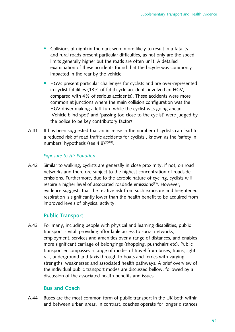- Collisions at night/in the dark were more likely to result in a fatality, and rural roads present particular difficulties, as not only are the speed limits generally higher but the roads are often unlit. A detailed examination of these accidents found that the bicycle was commonly impacted in the rear by the vehicle.
- HGVs present particular challenges for cyclists and are over-represented in cyclist fatalities (18% of fatal cycle accidents involved an HGV, compared with 4% of serious accidents). These accidents were more common at junctions where the main collision configuration was the HGV driver making a left turn while the cyclist was going ahead. 'Vehicle blind spot' and 'passing too close to the cyclist' were judged by the police to be key contributory factors.
- A.41 It has been suggested that an increase in the number of cyclists can lead to a reduced risk of road traffic accidents for cyclists, known as the 'safety in numbers' hypothesis (see 4.8)<sup>(8)(82)</sup>.

#### *Exposure to Air Pollution*

A.42 Similar to walking, cyclists are generally in close proximity, if not, on road networks and therefore subject to the highest concentration of roadside emissions. Furthermore, due to the aerobic nature of cycling, cyclists will respire a higher level of associated roadside emissions<sup>(83)</sup>. However, evidence suggests that the relative risk from such exposure and heightened respiration is significantly lower than the health benefit to be acquired from improved levels of physical activity.

## **Public Transport**

A.43 For many, including people with physical and learning disabilities, public transport is vital, providing affordable access to social networks, employment, services and amenities over a range of distances, and enables more significant carriage of belongings (shopping, pushchairs etc). Public transport encompasses a range of modes of travel from buses, trains, light rail, underground and taxis through to boats and ferries with varying strengths, weaknesses and associated health pathways. A brief overview of the individual public transport modes are discussed bellow, followed by a discussion of the associated health benefits and issues.

## **Bus and Coach**

A.44 Buses are the most common form of public transport in the UK both within and between urban areas. In contrast, coaches operate for longer distances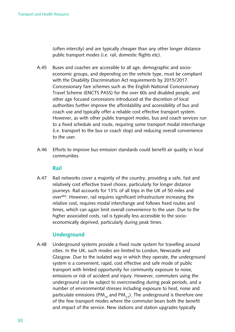(often intercity) and are typically cheaper than any other longer distance public transport modes (i.e. rail, domestic flights etc).

- A.45 Buses and coaches are accessible to all age, demographic and socioeconomic groups, and depending on the vehicle type, must be compliant with the Disability Discrimination Act requirements by 2015/2017. Concessionary fare schemes such as the English National Concessionary Travel Scheme (ENCTS PASS) for the over 60s and disabled people, and other age focused concessions introduced at the discretion of local authorities further improve the affordability and accessibility of bus and coach use and typically offer a reliable cost effective transport system. However, as with other public transport modes, bus and coach services run to a fixed schedule and route, requiring some transport modal interchange (i.e. transport to the bus or coach stop) and reducing overall convenience to the user.
- A.46 Efforts to improve bus emission standards could benefit air quality in local communities

#### **Rail**

A.47 Rail networks cover a majority of the country, providing a safe, fast and relatively cost effective travel choice, particularly for longer distance journeys. Rail accounts for 13% of all trips in the UK of 50 miles and over<sup>(84)</sup>. However, rail requires significant infrastructure increasing the relative cost, requires modal interchange and follows fixed routes and times, which can again limit overall convenience to the user. Due to the higher associated costs, rail is typically less accessible to the socioeconomically deprived, particularly during peak times.

## **Underground**

A.48 Underground systems provide a fixed route system for travelling around cities. In the UK, such modes are limited to London, Newcastle and Glasgow. Due to the isolated way in which they operate, the underground system is a convenient, rapid, cost effective and safe mode of public transport with limited opportunity for community exposure to noise, emissions or risk of accident and injury. However, commuters using the underground can be subject to overcrowding during peak periods, and a number of environmental stresses including exposure to heat, noise and particulate emissions (PM<sub>10</sub> and PM<sub>2.5</sub>). The underground is therefore one of the few transport modes where the commuter bears both the benefit and impact of the service. New stations and station upgrades typically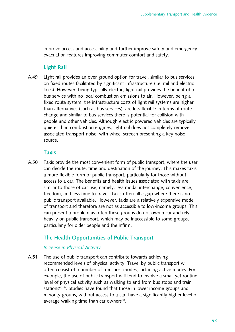improve access and accessibility and further improve safety and emergency evacuation features improving commuter comfort and safety.

## **Light Rail**

A.49 Light rail provides an over ground option for travel, similar to bus services on fixed routes facilitated by significant infrastructure (i.e. rail and electric lines). However, being typically electric, light rail provides the benefit of a bus service with no local combustion emissions to air. However, being a fixed route system, the infrastructure costs of light rail systems are higher than alternatives (such as bus services), are less flexible in terms of route change and similar to bus services there is potential for collision with people and other vehicles. Although electric powered vehicles are typically quieter than combustion engines, light rail does not completely remove associated transport noise, with wheel screech presenting a key noise source. 

#### **Taxis**

A.50 Taxis provide the most convenient form of public transport, where the user can decide the route, time and destination of the journey. This makes taxis a more flexible form of public transport, particularly for those without access to a car. The benefits and health issues associated with taxis are similar to those of car use; namely, less modal interchange, convenience, freedom, and less time to travel. Taxis often fill a gap where there is no public transport available. However, taxis are a relatively expensive mode of transport and therefore are not as accessible to low-income groups. This can present a problem as often these groups do not own a car and rely heavily on public transport, which may be inaccessible to some groups, particularly for older people and the infirm.

## **The Health Opportunities of Public Transport**

#### *Increase in Physical Activity*

A.51 The use of public transport can contribute towards achieving recommended levels of physical activity. Travel by public transport will often consist of a number of transport modes, including active modes. For example, the use of public transport will tend to involve a small yet routine level of physical activity such as walking to and from bus stops and train stations<sup> $(4)(8)$ </sup>. Studies have found that those in lower income groups and minority groups, without access to a car, have a significantly higher level of average walking time than car owners $(9)$ .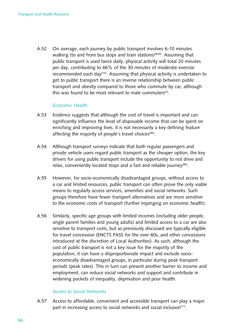A.52 On average, each journey by public transport involves 6-10 minutes walking (to and from bus stops and train stations)<sup>(8)(9)</sup>. Assuming that public transport is used twice daily, physical activity will total 20 minutes per day, contributing to 66% of the 30 minutes of moderate exercise recommended each day<sup>(10)</sup>. Assuming that physical activity is undertaken to get to public transport there is an inverse relationship between public transport and obesity compared to those who commute by car, although this was found to be most relevant to male commuters<sup>(4)</sup>.

#### *Economic Health*

- A.53 Evidence suggests that although the cost of travel is important and can significantly influence the level of disposable income that can be spent on enriching and improving lives, it is not necessarily a key defining feature affecting the majority of people's travel choices<sup>(85)</sup>.
- A.54 Although transport surveys indicate that both regular passengers and private vehicle users regard public transport as the cheaper option, the key drivers for using public transport include the opportunity to not drive and relax, conveniently located stops and a fast and reliable journey<sup>(85)</sup>.
- A.55 However, for socio-economically disadvantaged groups, without access to a car and limited resources, public transport can often prove the only viable means to regularly access services, amenities and social networks. Such groups therefore have fewer transport alternatives and are more sensitive to the economic costs of transport (further impinging on economic health).
- A.56 Similarly, specific age groups with limited incomes (including older people, single parent families and young adults) and limited access to a car are also sensitive to transport costs, but as previously discussed are typically eligible for travel concession (ENCTS PASS for the over 60s, and other concessions introduced at the discretion of Local Authorities). As such, although the cost of public transport is not a key issue for the majority of the population, it can have a disproportionate impact and exclude socioeconomically disadvantaged groups, in particular during peak transport periods (peak rates). This in turn can present another barrier to income and employment, can reduce social networks and support and contribute in widening pockets of inequality, deprivation and poor health.

#### *Access to Social Networks*

A.57 Access to affordable, convenient and accessible transport can play a major part in increasing access to social networks and social inclusion<sup>(11)</sup>.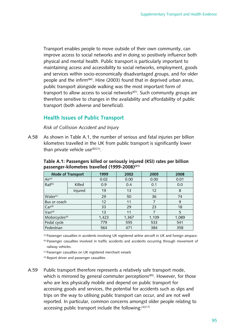Transport enables people to move outside of their own community, can improve access to social networks and in doing so positively influence both physical and mental health. Public transport is particularly important to maintaining access and accessibility to social networks, employment, goods and services within socio-economically disadvantaged groups, and for older people and the infirm<sup>(86)</sup>. Hine (2003) found that in deprived urban areas, public transport alongside walking was the most important form of transport to allow access to social networks<sup>(87)</sup>. Such community groups are therefore sensitive to changes in the availability and affordability of public transport (both adverse and beneficial).

## **Health Issues of Public Transport**

*Risk of Collision Accident and Injury* 

A.58 As shown in Table A.1, the number of serious and fatal injuries per billion kilometres travelled in the UK from public transport is significantly lower than private vehicle  $use^{(8)(21)}$ .

| <b>Mode of Transport</b>   |         | 1999  | 2002  | 2005  | 2008  |
|----------------------------|---------|-------|-------|-------|-------|
| Air <sup>(a)</sup>         |         | 0.02  | 0.00  | 0.00  | 0.01  |
| Rail <sup>(b)</sup>        | Killed  | 0.9   | 0.4   | 0.1   | 0.0   |
|                            | Injured | 19    | 13    | 12    | 8     |
| Water <sup>(c)</sup>       |         | 29    | 50    | 36    | 74    |
| Bus or coach               |         | 12    | 11    | 7     | 9     |
| Car <sup>(d)</sup>         |         | 33    | 29    | 23    | 18    |
| Van <sup>(d)</sup>         |         | 13    | 11    |       | 5     |
| Motorcycles <sup>(d)</sup> |         | 1,423 | 1,367 | 1,109 | 1,089 |
| Pedal cycle                |         | 779   | 555   | 533   | 541   |
| Pedestrian                 |         | 564   | 471   | 384   | 358   |

#### **Table A.1: Passengers killed or seriously injured (KSI) rates per billion passenger-kilometres travelled (1999-2008)(21)**

(a) Passenger casualties in accidents involving UK registered airline aircraft in UK and foreign airspace.  $<sup>(b)</sup>$  Passenger casualties involved in traffic accidents and accidents occurring through movement of</sup> railway vehicles.

(c) Passenger casualties on UK registered merchant vessels

(d) Report driver and passenger casualties

A.59 Public transport therefore represents a relatively safe transport mode, which is mirrored by general commuter perceptions<sup>(85)</sup>. However, for those who are less physically mobile and depend on public transport for accessing goods and services, the potential for accidents such as slips and trips on the way to utilising public transport can occur, and are not well reported. In particular, common concerns amongst older people relating to accessing public transport include the following: $(4)(17)$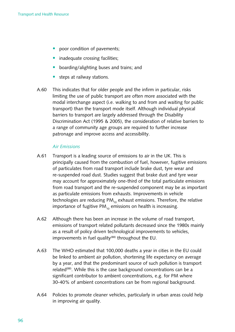- poor condition of pavements;
- inadequate crossing facilities;
- boarding/alighting buses and trains; and
- steps at railway stations.
- A.60 This indicates that for older people and the infirm in particular, risks limiting the use of public transport are often more associated with the modal interchange aspect (i.e. walking to and from and waiting for public transport) than the transport mode itself. Although individual physical barriers to transport are largely addressed through the Disability Discrimination Act (1995 & 2005), the consideration of relative barriers to a range of community age groups are required to further increase patronage and improve access and accessibility.

#### *Air Emissions*

- A.61 Transport is a leading source of emissions to air in the UK. This is principally caused from the combustion of fuel, however, fugitive emissions of particulates from road transport include brake dust, tyre wear and re-suspended road dust. Studies suggest that brake dust and tyre wear may account for approximately one-third of the total particulate emissions from road transport and the re-suspended component may be as important as particulate emissions from exhausts. Improvements in vehicle technologies are reducing  $PM_{10}$  exhaust emissions. Therefore, the relative importance of fugitive  $PM_{10}$  emissions on health is increasing.
- A.62 Although there has been an increase in the volume of road transport, emissions of transport related pollutants decreased since the 1980s mainly as a result of policy driven technological improvements to vehicles, improvements in fuel quality<sup>(88)</sup> throughout the EU.
- A.63 The WHO estimated that 100,000 deaths a year in cities in the EU could be linked to ambient air pollution, shortening life expectancy on average by a year, and that the predominant source of such pollution is transport related<sup>(88)</sup>. While this is the case background concentrations can be a significant contributor to ambient concentrations, e.g. for PM where 30-40% of ambient concentrations can be from regional background.
- A.64 Policies to promote cleaner vehicles, particularly in urban areas could help in improving air quality.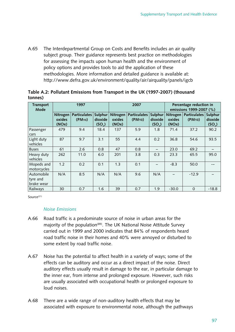A.65 The Interdepartmental Group on Costs and Benefits includes an air quality subject group. Their guidance represents best practice on methodologies for assessing the impacts upon human health and the environment of policy options and provides tools to aid the application of these methodologies. More information and detailed guidance is available at: <http://www.defra.gov.uk/environment/quality/air/airquality/panels/igcb>

| <b>Transport</b><br>Mode             | 1997                        |                                            |                                          | 2007                        |                                            |                                          | Percentage reduction in<br>emissions 1999-2007 (%) |                                               |                               |
|--------------------------------------|-----------------------------|--------------------------------------------|------------------------------------------|-----------------------------|--------------------------------------------|------------------------------------------|----------------------------------------------------|-----------------------------------------------|-------------------------------|
|                                      | Nitrogen<br>oxides<br>(NOx) | <b>Particulates</b><br>(PM <sub>10</sub> ) | Sulphur<br>dioxide<br>(SO <sub>2</sub> ) | Nitrogen<br>oxides<br>(NOx) | <b>Particulates</b><br>(PM <sub>10</sub> ) | Sulphur<br>dioxide<br>(SO <sub>2</sub> ) | Nitrogen<br>oxides<br>(NOx)                        | Particulates   Sulphur<br>(PM <sub>10</sub> ) | dioxide<br>(SO <sub>2</sub> ) |
| Passenger<br>cars                    | 479                         | 9.4                                        | 18.4                                     | 137                         | 5.9                                        | 1.8                                      | 71.4                                               | 37.2                                          | 90.2                          |
| Light duty<br>vehicles               | 87                          | 9.7                                        | 3.1                                      | 55                          | 4.4                                        | 0.2                                      | 36.8                                               | 54.6                                          | 93.5                          |
| <b>Buses</b>                         | 61                          | 2.6                                        | 0.8                                      | 47                          | 0.8                                        |                                          | 23.0                                               | 69.2                                          |                               |
| Heavy duty<br>vehicles               | 262                         | 11.0                                       | 6.0                                      | 201                         | 3.8                                        | 0.3                                      | 23.3                                               | 65.5                                          | 95.0                          |
| Mopeds and<br>motorcycles            | 1.2                         | 0.2                                        | 0.1                                      | 1.3                         | 0.1                                        |                                          | $-8.3$                                             | 50.0                                          |                               |
| Automobile<br>tyre and<br>brake wear | N/A                         | 8.5                                        | N/A                                      | N/A                         | 9.6                                        | N/A                                      |                                                    | $-12.9$                                       |                               |
| Railways                             | 30                          | 0.7                                        | 1.6                                      | 39                          | 0.7                                        | 1.9                                      | $-30.0$                                            | $\Omega$                                      | $-18.8$                       |

| Table A.2: Pollutant Emissions from Transport in the UK (1997-2007) (thousand |  |
|-------------------------------------------------------------------------------|--|
| tonnes)                                                                       |  |

Source<sup>(21)</sup>

#### *Noise Emissions*

- A.66 Road traffic is a predominate source of noise in urban areas for the majority of the population<sup>(89)</sup>. The UK National Noise Attitude Survey carried out in 1999 and 2000 indicates that 84% of respondents heard road traffic noise in their homes and 40% were annoyed or disturbed to some extent by road traffic noise.
- A.67 Noise has the potential to affect health in a variety of ways; some of the effects can be auditory and occur as a direct impact of the noise. Direct auditory effects usually result in damage to the ear, in particular damage to the inner ear, from intense and prolonged exposure. However, such risks are usually associated with occupational health or prolonged exposure to loud noises.
- A.68 There are a wide range of non-auditory health effects that may be associated with exposure to environmental noise, although the pathways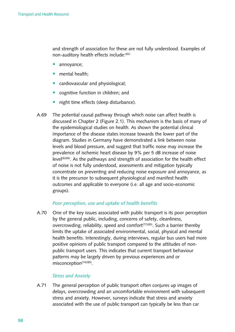and strength of association for these are not fully understood. Examples of non-auditory health effects include:<sup>(82)</sup>

- annoyance;
- mental health;
- cardiovascular and physiological;
- cognitive function in children; and
- night time effects (sleep disturbance).
- A.69 The potential causal pathway through which noise can affect health is discussed in Chapter 2 (Figure 2.1). This mechanism is the basis of many of the epidemiological studies on health. As shown the potential clinical importance of the disease states increase towards the lower part of the diagram. Studies in Germany have demonstrated a link between noise levels and blood pressure, and suggest that traffic noise may increase the prevalence of ischemic heart disease by 9% per 5 dB increase of noise level(8)(89). As the pathways and strength of association for the health effect of noise is not fully understood, assessments and mitigation typically concentrate on preventing and reducing noise exposure and annoyance, as it is the precursor to subsequent physiological and manifest health outcomes and applicable to everyone (i.e. all age and socio-economic groups).

#### *Poor perception, use and uptake of health benefits*

A.70 One of the key issues associated with public transport is its poor perception by the general public, including, concerns of safety, cleanliness, overcrowding, reliability, speed and comfort<sup>(77)(85)</sup>. Such a barrier thereby limits the uptake of associated environmental, social, physical and mental health benefits. Interestingly, during interviews, regular bus users had more positive opinions of public transport compared to the attitudes of nonpublic transport users. This indicates that current transport behaviour patterns may be largely driven by previous experiences and or misconception<sup>(74)(85)</sup>.

#### *Stress and Anxiety*

A.71 The general perception of public transport often conjures up images of delays, overcrowding and an uncomfortable environment with subsequent stress and anxiety. However, surveys indicate that stress and anxiety associated with the use of public transport can typically be less than car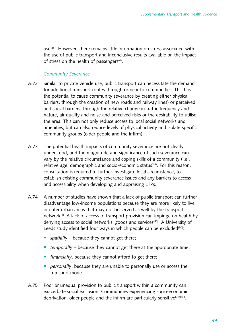use<sup>(85)</sup>. However, there remains little information on stress associated with the use of public transport and inconclusive results available on the impact of stress on the health of passengers $(4)$ .

#### *Community Severance*

- A.72 Similar to private vehicle use, public transport can necessitate the demand for additional transport routes through or near to communities. This has the potential to cause community severance by creating either physical barriers, through the creation of new roads and railway lines) or perceived and social barriers, through the relative change in traffic frequency and nature, air quality and noise and perceived risks or the desirability to utilise the area. This can not only reduce access to local social networks and amenities, but can also reduce levels of physical activity and isolate specific community groups (older people and the infirm)
- A.73 The potential health impacts of community severance are not clearly understood, and the magnitude and significance of such severance can vary by the relative circumstance and coping skills of a community (i.e., relative age, demographic and socio-economic status)<sup>(8)</sup>. For this reason, consultation is required to further investigate local circumstance, to establish existing community severance issues and any barriers to access and accessibility when developing and appraising LTPs.
- A.74 A number of studies have shown that a lack of public transport can further disadvantage low-income populations because they are more likely to live in outer urban areas that may not be served as well by the transport network<sup>(4)</sup>. A lack of access to transport provision can impinge on health by denying access to social networks, goods and services<sup>(80)</sup>. A University of Leeds study identified four ways in which people can be excluded $(90)$ :
	- *spatially* because they cannot get there;
	- *temporally* because they cannot get there at the appropriate time,
	- *financially*, because they cannot afford to get there;
	- *personally*, because they are unable to personally use or access the transport mode.
- A.75 Poor or unequal provision to public transport within a community can exacerbate social exclusion. Communities experiencing socio-economic deprivation, older people and the infirm are particularly sensitive<sup>(72)(86)</sup>.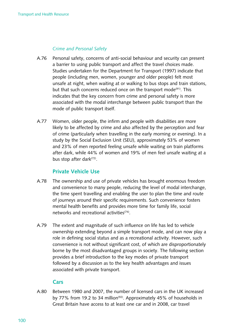#### *Crime and Personal Safety*

- A.76 Personal safety, concerns of anti-social behaviour and security can present a barrier to using public transport and affect the travel choices made. Studies undertaken for the Department for Transport (1997) indicate that people (including men, women, younger and older people) felt most unsafe at night, when waiting at or walking to bus stops and train stations, but that such concerns reduced once on the transport mode<sup>(91)</sup>. This indicates that the key concern from crime and personal safety is more associated with the modal interchange between public transport than the mode of public transport itself.
- A.77 Women, older people, the infirm and people with disabilities are more likely to be affected by crime and also affected by the perception and fear of crime (particularly when travelling in the early morning or evening). In a study by the Social Exclusion Unit (SEU), approximately 53% of women and 23% of men reported feeling unsafe while waiting on train platforms after dark, while 44% of women and 19% of men feel unsafe waiting at a bus stop after dark<sup>(72)</sup>.

#### **Private Vehicle Use**

- A.78 The ownership and use of private vehicles has brought enormous freedom and convenience to many people, reducing the level of modal interchange, the time spent travelling and enabling the user to plan the time and route of journeys around their specific requirements. Such convenience fosters mental health benefits and provides more time for family life, social networks and recreational activities<sup>(74)</sup>.
- A.79 The extent and magnitude of such influence on life has led to vehicle ownership extending beyond a simple transport mode, and can now play a role in defining social status and as a recreational activity. However, such convenience is not without significant cost, of which are disproportionately borne by the most disadvantaged groups in society. The following section provides a brief introduction to the key modes of private transport followed by a discussion as to the key health advantages and issues associated with private transport.

#### **Cars**

A.80 Between 1980 and 2007, the number of licensed cars in the UK increased by 77% from 19.2 to 34 million<sup>(92)</sup>. Approximately 45% of households in Great Britain have access to at least one car and in 2008, car travel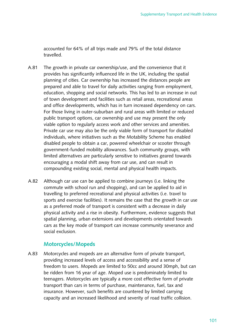accounted for 64% of all trips made and 79% of the total distance travelled.

- A.81 The growth in private car ownership/use, and the convenience that it provides has significantly influenced life in the UK, including the spatial planning of cities. Car ownership has increased the distances people are prepared and able to travel for daily activities ranging from employment, education, shopping and social networks. This has led to an increase in out of town development and facilities such as retail areas, recreational areas and office developments, which has in turn increased dependency on cars. For those living in outer-suburban and rural areas with limited or reduced public transport options, car ownership and use may present the only viable option to regularly access work and other services and amenities. Private car use may also be the only viable form of transport for disabled individuals, where initiatives such as the Motability Scheme has enabled disabled people to obtain a car, powered wheelchair or scooter through government-funded mobility allowances. Such community groups, with limited alternatives are particularly sensitive to initiatives geared towards encouraging a modal shift away from car use, and can result in compounding existing social, mental and physical health impacts.
- A.82 Although car use can be applied to combine journeys (i.e. linking the commute with school run and shopping), and can be applied to aid in travelling to preferred recreational and physical activities (i.e. travel to sports and exercise facilities). It remains the case that the growth in car use as a preferred mode of transport is consistent with a decrease in daily physical activity and a rise in obesity. Furthermore, evidence suggests that spatial planning, urban extensions and developments orientated towards cars as the key mode of transport can increase community severance and social exclusion.

## **Motorcycles/Mopeds**

A.83 Motorcycles and mopeds are an alternative form of private transport, providing increased levels of access and accessibility and a sense of freedom to users. Mopeds are limited to 50cc and around 30mph, but can be ridden from 16 year of age. Moped use is predominately limited to teenagers. Motorcycles are typically a more cost effective form of private transport than cars in terms of purchase, maintenance, fuel, tax and insurance. However, such benefits are countered by limited carrying capacity and an increased likelihood and severity of road traffic collision.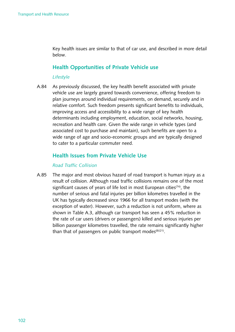Key health issues are similar to that of car use, and described in more detail below.

## **Health Opportunities of Private Vehicle use**

#### *Lifestyle*

A.84 As previously discussed, the key health benefit associated with private vehicle use are largely geared towards convenience, offering freedom to plan journeys around individual requirements, on demand, securely and in relative comfort. Such freedom presents significant benefits to individuals, improving access and accessibility to a wide range of key health determinants including employment, education, social networks, housing, recreation and health care. Given the wide range in vehicle types (and associated cost to purchase and maintain), such benefits are open to a wide range of age and socio-economic groups and are typically designed to cater to a particular commuter need.

## **Health Issues from Private Vehicle Use**

#### *Road Traffic Collision*

A.85 The major and most obvious hazard of road transport is human injury as a result of collision. Although road traffic collisions remains one of the most significant causes of years of life lost in most European cities<sup> $(74)$ </sup>, the number of serious and fatal injuries per billion kilometres travelled in the UK has typically decreased since 1966 for all transport modes (with the exception of water). However, such a reduction is not uniform, where as shown in Table A.3, although car transport has seen a 45% reduction in the rate of car users (drivers or passengers) killed and serious injuries per billion passenger kilometres travelled, the rate remains significantly higher than that of passengers on public transport modes $(8)(21)$ .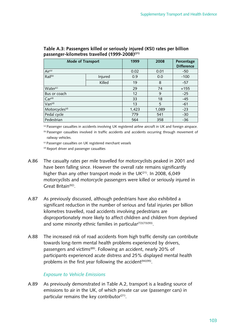| Mode of Transport          | 1999    | 2008  | Percentage<br><b>Difference</b> |        |
|----------------------------|---------|-------|---------------------------------|--------|
| Air <sup>(a)</sup>         | 0.02    | 0.01  | $-50$                           |        |
| Rail <sup>(b)</sup>        | Injured | 0.9   | 0.0                             | $-100$ |
|                            | Killed  | 19    | 8                               | $-57$  |
| Water <sup>(c)</sup>       | 29      | 74    | $+155$                          |        |
| Bus or coach               | 12      | 9     | $-25$                           |        |
| Car <sup>(d)</sup>         | 33      | 18    | $-45$                           |        |
| Van <sup>(d)</sup>         | 13      | 5     | $-61$                           |        |
| Motorcycles <sup>(d)</sup> | 1,423   | 1,089 | $-23$                           |        |
| Pedal cycle                | 779     | 541   | $-30$                           |        |
| Pedestrian                 | 564     | 358   | $-36$                           |        |

**Table A.3: Passengers killed or seriously injured (KSI) rates per billion passenger-kilometres travelled (1999-2008)(21)** 

(a) Passenger casualties in accidents involving UK registered airline aircraft in UK and foreign airspace.

(b) Passenger casualties involved in traffic accidents and accidents occurring through movement of railway vehicles.

(c) Passenger casualties on UK registered merchant vessels

(d) Report driver and passenger casualties

- A.86 The casualty rates per mile travelled for motorcyclists peaked in 2001 and have been falling since. However the overall rate remains significantly higher than any other transport mode in the UK $(21)$ . In 2008, 6,049 motorcyclists and motorcycle passengers were killed or seriously injured in Great Britain<sup>(92)</sup>.
- A.87 As previously discussed, although pedestrians have also exhibited a significant reduction in the number of serious and fatal injuries per billion kilometres travelled, road accidents involving pedestrians are disproportionately more likely to affect children and children from deprived and some minority ethnic families in particular( $72$ )( $73$ )( $93$ ).
- A.88 The increased risk of road accidents from high traffic density can contribute towards long-term mental health problems experienced by drivers, passengers and victims<sup>(89)</sup>. Following an accident, nearly 20% of participants experienced acute distress and 25% displayed mental health problems in the first year following the accident<sup>(94)(95)</sup>.

## *Exposure to Vehicle Emissions*

A.89 As previously demonstrated in Table A.2, transport is a leading source of emissions to air in the UK, of which private car use (passenger cars) in particular remains the key contributor $(21)$ .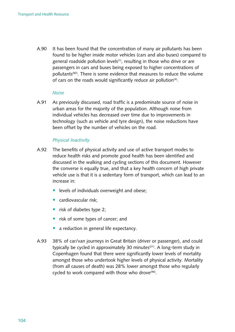A.90 It has been found that the concentration of many air pollutants has been found to be higher inside motor vehicles (cars and also buses) compared to general roadside pollution levels<sup>(1)</sup>, resulting in those who drive or are passengers in cars and buses being exposed to higher concentrations of pollutants<sup>(83)</sup>. There is some evidence that measures to reduce the volume of cars on the roads would significantly reduce air pollution<sup>(4)</sup>.

#### *Noise*

A.91 As previously discussed, road traffic is a predominate source of noise in urban areas for the majority of the population. Although noise from individual vehicles has decreased over time due to improvements in technology (such as vehicle and tyre design), the noise reductions have been offset by the number of vehicles on the road.

#### *Physical Inactivity*

- A.92 The benefits of physical activity and use of active transport modes to reduce health risks and promote good health has been identified and discussed in the walking and cycling sections of this document. However the converse is equally true, and that a key health concern of high private vehicle use is that it is a sedentary form of transport, which can lead to an increase in:
	- levels of individuals overweight and obese;
	- $\bullet$  cardiovascular risk:
	- risk of diabetes type 2:
	- risk of some types of cancer; and
	- a reduction in general life expectancy.
- A.93 38% of car/van journeys in Great Britain (driver or passenger), and could typically be cycled in approximately 30 minutes<sup> $(21)$ </sup>. A long-term study in Copenhagen found that there were significantly lower levels of mortality amongst those who undertook higher levels of physical activity. Mortality (from all causes of death) was 28% lower amongst those who regularly cycled to work compared with those who drove<sup>(96)</sup>.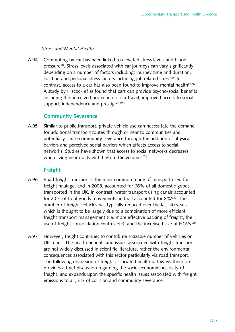### *Stress and Mental Health*

A.94 Commuting by car has been linked to elevated stress levels and blood pressure<sup>(8)</sup>. Stress levels associated with car journeys can vary significantly depending on a number of factors including; journey time and duration, location and personal stress factors including job related stress<sup>(8)</sup>. In contrast, access to a car has also been found to improve mental health<sup>(8)(97)</sup>. A study by Hiscock *et al* found that cars can provide psycho-social benefits including the perceived protection of car travel, improved access to social support, independence and prestige<sup>(8)(97)</sup>.

### **Community Severance**

A.95 Similar to public transport, private vehicle use can necessitate the demand for additional transport routes through or near to communities and potentially cause community severance through the addition of physical barriers and perceived social barriers which affects access to social networks. Studies have shown that access to social networks decreases when living near roads with high traffic volumes<sup> $(74)$ </sup>.

# **Freight**

- A.96 Road freight transport is the most common mode of transport used for freight haulage, and in 2008, accounted for 66% of all domestic goods transported in the UK. In contrast, water transport using canals accounted for 20% of total goods movements and rail accounted for  $8\frac{21}{1}$ . The number of freight vehicles has typically reduced over the last 40 years, which is thought to be largely due to a combination of more efficient freight transport management (i.e. more effective packing of freight, the use of freight consolidation centres etc), and the increased size of HGVs<sup>(98)</sup>.
- A.97 However, freight continues to contribute a sizable number of vehicles on UK roads. The health benefits and issues associated with freight transport are not widely discussed in scientific literature, rather the environmental consequences associated with this sector particularly via road transport. The following discussion of freight associated health pathways therefore provides a brief discussion regarding the socio-economic necessity of freight, and expands upon the specific health issues associated with freight emissions to air, risk of collision and community severance.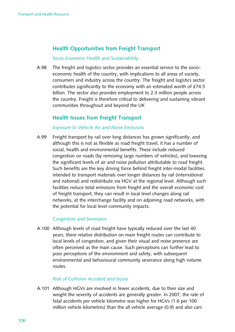# **Health Opportunities from Freight Transport**

### *Socio-Economic Health and Sustainability*

A.98 The freight and logistics sector provides an essential service to the socioeconomic health of the country, with implications to all areas of society, consumers and industry across the country. The freight and logistics sector contributes significantly to the economy with an estimated worth of £74.5 billion. The sector also provides employment to 2.3 million people across the country. Freight is therefore critical to delivering and sustaining vibrant communities throughout and beyond the UK

# **Health Issues from Freight Transport**

### *Exposure to Vehicle Air and Noise Emissions*

A.99 Freight transport by rail over long distances has grown significantly, and although this is not as flexible as road freight travel, it has a number of social, health and environmental benefits. These include reduced congestion on roads (by removing large numbers of vehicles), and lowering the significant levels of air and noise pollution attributable to road freight. Such benefits are the key driving force behind freight inter-modal facilities, intended to transport materials over longer distances by rail (international and national) and redistribute via HGV at the regional level. Although such facilities reduce total emissions from freight and the overall economic cost of freight transport, they can result in local level changes along rail networks, at the interchange facility and on adjoining road networks, with the potential for local level community impacts.

### *Congestion and Severance*

A.100 Although levels of road freight have typically reduced over the last 40 years, there relative distribution on main freight routes can contribute to local levels of congestion, and given their visual and noise presence are often perceived as the main cause. Such perceptions can further lead to poor perceptions of the environment and safety, with subsequent environmental and behavioural community severance along high volume routes. 

### *Risk of Collision Accident and Injury*

A.101 Although HGVs are involved in fewer accidents, due to their size and weight the severity of accidents are generally greater. In 2007, the rate of fatal accidents per vehicle kilometre was higher for HGVs (1.6 per 100 million vehicle kilometres) than the all vehicle average (0.9) and also cars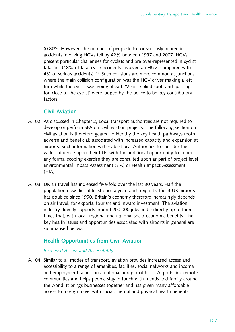$(0.8)^{(98)}$ . However, the number of people killed or seriously injured in accidents involving HGVs fell by 42% between 1997 and 2007. HGVs present particular challenges for cyclists and are over-represented in cyclist fatalities (18% of fatal cycle accidents involved an HGV, compared with 4% of serious accidents)<sup>(81)</sup>. Such collisions are more common at junctions where the main collision configuration was the HGV driver making a left turn while the cyclist was going ahead. 'Vehicle blind spot' and 'passing too close to the cyclist' were judged by the police to be key contributory factors.

### **Civil Aviation**

- A.102 As discussed in Chapter 2, Local transport authorities are not required to develop or perform SEA on civil aviation projects. The following section on civil aviation is therefore geared to identify the key health pathways (both adverse and beneficial) associated with increased capacity and expansion at airports. Such information will enable Local Authorities to consider the wider influence upon their LTP, with the additional opportunity to inform any formal scoping exercise they are consulted upon as part of project level Environmental Impact Assessment (EIA) or Health Impact Assessment  $(HIA)$ .
- A.103 UK air travel has increased five-fold over the last 30 years. Half the population now flies at least once a year, and freight traffic at UK airports has doubled since 1990. Britain's economy therefore increasingly depends on air travel, for exports, tourism and inward investment. The aviation industry directly supports around 200,000 jobs and indirectly up to three times that, with local, regional and national socio-economic benefits. The key health issues and opportunities associated with airports in general are summarised below.

# **Health Opportunities from Civil Aviation**

### *Increased Access and Accessibility*

A.104 Similar to all modes of transport, aviation provides increased access and accessibility to a range of amenities, facilities, social networks and income and employment, albeit on a national and global basis. Airports link remote communities and helps people stay in touch with friends and family around the world. It brings businesses together and has given many affordable access to foreign travel with social, mental and physical health benefits.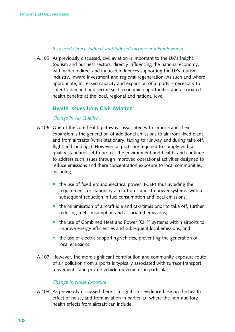### *Increased Direct, Indirect and Induced Income and Employment*

A.105 As previously discussed, civil aviation is important to the UK's freight, tourism and business sectors, directly influencing the national economy, with wider indirect and induced influences supporting the UKs tourism industry, inward investment and regional regeneration. As such and where appropriate, increased capacity and expansion of airports is necessary to cater to demand and secure such economic opportunities and associated health benefits at the local, regional and national level.

# **Health Issues from Civil Aviation**

### *Change in Air Quality*

- A.106 One of the core health pathways associated with airports and their expansion is the generation of additional emissions to air from fixed plant and from aircrafts (while stationary, taxing to runway and during take off, flight and landings). However, airports are required to comply with air quality standards set to protect the environment and health, and continue to address such issues through improved operational activities designed to reduce emissions and there concentration exposure to local communities, including:
	- $\bullet$  the use of fixed ground electrical power (FGEP) thus avoiding the requirement for stationary aircraft on stands to power systems, with a subsequent reduction in fuel consumption and local emissions;
	- the minimisation of aircraft idle and taxi times prior to take off, further reducing fuel consumption and associated emissions;
	- the use of Combined Heat and Power (CHP) systems within airports to improve energy efficiencies and subsequent local emissions; and
	- $\bullet$  the use of electric supporting vehicles, preventing the generation of local emissions.
- A.107 However, the more significant contribution and community exposure route of air pollution from airports is typically associated with surface transport movements, and private vehicle movements in particular.

### *Change in Noise Exposure*

A.108 As previously discussed there is a significant evidence base on the health effect of noise, and from aviation in particular, where the non-auditory health effects from aircraft can include: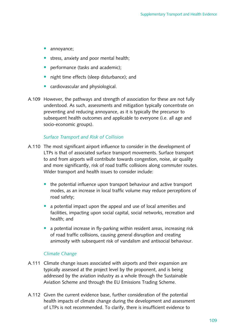- annoyance;
- stress, anxiety and poor mental health;
- performance (tasks and academic);
- night time effects (sleep disturbance); and
- cardiovascular and physiological.
- A.109 However, the pathways and strength of association for these are not fully understood. As such, assessments and mitigation typically concentrate on preventing and reducing annoyance, as it is typically the precursor to subsequent health outcomes and applicable to everyone (i.e. all age and socio-economic groups).

### *Surface Transport and Risk of Collision*

- A.110 The most significant airport influence to consider in the development of LTPs is that of associated surface transport movements. Surface transport to and from airports will contribute towards congestion, noise, air quality and more significantly, risk of road traffic collisions along commuter routes. Wider transport and health issues to consider include:
	- the potential influence upon transport behaviour and active transport modes, as an increase in local traffic volume may reduce perceptions of road safety;
	- a potential impact upon the appeal and use of local amenities and facilities, impacting upon social capital, social networks, recreation and health: and
	- a potential increase in fly-parking within resident areas, increasing risk of road traffic collisions, causing general disruption and creating animosity with subsequent risk of vandalism and antisocial behaviour.

### *Climate Change*

- A.111 Climate change issues associated with airports and their expansion are typically assessed at the project level by the proponent, and is being addressed by the aviation industry as a whole through the Sustainable Aviation Scheme and through the EU Emissions Trading Scheme.
- A.112 Given the current evidence base, further consideration of the potential health impacts of climate change during the development and assessment of LTPs is not recommended. To clarify, there is insufficient evidence to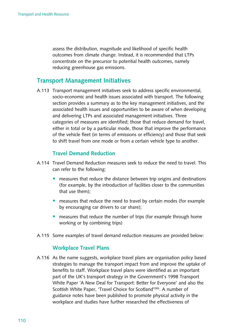assess the distribution, magnitude and likelihood of specific health outcomes from climate change. Instead, it is recommended that LTPs concentrate on the precursor to potential health outcomes, namely reducing greenhouse gas emissions.

# **Transport Management Initiatives**

A.113 Transport management initiatives seek to address specific environmental, socio-economic and health issues associated with transport. The following section provides a summary as to the key management initiatives, and the associated health issues and opportunities to be aware of when developing and delivering LTPs and associated management initiatives. Three categories of measures are identified; those that reduce demand for travel, either in total or by a particular mode, those that improve the performance of the vehicle fleet (in terms of emissions or efficiency) and those that seek to shift travel from one mode or from a certain vehicle type to another.

# **Travel Demand Reduction**

- A.114 Travel Demand Reduction measures seek to reduce the need to travel. This can refer to the following:
	- measures that reduce the distance between trip origins and destinations (for example, by the introduction of facilities closer to the communities that use them);
	- measures that reduce the need to travel by certain modes (for example by encouraging car drivers to car share);
	- measures that reduce the number of trips (for example through home working or by combining trips)
- A.115 Some examples of travel demand reduction measures are provided below:

### **Workplace Travel Plans**

A.116 As the name suggests, workplace travel plans are organisation policy based strategies to manage the transport impact from and improve the uptake of benefits to staff. Workplace travel plans were identified as an important part of the UK's transport strategy in the Government's 1998 Transport White Paper 'A New Deal for Transport: Better for Everyone' and also the Scottish White Paper, 'Travel Choice for Scotland'<sup>(99)</sup>. A number of guidance notes have been published to promote physical activity in the workplace and studies have further researched the effectiveness of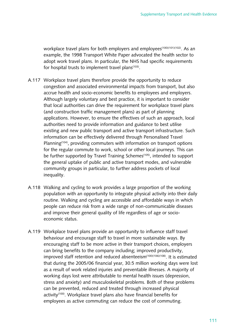workplace travel plans for both employers and employees<sup>(100)(101)(102)</sup>. As an example, the 1998 Transport White Paper advocated the health sector to adopt work travel plans. In particular, the NHS had specific requirements for hospital trusts to implement travel plans<sup>(103)</sup>.

- A.117 Workplace travel plans therefore provide the opportunity to reduce congestion and associated environmental impacts from transport, but also accrue health and socio-economic benefits to employees and employers. Although largely voluntary and best practice, it is important to consider that local authorities can drive the requirement for workplace travel plans (and construction traffic management plans) as part of planning applications. However, to ensure the effectives of such an approach, local authorities need to provide information and guidance to best utilise existing and new public transport and active transport infrastructure. Such information can be effectively delivered through Personalised Travel Planning $(104)$ , providing commuters with information on transport options for the regular commute to work, school or other local journeys. This can be further supported by Travel Training Schemes<sup>(105)</sup>, intended to support the general uptake of public and active transport modes, and vulnerable community groups in particular, to further address pockets of local inequality.
- A.118 Walking and cycling to work provides a large proportion of the working population with an opportunity to integrate physical activity into their daily routine. Walking and cycling are accessible and affordable ways in which people can reduce risk from a wide range of non-communicable diseases and improve their general quality of life regardless of age or socioeconomic status.
- A.119 Workplace travel plans provide an opportunity to influence staff travel behaviour and encourage staff to travel in more sustainable ways. By encouraging staff to be more active in their transport choices, employers can bring benefits to the company including; improved productivity, improved staff retention and reduced absenteeism<sup>(100)(106)(108)</sup>. It is estimated that during the 2005/06 financial year, 30.5 million working days were lost as a result of work related injuries and preventable illnesses. A majority of working days lost were attributable to mental health issues (depression, stress and anxiety) and musculoskeletal problems. Both of these problems can be prevented, reduced and treated through increased physical activity<sup>(100)</sup>. Workplace travel plans also have financial benefits for employees as active commuting can reduce the cost of commuting.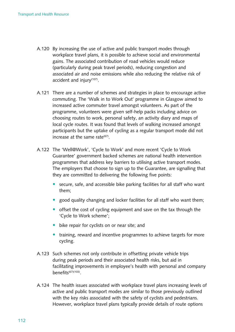- A.120 By increasing the use of active and public transport modes through workplace travel plans, it is possible to achieve social and environmental gains. The associated contribution of road vehicles would reduce (particularly during peak travel periods), reducing congestion and associated air and noise emissions while also reducing the relative risk of accident and injury $(107)$ .
- A.121 There are a number of schemes and strategies in place to encourage active commuting. The 'Walk in to Work Out' programme in Glasgow aimed to increased active commuter travel amongst volunteers. As part of the programme, volunteers were given self-help packs including advice on choosing routes to work, personal safety, an activity diary and maps of local cycle routes. It was found that levels of walking increased amongst participants but the uptake of cycling as a regular transport mode did not increase at the same rate  $(67)$ .
- A.122 The 'Well@Work', 'Cycle to Work' and more recent 'Cycle to Work Guarantee' government backed schemes are national health intervention programmes that address key barriers to utilising active transport modes. The employers that choose to sign up to the Guarantee, are signalling that they are committed to delivering the following five points:
	- secure, safe, and accessible bike parking facilities for all staff who want them;
	- good quality changing and locker facilities for all staff who want them;
	- offset the cost of cycling equipment and save on the tax through the 'Cycle to Work scheme';
	- bike repair for cyclists on or near site; and
	- training, reward and incentive programmes to achieve targets for more cycling.
- A.123 Such schemes not only contribute in offsetting private vehicle trips during peak periods and their associated health risks, but aid in facilitating improvements in employee's health with personal and company  $benefits<sup>(67)(103)</sup>$
- A.124 The health issues associated with workplace travel plans increasing levels of active and public transport modes are similar to those previously outlined with the key risks associated with the safety of cyclists and pedestrians. However, workplace travel plans typically provide details of route options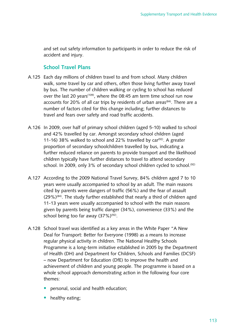and set out safety information to participants in order to reduce the risk of accident and injury.

# **School Travel Plans**

- A.125 Each day millions of children travel to and from school. Many children walk, some travel by car and others, often those living further away travel by bus. The number of children walking or cycling to school has reduced over the last 20 years<sup>(109)</sup>, where the 08:45 am term time school run now accounts for 20% of all car trips by residents of urban areas<sup>(84)</sup>. There are a number of factors cited for this change including; further distances to travel and fears over safety and road traffic accidents.
- A.126 In 2009, over half of primary school children (aged 5-10) walked to school and 42% travelled by car. Amongst secondary school children (aged 11-16) 38% walked to school and 22% travelled by  $car^{(92)}$ . A greater proportion of secondary schoolchildren travelled by bus, indicating a further reduced reliance on parents to provide transport and the likelihood children typically have further distances to travel to attend secondary school. In 2009, only 3% of secondary school children cycled to school.<sup>(92)</sup>
- A.127 According to the 2009 National Travel Survey, 84% children aged 7 to 10 years were usually accompanied to school by an adult. The main reasons cited by parents were dangers of traffic (56%) and the fear of assault  $(29\%)<sup>(84)</sup>$ . The study further established that nearly a third of children aged 11-13 years were usually accompanied to school with the main reasons given by parents being traffic danger  $(34%)$ , convenience  $(33%)$  and the school being too far away  $(37\%)^{(92)}$ .
- A.128 School travel was identified as a key areas in the White Paper "A New Deal for Transport: Better for Everyone (1998) as a means to increase regular physical activity in children. The National Healthy Schools Programme is a long-term initiative established in 2005 by the Department of Health (DH) and Department for Children, Schools and Families (DCSF) – now Department for Education (DfE) to improve the health and achievement of children and young people. The programme is based on a whole school approach demonstrating action in the following four core themes:
	- personal, social and health education;
	- healthy eating;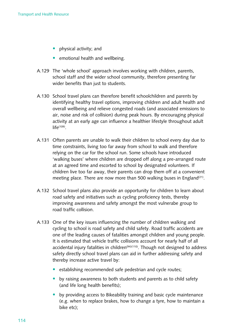- physical activity; and
- emotional health and wellbeing.
- A.129 The 'whole school' approach involves working with children, parents, school staff and the wider school community, therefore presenting far wider benefits than just to students.
- A.130 School travel plans can therefore benefit schoolchildren and parents by identifying healthy travel options, improving children and adult health and overall wellbeing and relieve congested roads (and associated emissions to air, noise and risk of collision) during peak hours. By encouraging physical activity at an early age can influence a healthier lifestyle throughout adult  $life^{(109)}$ .
- A.131 Often parents are unable to walk their children to school every day due to time constraints, living too far away from school to walk and therefore relying on the car for the school run. Some schools have introduced 'walking buses' where children are dropped off along a pre-arranged route at an agreed time and escorted to school by designated volunteers. If children live too far away, their parents can drop them off at a convenient meeting place. There are now more than 500 walking buses in England<sup>(21)</sup>.
- A.132 School travel plans also provide an opportunity for children to learn about road safety and initiatives such as cycling proficiency tests, thereby improving awareness and safety amongst the most vulnerabe group to road traffic collision.
- A.133 One of the key issues influencing the number of children walking and cycling to school is road safety and child safety. Road traffic accidents are one of the leading causes of fatalities amongst children and young people. It is estimated that vehicle traffic collisions account for nearly half of all accidental injury fatalities in children<sup> $(94)(110)$ </sup>. Though not designed to address safety directly school travel plans can aid in further addressing safety and thereby increase active travel by:
	- establishing recommended safe pedestrian and cycle routes;
	- by raising awareness to both students and parents as to child safety (and life long health benefits);
	- by providing access to Bikeability training and basic cycle maintenance (e.g. when to replace brakes, how to change a tyre, how to maintain a bike etc);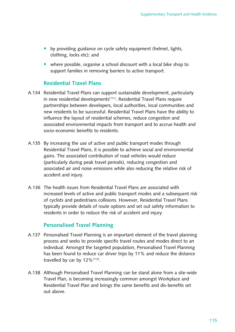- by providing guidance on cycle safety equipment (helmet, lights, clothing, locks etc); and
- where possible, organise a school discount with a local bike shop to support families in removing barriers to active transport.

# **Residential Travel Plans**

- A.134 Residential Travel Plans can support sustainable development, particularly in new residential developments<sup>(111)</sup>. Residential Travel Plans require partnerships between developers, local authorities, local communities and new residents to be successful. Residential Travel Plans have the ability to influence the layout of residential schemes, reduce congestion and associated environmental impacts from transport and to accrue health and socio-economic benefits to residents.
- A.135 By increasing the use of active and public transport modes through Residential Travel Plans, it is possible to achieve social and environmental gains. The associated contribution of road vehicles would reduce (particularly during peak travel periods), reducing congestion and associated air and noise emissions while also reducing the relative risk of accident and injury.
- A.136 The health issues from Residential Travel Plans are associated with increased levels of active and public transport modes and a subsequent risk of cyclists and pedestrians collisions. However, Residential Travel Plans typically provide details of route options and set out safety information to residents in order to reduce the risk of accident and injury.

# **Personalised Travel Planning**

- A.137 Personalised Travel Planning is an important element of the travel planning process and seeks to provide specific travel routes and modes direct to an individual. Amongst the targeted population, Personalised Travel Planning has been found to reduce car driver trips by 11% and reduce the distance travelled by car by  $12\%$ <sup>(112)</sup>.
- A.138 Although Personalised Travel Planning can be stand alone from a site-wide Travel Plan, is becoming increasingly common amongst Workplace and Residential Travel Plan and brings the same benefits and dis-benefits set out above.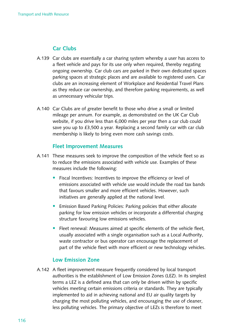# **Car Clubs**

- A.139 Car clubs are essentially a car sharing system whereby a user has access to a fleet vehicle and pays for its use only when required, thereby negating ongoing ownership. Car club cars are parked in their own dedicated spaces parking spaces at strategic places and are available to registered users. Car clubs are an increasing element of Workplace and Residential Travel Plans as they reduce car ownership, and therefore parking requirements, as well as unnecessary vehicular trips.
- A.140 Car Clubs are of greater benefit to those who drive a small or limited mileage per annum. For example, as demonstrated on the UK Car Club website, if you drive less than 6,000 miles per year then a car club could save you up to  $£3,500$  a year. Replacing a second family car with car club membership is likely to bring even more cash savings costs.

### **Fleet Improvement Measures**

- A.141 These measures seek to improve the composition of the vehicle fleet so as to reduce the emissions associated with vehicle use. Examples of these measures include the following:
	- Fiscal Incentives: Incentives to improve the efficiency or level of emissions associated with vehicle use would include the road tax bands that favours smaller and more efficient vehicles. However, such initiatives are generally applied at the national level.
	- Emission Based Parking Policies: Parking policies that either allocate parking for low emission vehicles or incorporate a differential charging structure favouring low emissions vehicles.
	- Fleet renewal: Measures aimed at specific elements of the vehicle fleet, usually associated with a single organisation such as a Local Authority, waste contractor or bus operator can encourage the replacement of part of the vehicle fleet with more efficient or new technology vehicles.

### **Low Emission Zone**

A.142 A fleet improvement measure frequently considered by local transport authorities is the establishment of Low Emission Zones (LEZ). In its simplest terms a LEZ is a defined area that can only be driven within by specific vehicles meeting certain emissions criteria or standards. They are typically implemented to aid in achieving national and EU air quality targets by charging the most polluting vehicles, and encouraging the use of cleaner, less polluting vehicles. The primary objective of LEZs is therefore to meet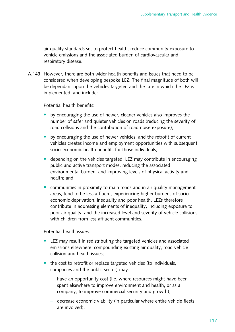air quality standards set to protect health, reduce community exposure to vehicle emissions and the associated burden of cardiovascular and respiratory disease.

A.143 However, there are both wider health benefits and issues that need to be considered when developing bespoke LEZ. The final magnitude of both will be dependant upon the vehicles targeted and the rate in which the LEZ is implemented, and include:

Potential health benefits:

- by encouraging the use of newer, cleaner vehicles also improves the number of safer and quieter vehicles on roads (reducing the severity of road collisions and the contribution of road noise exposure);
- by encouraging the use of newer vehicles, and the retrofit of current vehicles creates income and employment opportunities with subsequent socio-economic health benefits for those individuals:
- depending on the vehicles targeted, LEZ may contribute in encouraging public and active transport modes, reducing the associated environmental burden, and improving levels of physical activity and health: and
- communities in proximity to main roads and in air quality management areas, tend to be less affluent, experiencing higher burdens of socioeconomic deprivation, inequality and poor health. LEZs therefore contribute in addressing elements of inequality, including exposure to poor air quality, and the increased level and severity of vehicle collisions with children from less affluent communities

Potential health issues:

- LEZ may result in redistributing the targeted vehicles and associated emissions elsewhere, compounding existing air quality, road vehicle collision and health issues:
- $\bullet$  the cost to retrofit or replace targeted vehicles (to individuals, companies and the public sector) may:
	- $-$  have an opportunity cost (i.e. where resources might have been spent elsewhere to improve environment and health, or as a company, to improve commercial security and growth);
	- $-$  decrease economic viability (in particular where entire vehicle fleets are involved);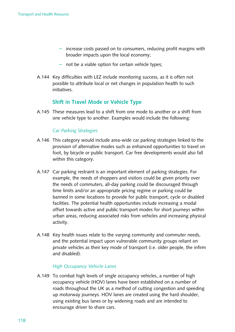- $-$  increase costs passed on to consumers, reducing profit margins with broader impacts upon the local economy;
- $-$  not be a viable option for certain vehicle types;
- A.144 Key difficulties with LEZ include monitoring success, as it is often not possible to attribute local or net changes in population health to such initiatives.

# **Shift in Travel Mode or Vehicle Type**

A.145 These measures lead to a shift from one mode to another or a shift from one vehicle type to another. Examples would include the following:

### *Car Parking Strategies*

- A.146 This category would include area-wide car parking strategies linked to the provision of alternative modes such as enhanced opportunities to travel on foot, by bicycle or public transport. Car free developments would also fall within this category.
- A.147 Car parking restraint is an important element of parking strategies. For example, the needs of shoppers and visitors could be given priority over the needs of commuters, all-day parking could be discouraged through time limits and/or an appropriate pricing regime or parking could be banned in some locations to provide for public transport, cycle or disabled facilities. The potential health opportunities include increasing a modal offset towards active and public transport modes for short journeys within urban areas, reducing associated risks from vehicles and increasing physical activity.
- A.148 Key health issues relate to the varying community and commuter needs, and the potential impact upon vulnerable community groups reliant on private vehicles as their key mode of transport (i.e. older people, the infirm and disabled).

#### *High Occupancy Vehicle Lanes*

A.149 To combat high levels of single occupancy vehicles, a number of high occupancy vehicle (HOV) lanes have been established on a number of roads throughout the UK as a method of cutting congestion and speeding up motorway journeys. HOV lanes are created using the hard shoulder, using existing bus lanes or by widening roads and are intended to encourage driver to share cars.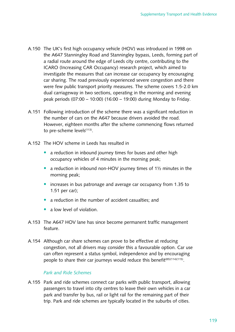- A.150 The UK's first high occupancy vehicle (HOV) was introduced in 1998 on the A647 Stanningley Road and Stanningley bypass, Leeds, forming part of a radial route around the edge of Leeds city centre, contributing to the ICARO (Increasing CAR Occupancy) research project, which aimed to investigate the measures that can increase car occupancy by encouraging car sharing. The road previously experienced severe congestion and there were few public transport priority measures. The scheme covers 1.5-2.0 km dual carriageway in two sections, operating in the morning and evening peak periods  $(07:00 - 10:00)$   $(16:00 - 19:00)$  during Monday to Friday.
- A.151 Following introduction of the scheme there was a significant reduction in the number of cars on the A647 because drivers avoided the road. However, eighteen months after the scheme commencing flows returned to pre-scheme levels<sup>(113)</sup>.
- A.152 The HOV scheme in Leeds has resulted in
	- a reduction in inbound journey times for buses and other high occupancy vehicles of 4 minutes in the morning peak;
	- a reduction in inbound non-HOV journey times of  $1\frac{1}{2}$  minutes in the morning peak;
	- increases in bus patronage and average car occupancy from 1.35 to 1.51 per car);
	- a reduction in the number of accident casualties; and
	- a low level of violation.
- A.153 The A647 HOV lane has since become permanent traffic management feature.
- A.154 Although car share schemes can prove to be effective at reducing congestion, not all drivers may consider this a favourable option. Car use can often represent a status symbol, independence and by encouraging people to share their car journeys would reduce this benefit<sup>(85)(114)(115)</sup>.

### *Park and Ride Schemes*

A.155 Park and ride schemes connect car parks with public transport, allowing passengers to travel into city centres to leave their own vehicles in a car park and transfer by bus, rail or light rail for the remaining part of their trip. Park and ride schemes are typically located in the suburbs of cities.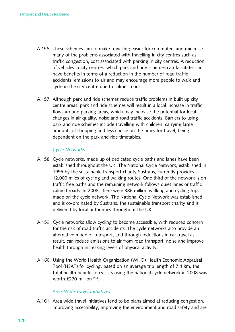- A.156 These schemes aim to make travelling easier for commuters and minimise many of the problems associated with travelling in city centres such as traffic congestion, cost associated with parking in city centres. A reduction of vehicles in city centres, which park and ride schemes can facilitate, can have benefits in terms of a reduction in the number of road traffic accidents, emissions to air and may encourage more people to walk and cycle in the city centre due to calmer roads.
- A.157 Although park and ride schemes reduce traffic problems in built up city centre areas, park and ride schemes will result in a local increase in traffic flows around parking areas, which may increase the potential for local changes in air quality, noise and road traffic accidents. Barriers to using park and ride schemes include travelling with children, carrying large amounts of shopping and less choice on the times for travel, being dependent on the park and ride timetables.

### *Cycle Networks*

- A.158 Cycle networks, made up of dedicated cycle paths and lanes have been established throughout the UK. The National Cycle Network, established in 1995 by the sustainable transport charity Sustrans, currently provides 12,000 miles of cycling and walking routes. One third of the network is on traffic free paths and the remaining network follows quiet lanes or traffic calmed roads. In 2008, there were 386 million walking and cycling trips made on the cycle network. The National Cycle Network was established and is co-ordinated by Sustrans, the sustainable transport charity and is delivered by local authorities throughout the UK.
- A.159 Cycle networks allow cycling to become accessible, with reduced concern for the risk of road traffic accidents. The cycle networks also provide an alternative mode of transport, and through reductions in car travel as result, can reduce emissions to air from road transport, noise and improve health through increasing levels of physical activity.
- A.160 Using the World Health Organization (WHO) Health Economic Appraisal Tool (HEAT) for cycling, based on an average trip length of 7.4 km, the total health benefit to cyclists using the national cycle network in 2008 was worth  $f$ 270 million<sup>(116)</sup>.

### *Area-Wide Travel Initiatives*

A.161 Area wide travel initiatives tend to be plans aimed at reducing congestion, improving accessibility, improving the environment and road safety and are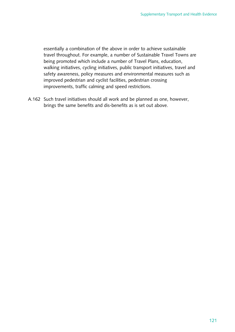essentially a combination of the above in order to achieve sustainable travel throughout. For example, a number of Sustainable Travel Towns are being promoted which include a number of Travel Plans, education, walking initiatives, cycling initiatives, public transport initiatives, travel and safety awareness, policy measures and environmental measures such as improved pedestrian and cyclist facilities, pedestrian crossing improvements, traffic calming and speed restrictions.

A.162 Such travel initiatives should all work and be planned as one, however, brings the same benefits and dis-benefits as is set out above.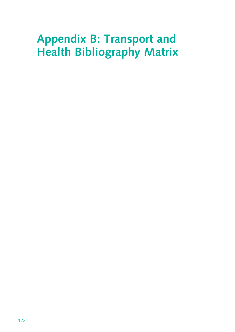# **Appendix B: Transport and Health Bibliography Matrix**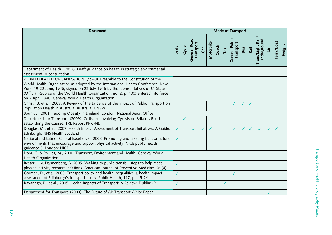| <b>Document</b>                                                                                                                                                                                                                                                                                                                                                                                  |              |       |                           |            |           |       |      | Mode of Transport           |              |              |                                 |     |            |         |
|--------------------------------------------------------------------------------------------------------------------------------------------------------------------------------------------------------------------------------------------------------------------------------------------------------------------------------------------------------------------------------------------------|--------------|-------|---------------------------|------------|-----------|-------|------|-----------------------------|--------------|--------------|---------------------------------|-----|------------|---------|
|                                                                                                                                                                                                                                                                                                                                                                                                  | Walk         | Cycle | General Road<br>Transport | <b>Gar</b> | Motorbike | Coach | Taxi | General Public<br>Transport | <b>Bus</b>   | Rail         | Tram/Light Rail/<br>Underground | Äir | Ferry/Boat | Freight |
| Department of Health. (2007). Draft guidance on health in strategic environmental<br>assessment: A consultation.                                                                                                                                                                                                                                                                                 |              |       |                           |            |           |       |      |                             |              |              |                                 |     |            |         |
| WORLD HEALTH ORGANIZATION. (1948). Preamble to the Constitution of the<br>World Health Organization as adopted by the International Health Conference, New<br>York, 19-22 June, 1946; signed on 22 July 1946 by the representatives of 61 States<br>(Official Records of the World Health Organization, no. 2, p. 100) entered into force<br>on 7 April 1948. Geneva: World Health Organization. |              |       |                           |            |           |       |      |                             |              |              |                                 |     |            |         |
| Christl, B. et al., 2009. A Review of the Evidence of the Impact of Public Transport on<br>Population Health in Australia. Australia: UNSW                                                                                                                                                                                                                                                       |              |       |                           |            |           |       |      |                             |              |              |                                 |     |            |         |
| Bourn, J., 2001. Tackling Obesity in England, London: National Audit Office                                                                                                                                                                                                                                                                                                                      |              |       |                           |            |           |       |      |                             |              |              |                                 |     |            |         |
| Department for Transport. (2009). Collisions Involving Cyclists on Britain's Roads:<br>Establishing the Causes. TRL Report PPR 445.                                                                                                                                                                                                                                                              |              | ✓     |                           |            |           |       |      |                             |              |              |                                 |     |            |         |
| Douglas, M., et al., 2007. Health Impact Assessment of Transport Initiatives: A Guide.<br>Edinburgh: NHS Health Scotland                                                                                                                                                                                                                                                                         | ✓            |       | ✓                         | ✓          | ✓         |       |      | ✓                           | $\checkmark$ | $\checkmark$ | ✓                               | ✓   |            |         |
| National Institute of Clinical Excellence., 2008. Promoting and creating built or natural<br>environments that encourage and support physical activity. NICE public health<br>guidance 8. London: NICE                                                                                                                                                                                           | $\checkmark$ |       |                           |            |           |       |      |                             |              |              |                                 |     |            |         |
| Dora, C. & Phillips, M., 2000. Transport, Environment and Health. Geneva: World<br>Health Organization                                                                                                                                                                                                                                                                                           |              |       |                           |            |           |       |      |                             |              |              |                                 |     |            |         |
| Besser, L. & Dannenberg, A. 2005. Walking to public transit - steps to help meet<br>physical activity recommendations. American Journal of Preventive Medicine, 26, (4)                                                                                                                                                                                                                          | $\checkmark$ |       |                           |            |           |       |      |                             |              |              |                                 |     |            |         |
| Gorman, D., et al. 2003. Transport policy and health inequalities: a health impact<br>assessment of Edinburgh's transport policy. Public Health, 117, pp.15-24                                                                                                                                                                                                                                   | $\checkmark$ |       |                           |            |           |       |      | ✓                           |              |              |                                 |     |            |         |
| Kavanagh, P., et al., 2005. Health Impacts of Transport: A Review, Dublin: IPHI                                                                                                                                                                                                                                                                                                                  | ✓            |       |                           |            |           |       | ✓    |                             |              |              |                                 |     |            |         |
| Department for Transport. (2003). The Future of Air Transport White Paper                                                                                                                                                                                                                                                                                                                        |              |       |                           |            |           |       |      |                             |              |              |                                 |     |            |         |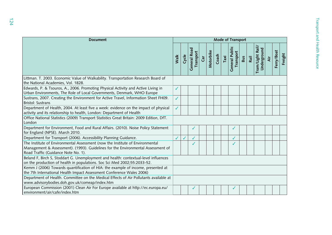| <b>Document</b>                                                                                                                                                                                          |      |       |                           |     |           |       |      | Mode of Transport                  |            |      |                                 |     |            |       |
|----------------------------------------------------------------------------------------------------------------------------------------------------------------------------------------------------------|------|-------|---------------------------|-----|-----------|-------|------|------------------------------------|------------|------|---------------------------------|-----|------------|-------|
|                                                                                                                                                                                                          | Walk | Cycle | General Road<br>Transport | Car | Motorbike | Coach | Taxi | <b>General Public</b><br>Transport | <b>Bus</b> | Rail | Tram/Light Rail/<br>Underground | Äίr | Ferry/Boat | eight |
| Littman. T. 2003. Economic Value of Walkability. Transportation Research Board of<br>the National Academies, Vol. 1828.                                                                                  |      |       |                           |     |           |       |      |                                    |            |      |                                 |     |            |       |
| Edwards, P. & Tsouros, A., 2006. Promoting Physical Activity and Active Living in<br>Urban Environments, The Role of Local Governments, Denmark, WHO Europe                                              | ✓    |       |                           |     |           |       |      |                                    |            |      |                                 |     |            |       |
| Sustrans, 2007. Creating the Environment for Active Travel, Information Sheet FH09.<br><b>Bristol: Sustrans</b>                                                                                          | ✓    |       |                           |     |           |       |      |                                    |            |      |                                 |     |            |       |
| Department of Health, 2004. At least five a week: evidence on the impact of physical<br>activity and its relationship to health, London: Department of Health                                            | ✓    |       |                           |     |           |       |      |                                    |            |      |                                 |     |            |       |
| Office National Statistics (2009) Transport Statistics Great Britain: 2009 Edition, DfT.<br>London                                                                                                       |      |       |                           |     |           |       |      |                                    |            |      |                                 |     |            |       |
| Department for Environment, Food and Rural Affairs. (2010). Noise Policy Statement<br>for England (NPSE). March 2010.                                                                                    |      |       |                           |     |           |       |      |                                    |            |      |                                 |     |            |       |
| Department for Transport (2006). Accessibility Planning Guidance.                                                                                                                                        |      |       |                           |     |           |       |      |                                    |            |      |                                 |     |            |       |
| The Institute of Environmental Assessment (now the Institute of Environmental<br>Management & Assessment). (1993). Guidelines for the Environmental Assessment of<br>Road Traffic (Guidance Note No. 1). |      |       |                           |     |           |       |      |                                    |            |      |                                 |     |            |       |
| Beland F, Birch S, Stoddart G. Unemployment and health: contextual-level influences<br>on the production of health in populations. Soc Sci Med 2002;55:2033-52.                                          |      |       |                           |     |           |       |      |                                    |            |      |                                 |     |            |       |
| Kemm J (2006) Towards quantification of HIA: the example of income, presented at<br>the 7th International Health Impact Assessment Conference Wales 2006)                                                |      |       |                           |     |           |       |      |                                    |            |      |                                 |     |            |       |
| Department of Health. Committee on the Medical Effects of Air Pollutants available at<br>www.advisorybodies.doh.gov.uk/comeap/index.htm                                                                  |      |       |                           |     |           |       |      |                                    |            |      |                                 |     |            |       |
| European Commission (2001) Clean Air For Europe available at http://ec.europa.eu/<br>environment/air/cafe/index.htm                                                                                      |      |       | √                         |     |           |       |      |                                    |            |      |                                 |     |            |       |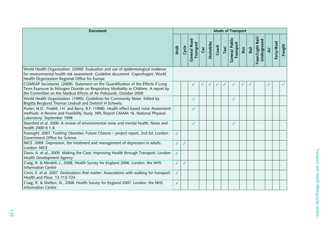| <b>Document</b>                                                                                                                                                                                                                                   |              |       |                                  |          |           |       |      | Mode of Transport                  |     |      |                                 |     |            |         |
|---------------------------------------------------------------------------------------------------------------------------------------------------------------------------------------------------------------------------------------------------|--------------|-------|----------------------------------|----------|-----------|-------|------|------------------------------------|-----|------|---------------------------------|-----|------------|---------|
|                                                                                                                                                                                                                                                   | Walk         | Cycle | <b>General Road</b><br>Transport | <b>G</b> | Motorbike | Coach | Taxi | <b>General Public</b><br>Transport | Bus | Rail | Tram/Light Rail/<br>Underground | Äir | Ferry/Boat | Freight |
| World Health Organization. (2000). Evaluation and use of epidemiological evidence<br>for environmental health risk assessment. Guideline document. Copenhagen: World<br>Health Organization Regional Office for Europe                            |              |       |                                  |          |           |       |      |                                    |     |      |                                 |     |            |         |
| COMEAP Secretariat. (2009). Statement on the Quantification of the Effects if Long<br>Term Exposure to Nitrogen Dioxide on Respiratory Morbidity in Children. A report by<br>the Committee on the Medical Effects of Air Pollutants. October 2009 |              |       |                                  |          |           |       |      |                                    |     |      |                                 |     |            | ✓       |
| World Health Organization. (1995). Guidelines for Community Noise. Edited by<br>Birgitta Berglund Thomas Lindvall and Dietrich H Schwela.                                                                                                         |              |       | ✔                                |          |           |       |      | ✓                                  |     |      |                                 |     |            |         |
| Porter, N.D., Findell, I.H. and Berry, B.F. (1998). Health effect based noise Assessment<br>methods: A Review and Feasibility Study. NPL Report CMAM 16. National Physical<br>Laboratory. September 1998                                          |              |       | ✓                                |          |           |       |      |                                    |     |      |                                 |     |            |         |
| Stansfeld et al. 2000. A review of environmental noise and mental health. Noise and<br>health 2000 8 1-8                                                                                                                                          |              |       | ✓                                |          |           |       |      | ✓                                  |     |      |                                 |     |            |         |
| Foresight. 2007. Tackling Obesities: Future Choices - project report, 2nd Ed. London:<br>Government Office for Science                                                                                                                            | $\checkmark$ |       |                                  |          |           |       |      |                                    |     |      |                                 |     |            |         |
| NICE. 2009. Depression, the treatment and management of depression in adults.<br>London: NICE                                                                                                                                                     | $\checkmark$ |       |                                  |          |           |       |      |                                    |     |      |                                 |     |            |         |
| Davis, A. et al., 2005. Making the Case: Improving Health through Transport. London:<br>Health Development Agency                                                                                                                                 | $\checkmark$ |       |                                  |          |           |       |      |                                    |     |      |                                 |     |            |         |
| Craig, R. & Mindell, J., 2008. Health Survey for England 2006. London: the NHS<br><b>Information Centre</b>                                                                                                                                       | ✓            |       |                                  |          |           |       |      |                                    |     |      |                                 |     |            |         |
| Cerin, E. et al. 2007. Destinations that matter: Associations with walking for transport.<br>Health and Place. 13 713-724                                                                                                                         | ✓            |       |                                  |          |           |       |      |                                    |     |      |                                 |     |            |         |
| Craig, R. & Shelton, N., 2008. Health Survey for England 2007. London: the NHS<br><b>Information Centre</b>                                                                                                                                       | ✓            |       |                                  |          |           |       |      |                                    |     |      |                                 |     |            |         |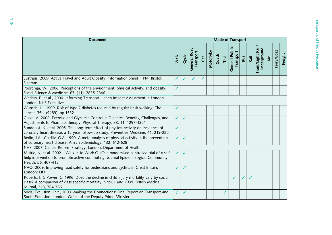| <b>Document</b>                                                                                                                                                                                       |              |       |                           |     |           |       |      | Mode of Transport           |            |      |                                |    |            |       |
|-------------------------------------------------------------------------------------------------------------------------------------------------------------------------------------------------------|--------------|-------|---------------------------|-----|-----------|-------|------|-----------------------------|------------|------|--------------------------------|----|------------|-------|
|                                                                                                                                                                                                       | Walk         | Cycle | General Road<br>Transport | Car | Motorbike | Coach | Taxi | General Public<br>Transport | <b>Bus</b> | Rail | Tram/Light Rail<br>Underground | άř | Ferry/Boat | eight |
| Sustrans, 2009. Active Travel and Adult Obesity, Information Sheet FH14. Bristol:<br><b>Sustrans</b>                                                                                                  | ✓            |       |                           | ✓   |           |       |      |                             |            |      |                                |    |            |       |
| Poortinga, W., 2006. Perceptions of the environment, physical activity, and obesity.<br>Social Science & Medicine, 63, (11), 2835-2846                                                                | ✓            |       |                           |     |           |       |      |                             |            |      |                                |    |            |       |
| Watkiss, P. et al., 2000. Informing Transport Health Impact Assessment in London.<br>London: NHS Executive.                                                                                           |              |       |                           |     |           |       |      |                             |            |      |                                |    |            |       |
| Wunsch, H., 1999. Risk of type 2 diabetes reduced by regular brisk walking. The<br>Lancet, 354, (9189), pp.1532                                                                                       | ✓            |       |                           |     |           |       |      |                             |            |      |                                |    |            |       |
| Gulve, A. 2008. Exercise and Glycemic Control in Diabetes: Benefits, Challenges, and<br>Adjustments to Pharmacotherapy, Physical Therapy, 88, 11, 1297-1321                                           | $\checkmark$ |       |                           |     |           |       |      |                             |            |      |                                |    |            |       |
| Sundquist, K. et al. 2005. The long-term effect of physical activity on incidence of<br>coronary heart disease: a 12 year follow-up study. Preventive Medicine, 41, 219-225                           | $\checkmark$ |       |                           |     |           |       |      |                             |            |      |                                |    |            |       |
| Berlin, J.A., Colditz, G.A. 1990. A meta-analysis of physical activity in the prevention<br>of coronary heart disease. Am J Epidemiology, 132, 612-628                                                | $\checkmark$ |       |                           |     |           |       |      |                             |            |      |                                |    |            |       |
| NHS, 2007. Cancer Reform Strategy, London: Department of Health                                                                                                                                       |              |       |                           |     |           |       |      |                             |            |      |                                |    |            |       |
| Mutrie, N. et al. 2002. "Walk in to Work Out": a randomised controlled trial of a self<br>help intervention to promote active commuting. Journal Epidemiological Community<br>Health. 56, 407-412     | $\checkmark$ |       |                           |     |           |       |      |                             |            |      |                                |    |            |       |
| NAO. 2009. Improving road safety for pedestrians and cyclists in Great Britain,<br>London: DfT                                                                                                        | ✓            |       |                           |     |           |       |      |                             |            |      |                                |    |            |       |
| Roberts. I. & Power, C. 1996. Does the decline in child injury mortality vary by social<br>class? A comparison of class specific mortality in 1981 and 1991. British Medical<br>Journal, 313, 784-786 |              |       |                           |     |           |       |      |                             |            |      |                                |    |            |       |
| Social Exclusion Unit., 2003. Making the Connections: Final Report on Transport and<br>Social Exclusion, London: Office of the Deputy Prime Minister                                                  | ✓            |       |                           |     |           |       |      |                             |            |      |                                |    |            |       |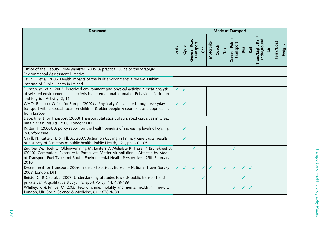| <b>Document</b>                                                                                                                                                                                                                                                           |      |       |                                  |             |           |       |      | Mode of Transport           |              |      |                                 |     |            |         |
|---------------------------------------------------------------------------------------------------------------------------------------------------------------------------------------------------------------------------------------------------------------------------|------|-------|----------------------------------|-------------|-----------|-------|------|-----------------------------|--------------|------|---------------------------------|-----|------------|---------|
|                                                                                                                                                                                                                                                                           | Walk | Cycle | <b>General Road</b><br>Transport | $\tilde{a}$ | Motorbike | Coach | Taxi | General Public<br>Transport | Bus          | Rail | Tram/Light Rail/<br>Underground | Äir | Ferry/Boat | Freight |
| Office of the Deputy Prime Minister. 2005. A practical Guide to the Strategic<br>Environmental Assessment Directive.                                                                                                                                                      |      |       |                                  |             |           |       |      |                             |              |      |                                 |     |            |         |
| Lavin, T. et al. 2006. Health impacts of the built environment: a review. Dublin:<br>Institute of Public Health in Ireland                                                                                                                                                |      |       |                                  |             |           |       |      |                             |              |      |                                 |     |            |         |
| Duncan, M. et al. 2005. Perceived environment and physical activity: a meta-analysis<br>of selected environmental characteristics. International Journal of Behavioral Nutrition<br>and Physical Activity, 2, 11                                                          | ✓    |       |                                  |             |           |       |      |                             |              |      |                                 |     |            |         |
| WHO, Regional Office for Europe (2002) a Physically Active Life through everyday<br>transport with a special focus on children & older people & examples and approaches<br>from Europe                                                                                    | ✓    |       |                                  |             |           |       |      |                             |              |      |                                 |     |            |         |
| Department for Transport (2008) Transport Statistics Bulletin: road casualties in Great<br>Britain Main Results, 2008. London: DfT                                                                                                                                        |      |       |                                  |             |           |       |      |                             |              |      |                                 |     |            |         |
| Rutter H. (2000). A policy report on the health benefits of increasing levels of cycling<br>in Oxfordshire.                                                                                                                                                               |      |       |                                  |             |           |       |      |                             |              |      |                                 |     |            |         |
| Cavill, N. Rutter, H. & Hill, A., 2007. Action on Cycling in Primary care trusts: results<br>of a survey of Directors of public health. Public Health, 121, pp.100-105                                                                                                    |      |       |                                  |             |           |       |      |                             |              |      |                                 |     |            |         |
| Zuurbier M, Hoek G, Oldenwenining M, Lenters V, Meliefste K, Hazel P, Brunekreef B.<br>(2010). Commuters' Exposure to Particulate Matter Air pollution is Affected by Mode<br>of Transport, Fuel Type and Route. Environmental Health Perspectives. 25th February<br>2010 |      |       | ✓                                |             |           |       |      | ✓                           |              |      |                                 |     |            |         |
| Department for Transport. 2009. Transport Statistics Bulletin - National Travel Survey:<br>2008. London: DfT                                                                                                                                                              | ✓    |       | ✓                                |             |           |       | ✓    |                             | $\checkmark$ | J    |                                 |     |            |         |
| Beirão, G. & Cabral, J. 2007. Understanding attitudes towards public transport and<br>private car: A qualitative study. Transport Policy, 14, 478-489                                                                                                                     |      |       |                                  | ✓           |           |       |      |                             | $\checkmark$ |      |                                 |     |            |         |
| Whitley, R. & Prince, M. 2005. Fear of crime, mobility and mental health in inner-city<br>London, UK. Social Science & Medicine, 61, 1678-1688                                                                                                                            |      |       |                                  |             |           |       |      | ✓                           | $\checkmark$ | ✓    |                                 |     |            |         |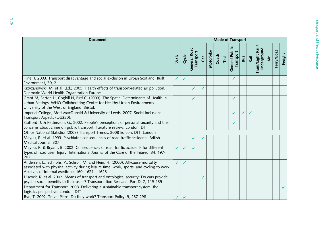| <b>Document</b>                                                                                                                                                                                                                 |      |       |                                  |           |           |       |      | Mode of Transport           |            |      |                                |   |            |       |
|---------------------------------------------------------------------------------------------------------------------------------------------------------------------------------------------------------------------------------|------|-------|----------------------------------|-----------|-----------|-------|------|-----------------------------|------------|------|--------------------------------|---|------------|-------|
|                                                                                                                                                                                                                                 | Walk | Cycle | <b>General Road</b><br>Transport | $\vec{c}$ | Motorbike | Coach | Taxi | General Public<br>Transport | <b>Bus</b> | Rail | Tram/Light Rail<br>Underground | ä | Ferry/Boat | eight |
| Hine, J. 2003. Transport disadvantage and social exclusion in Urban Scotland. Built<br>Environment, 30, 2                                                                                                                       | ✓    | ✓     |                                  |           |           |       |      | ✓                           |            |      |                                |   |            |       |
| Krzyzanowski, M. et al. (Ed.) 2005. Health effects of transport-related air pollution.<br>Denmark: World Health Organization Europe                                                                                             |      |       |                                  | J         |           |       |      |                             |            |      |                                |   |            |       |
| Grant M, Barton H, Coghill N, Bird C. (2009). The Spatial Determinants of Health in<br>Urban Settings. WHO Collaborating Centre for Healthy Urban Environments.<br>University of the West of England, Bristol.                  |      |       |                                  |           |           |       |      |                             |            |      |                                |   |            |       |
| Imperial College, Mott MacDonald & University of Leeds. 2007. Social Inclusion:<br>Transport Aspects (UG320),                                                                                                                   |      |       |                                  |           |           |       |      |                             |            |      |                                |   |            |       |
| Stafford, J. & Pettersson, G., 2002. People's perceptions of personal security and their<br>concerns about crime on public transport, literature review. London: DfT                                                            |      |       |                                  |           |           |       |      |                             |            |      |                                |   |            |       |
| Office National Statistics (2008) Transport Trends: 2008 Edition, DfT. London                                                                                                                                                   |      |       |                                  |           |           |       |      |                             |            |      |                                |   |            |       |
| Mayou, R. et al. 1993. Psychiatric consequences of road traffic accidents. British<br>Medical Journal, 307                                                                                                                      |      |       |                                  |           |           |       |      |                             |            |      |                                |   |            |       |
| Mayou, R. & Bryant, B. 2002. Consequences of road traffic accidents for different<br>types of road user. Injury: International Journal of the Care of the Injured, 34, 197-<br>202                                              |      |       |                                  |           |           |       |      |                             |            |      |                                |   |            |       |
| Andersen, L., Schnohr, P., Schroll, M. and Hein, H. (2000). All-cause mortality<br>associated with physical activity during leisure time, work, sports, and cycling to work.<br>Archives of Internal Medicine, 160, 1621 - 1628 | ✓    |       |                                  |           |           |       |      |                             |            |      |                                |   |            |       |
| Hiscock, R. et al. 2002. Means of transport and ontological security: Do cars provide<br>psycho-social benefits to their users? Transportation Research Part D, 7, 119-135                                                      |      |       |                                  | ✓         |           |       |      |                             |            |      |                                |   |            |       |
| Department for Transport, 2008. Delivering a sustainable transport system: the<br>logistics perspective. London: DfT                                                                                                            |      |       |                                  |           |           |       |      |                             |            |      |                                |   |            |       |
| Rye, T. 2002. Travel Plans: Do they work? Transport Policy, 9, 287-298                                                                                                                                                          |      |       |                                  |           |           |       |      |                             |            |      |                                |   |            |       |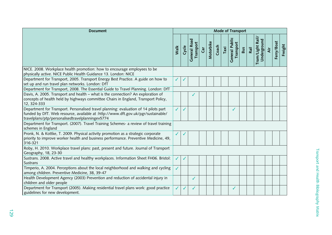| <b>Document</b>                                                                                                                                                                                                               |      |       |                           |     |           |       |      | Mode of Transport                  |     |      |                                 |     |            |         |
|-------------------------------------------------------------------------------------------------------------------------------------------------------------------------------------------------------------------------------|------|-------|---------------------------|-----|-----------|-------|------|------------------------------------|-----|------|---------------------------------|-----|------------|---------|
|                                                                                                                                                                                                                               | Walk | Cycle | General Road<br>Transport | Car | Motorbike | Coach | Taxi | <b>General Public</b><br>Transport | Bus | Rail | Tram/Light Rail/<br>Underground | Äίr | Ferry/Boat | Freight |
| NICE. 2008. Workplace health promotion: how to encourage employees to be<br>physically active. NICE Public Health Guidance 13. London: NICE                                                                                   |      |       |                           |     |           |       |      |                                    |     |      |                                 |     |            |         |
| Department for Transport, 2005. Transport Energy Best Practice. A guide on how to<br>set up and run travel plan networks. London: DfT                                                                                         | ✓    |       |                           |     |           |       |      |                                    |     |      |                                 |     |            |         |
| Department for Transport, 2008. The Essential Guide to Travel Planning. London: DfT                                                                                                                                           |      |       |                           |     |           |       |      |                                    |     |      |                                 |     |            |         |
| Davis, A. 2005. Transport and health - what is the connection? An exploration of<br>concepts of health held by highways committee Chairs in England, Transport Policy,<br>12, 324-333                                         |      |       |                           |     |           |       |      |                                    |     |      |                                 |     |            |         |
| Department for Transport. Personalised travel planning: evaluation of 14 pilots part<br>funded by DfT. Web resource, available at :http://www.dft.gov.uk/pgr/sustainable/<br>travelplans/ptp/personalisedtravelplanningev5774 |      |       |                           |     |           |       |      |                                    |     |      |                                 |     |            |         |
| Department for Transport. (2007). Travel Training Schemes- a review of travel training<br>schemes in England                                                                                                                  |      |       |                           |     |           |       |      |                                    |     |      |                                 |     |            |         |
| Pronk, N. & Kottke, T. 2009. Physical activity promotion as a strategic corporate<br>priority to improve worker health and business performance. Preventive Medicine, 49,<br>316-321                                          |      |       |                           |     |           |       |      |                                    |     |      |                                 |     |            |         |
| Roby, H. 2010. Workplace travel plans: past, present and future. Journal of Transport<br>Geography, 18, 23-30                                                                                                                 |      |       |                           |     |           |       |      |                                    |     |      |                                 |     |            |         |
| Sustrans. 2008. Active travel and healthy workplaces. Information Sheet FH06. Bristol:<br>Sustrans                                                                                                                            | ✓    |       |                           |     |           |       |      |                                    |     |      |                                 |     |            |         |
| Timperio, A. 2004. Perceptions about the local neighborhood and walking and cycling<br>among children. Preventive Medicine, 38, 39-47                                                                                         | ✓    |       |                           |     |           |       |      |                                    |     |      |                                 |     |            |         |
| Health Development Agency (2003) Prevention and reduction of accidental injury in<br>children and older people                                                                                                                |      |       | ✓                         |     |           |       |      |                                    |     |      |                                 |     |            |         |
| Department for Transport (2005). Making residential travel plans work: good practice<br>guidelines for new development.                                                                                                       |      | ✓     | ✓                         |     |           |       |      | ✓                                  |     |      |                                 |     |            |         |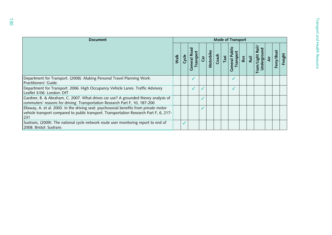| <b>Document</b>                                                                                                                                                                          |      |       |                           |    |           |       |      | <b>Mode of Transport</b>     |     |      |                                 |    |            |       |
|------------------------------------------------------------------------------------------------------------------------------------------------------------------------------------------|------|-------|---------------------------|----|-----------|-------|------|------------------------------|-----|------|---------------------------------|----|------------|-------|
|                                                                                                                                                                                          | Walk | Cycle | General Road<br>Transport | ថិ | Motorbike | Coach | Taxi | 음<br>eneral P<br>ranspo<br>Õ | Bus | Rail | Rail<br>Tram/Light<br>Undergrou | दं | Ferry/Boat | eight |
| Department for Transport. (2008). Making Personal Travel Planning Work:<br>Practitioners' Guide.                                                                                         |      |       |                           |    |           |       |      |                              |     |      |                                 |    |            |       |
| Department for Transport. 2006. High Occupancy Vehicle Lanes. Traffic Advisory<br>Leaflet 3/06. London: DfT                                                                              |      |       |                           |    |           |       |      |                              |     |      |                                 |    |            |       |
| Gardner, B. & Abraham, C. 2007. What drives car use? A grounded theory analysis of<br>commuters' reasons for driving. Transportation Research Part F, 10, 187-200                        |      |       |                           |    |           |       |      |                              |     |      |                                 |    |            |       |
| Ellaway, A. et al. 2003. In the driving seat: psychosocial benefits from private motor<br>vehicle transport compared to public transport. Transportation Research Part F, 6, 217-<br>231 |      |       |                           |    |           |       |      |                              |     |      |                                 |    |            |       |
| Sustrans, (2009). The national cycle network route user monitoring report to end of<br>2008. Bristol: Sustrans                                                                           |      |       |                           |    |           |       |      |                              |     |      |                                 |    |            |       |